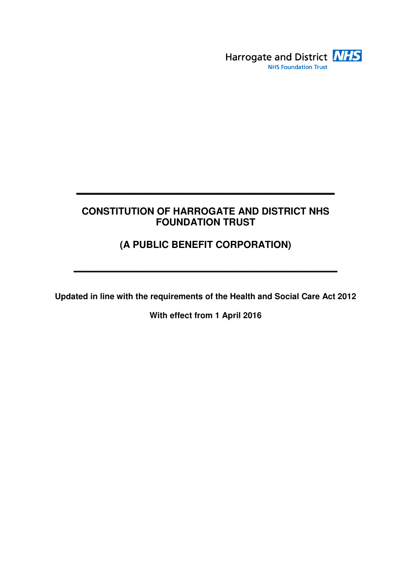

## **CONSTITUTION OF HARROGATE AND DISTRICT NHS FOUNDATION TRUST**

**\_\_\_\_\_\_\_\_\_\_\_\_\_\_\_\_\_\_\_\_\_\_\_\_\_\_\_\_\_\_\_\_\_\_\_\_\_\_\_\_\_\_\_\_\_\_\_\_** 

# **(A PUBLIC BENEFIT CORPORATION)**

**\_\_\_\_\_\_\_\_\_\_\_\_\_\_\_\_\_\_\_\_\_\_\_\_\_\_\_\_\_\_\_\_\_\_\_\_\_\_\_\_\_\_\_\_\_\_\_\_\_** 

**Updated in line with the requirements of the Health and Social Care Act 2012** 

**With effect from 1 April 2016**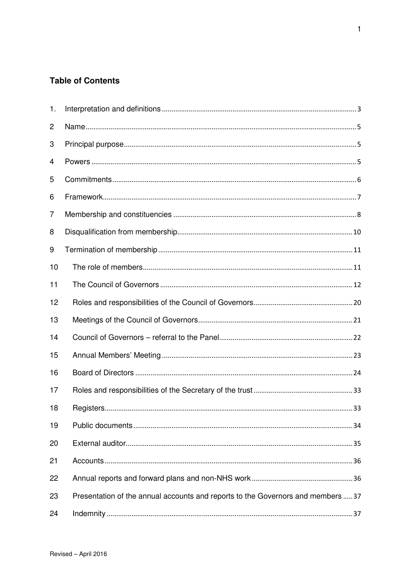## **Table of Contents**

| 1. |                                                                                  |
|----|----------------------------------------------------------------------------------|
| 2  |                                                                                  |
| 3  |                                                                                  |
| 4  |                                                                                  |
| 5  |                                                                                  |
| 6  |                                                                                  |
| 7  |                                                                                  |
| 8  |                                                                                  |
| 9  |                                                                                  |
| 10 |                                                                                  |
| 11 |                                                                                  |
| 12 |                                                                                  |
| 13 |                                                                                  |
| 14 |                                                                                  |
| 15 |                                                                                  |
| 16 |                                                                                  |
| 17 |                                                                                  |
| 18 |                                                                                  |
| 19 |                                                                                  |
| 20 |                                                                                  |
| 21 |                                                                                  |
| 22 |                                                                                  |
| 23 | Presentation of the annual accounts and reports to the Governors and members  37 |
| 24 |                                                                                  |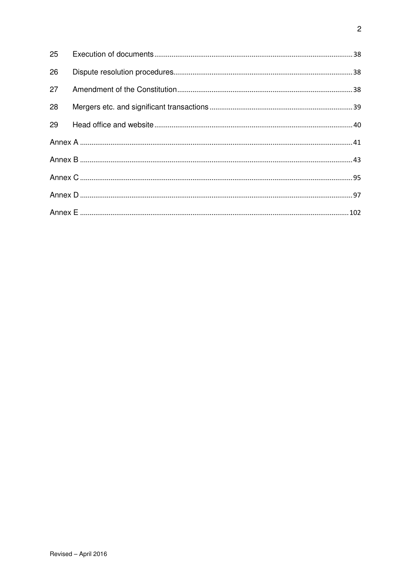| 25 |  |  |  |
|----|--|--|--|
| 26 |  |  |  |
| 27 |  |  |  |
| 28 |  |  |  |
| 29 |  |  |  |
|    |  |  |  |
|    |  |  |  |
|    |  |  |  |
|    |  |  |  |
|    |  |  |  |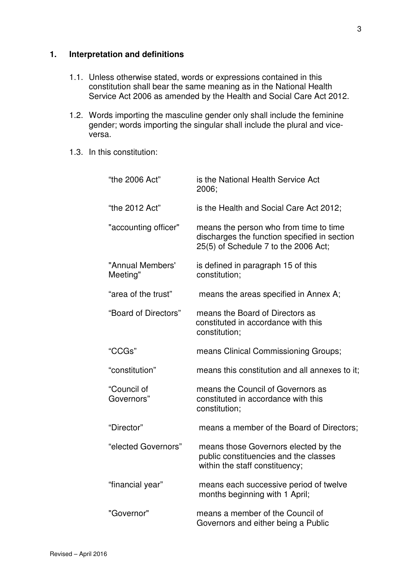## **1. Interpretation and definitions**

- 1.1. Unless otherwise stated, words or expressions contained in this constitution shall bear the same meaning as in the National Health Service Act 2006 as amended by the Health and Social Care Act 2012.
- 1.2. Words importing the masculine gender only shall include the feminine gender; words importing the singular shall include the plural and viceversa.
- 1.3. In this constitution:

| "the 2006 Act"               | is the National Health Service Act<br>2006;                                                                                    |
|------------------------------|--------------------------------------------------------------------------------------------------------------------------------|
| "the 2012 Act"               | is the Health and Social Care Act 2012;                                                                                        |
| "accounting officer"         | means the person who from time to time<br>discharges the function specified in section<br>25(5) of Schedule 7 to the 2006 Act; |
| "Annual Members'<br>Meeting" | is defined in paragraph 15 of this<br>constitution;                                                                            |
| "area of the trust"          | means the areas specified in Annex A;                                                                                          |
| "Board of Directors"         | means the Board of Directors as<br>constituted in accordance with this<br>constitution;                                        |
| "CCGs"                       | means Clinical Commissioning Groups;                                                                                           |
| "constitution"               | means this constitution and all annexes to it;                                                                                 |
| "Council of<br>Governors"    | means the Council of Governors as<br>constituted in accordance with this<br>constitution;                                      |
| "Director"                   | means a member of the Board of Directors;                                                                                      |
| "elected Governors"          | means those Governors elected by the<br>public constituencies and the classes<br>within the staff constituency;                |
| "financial year"             | means each successive period of twelve<br>months beginning with 1 April;                                                       |
| "Governor"                   | means a member of the Council of<br>Governors and either being a Public                                                        |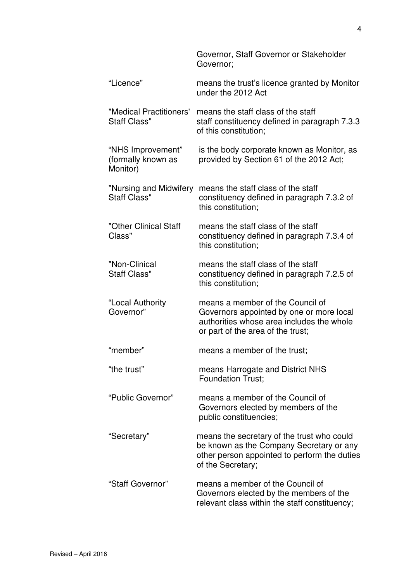|                                                     | Governor, Staff Governor or Stakeholder<br>Governor;                                                                                                           |
|-----------------------------------------------------|----------------------------------------------------------------------------------------------------------------------------------------------------------------|
| "Licence"                                           | means the trust's licence granted by Monitor<br>under the 2012 Act                                                                                             |
| "Medical Practitioners'<br><b>Staff Class"</b>      | means the staff class of the staff<br>staff constituency defined in paragraph 7.3.3<br>of this constitution;                                                   |
| "NHS Improvement"<br>(formally known as<br>Monitor) | is the body corporate known as Monitor, as<br>provided by Section 61 of the 2012 Act;                                                                          |
| <b>Staff Class"</b>                                 | "Nursing and Midwifery means the staff class of the staff<br>constituency defined in paragraph 7.3.2 of<br>this constitution;                                  |
| "Other Clinical Staff<br>Class"                     | means the staff class of the staff<br>constituency defined in paragraph 7.3.4 of<br>this constitution;                                                         |
| "Non-Clinical<br><b>Staff Class"</b>                | means the staff class of the staff<br>constituency defined in paragraph 7.2.5 of<br>this constitution;                                                         |
| "Local Authority<br>Governor"                       | means a member of the Council of<br>Governors appointed by one or more local<br>authorities whose area includes the whole<br>or part of the area of the trust; |
| "member"                                            | means a member of the trust;                                                                                                                                   |
| "the trust"                                         | means Harrogate and District NHS<br><b>Foundation Trust;</b>                                                                                                   |
| "Public Governor"                                   | means a member of the Council of<br>Governors elected by members of the<br>public constituencies;                                                              |
| "Secretary"                                         | means the secretary of the trust who could<br>be known as the Company Secretary or any<br>other person appointed to perform the duties<br>of the Secretary;    |
| "Staff Governor"                                    | means a member of the Council of<br>Governors elected by the members of the<br>relevant class within the staff constituency;                                   |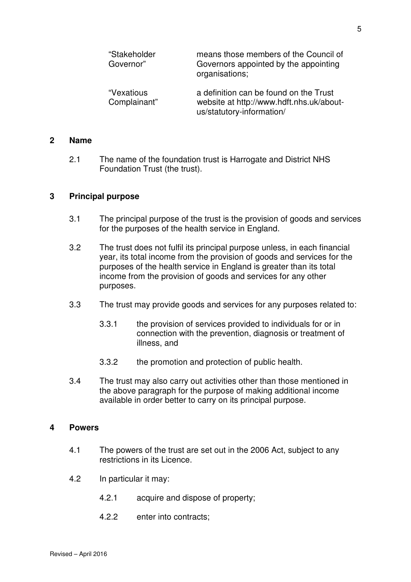| "Stakeholder<br>Governor"  | means those members of the Council of<br>Governors appointed by the appointing<br>organisations;                |
|----------------------------|-----------------------------------------------------------------------------------------------------------------|
| "Vexatious<br>Complainant" | a definition can be found on the Trust<br>website at http://www.hdft.nhs.uk/about-<br>us/statutory-information/ |

#### **2 Name**

2.1 The name of the foundation trust is Harrogate and District NHS Foundation Trust (the trust).

#### **3 Principal purpose**

- 3.1 The principal purpose of the trust is the provision of goods and services for the purposes of the health service in England.
- 3.2 The trust does not fulfil its principal purpose unless, in each financial year, its total income from the provision of goods and services for the purposes of the health service in England is greater than its total income from the provision of goods and services for any other purposes.
- 3.3 The trust may provide goods and services for any purposes related to:
	- 3.3.1 the provision of services provided to individuals for or in connection with the prevention, diagnosis or treatment of illness, and
	- 3.3.2 the promotion and protection of public health.
- 3.4 The trust may also carry out activities other than those mentioned in the above paragraph for the purpose of making additional income available in order better to carry on its principal purpose.

#### **4 Powers**

- 4.1 The powers of the trust are set out in the 2006 Act, subject to any restrictions in its Licence.
- 4.2 In particular it may:
	- 4.2.1 acquire and dispose of property;
	- 4.2.2 enter into contracts;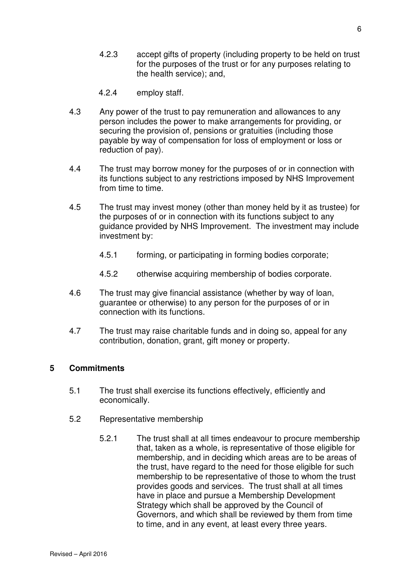- 4.2.3 accept gifts of property (including property to be held on trust for the purposes of the trust or for any purposes relating to the health service); and,
- 4.2.4 employ staff.
- 4.3 Any power of the trust to pay remuneration and allowances to any person includes the power to make arrangements for providing, or securing the provision of, pensions or gratuities (including those payable by way of compensation for loss of employment or loss or reduction of pay).
- 4.4 The trust may borrow money for the purposes of or in connection with its functions subject to any restrictions imposed by NHS Improvement from time to time.
- 4.5 The trust may invest money (other than money held by it as trustee) for the purposes of or in connection with its functions subject to any guidance provided by NHS Improvement. The investment may include investment by:
	- 4.5.1 forming, or participating in forming bodies corporate;
	- 4.5.2 otherwise acquiring membership of bodies corporate.
- 4.6 The trust may give financial assistance (whether by way of loan, guarantee or otherwise) to any person for the purposes of or in connection with its functions.
- 4.7 The trust may raise charitable funds and in doing so, appeal for any contribution, donation, grant, gift money or property.

## **5 Commitments**

- 5.1 The trust shall exercise its functions effectively, efficiently and economically.
- 5.2 Representative membership
	- 5.2.1 The trust shall at all times endeavour to procure membership that, taken as a whole, is representative of those eligible for membership, and in deciding which areas are to be areas of the trust, have regard to the need for those eligible for such membership to be representative of those to whom the trust provides goods and services. The trust shall at all times have in place and pursue a Membership Development Strategy which shall be approved by the Council of Governors, and which shall be reviewed by them from time to time, and in any event, at least every three years.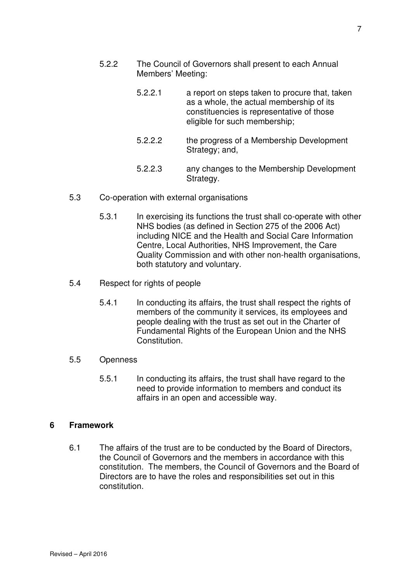- 5.2.2 The Council of Governors shall present to each Annual Members' Meeting:
	- 5.2.2.1 a report on steps taken to procure that, taken as a whole, the actual membership of its constituencies is representative of those eligible for such membership;
	- 5.2.2.2 the progress of a Membership Development Strategy; and,
	- 5.2.2.3 any changes to the Membership Development Strategy.
- 5.3 Co-operation with external organisations
	- 5.3.1 In exercising its functions the trust shall co-operate with other NHS bodies (as defined in Section 275 of the 2006 Act) including NICE and the Health and Social Care Information Centre, Local Authorities, NHS Improvement, the Care Quality Commission and with other non-health organisations, both statutory and voluntary.
- 5.4 Respect for rights of people
	- 5.4.1 In conducting its affairs, the trust shall respect the rights of members of the community it services, its employees and people dealing with the trust as set out in the Charter of Fundamental Rights of the European Union and the NHS Constitution.
- 5.5 Openness
	- 5.5.1 In conducting its affairs, the trust shall have regard to the need to provide information to members and conduct its affairs in an open and accessible way.

#### **6 Framework**

6.1 The affairs of the trust are to be conducted by the Board of Directors, the Council of Governors and the members in accordance with this constitution. The members, the Council of Governors and the Board of Directors are to have the roles and responsibilities set out in this constitution.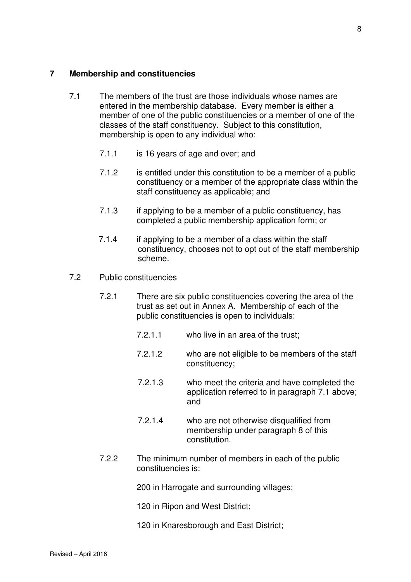#### **7 Membership and constituencies**

- 7.1 The members of the trust are those individuals whose names are entered in the membership database. Every member is either a member of one of the public constituencies or a member of one of the classes of the staff constituency. Subject to this constitution, membership is open to any individual who:
	- 7.1.1 is 16 years of age and over; and
	- 7.1.2 is entitled under this constitution to be a member of a public constituency or a member of the appropriate class within the staff constituency as applicable; and
	- 7.1.3 if applying to be a member of a public constituency, has completed a public membership application form; or
	- 7.1.4 if applying to be a member of a class within the staff constituency, chooses not to opt out of the staff membership scheme.
- 7.2 Public constituencies
	- 7.2.1 There are six public constituencies covering the area of the trust as set out in Annex A. Membership of each of the public constituencies is open to individuals:
		- 7.2.1.1 who live in an area of the trust;
		- 7.2.1.2 who are not eligible to be members of the staff constituency;
		- 7.2.1.3 who meet the criteria and have completed the application referred to in paragraph 7.1 above; and
		- 7.2.1.4 who are not otherwise disqualified from membership under paragraph 8 of this constitution.
	- 7.2.2 The minimum number of members in each of the public constituencies is:
		- 200 in Harrogate and surrounding villages;
		- 120 in Ripon and West District;
		- 120 in Knaresborough and East District;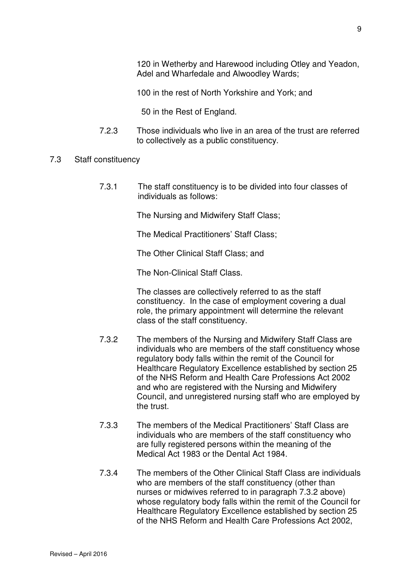120 in Wetherby and Harewood including Otley and Yeadon, Adel and Wharfedale and Alwoodley Wards;

100 in the rest of North Yorkshire and York; and

50 in the Rest of England.

- 7.2.3 Those individuals who live in an area of the trust are referred to collectively as a public constituency.
- 7.3 Staff constituency
	- 7.3.1 The staff constituency is to be divided into four classes of individuals as follows:

The Nursing and Midwifery Staff Class;

The Medical Practitioners' Staff Class;

The Other Clinical Staff Class; and

The Non-Clinical Staff Class.

 The classes are collectively referred to as the staff constituency. In the case of employment covering a dual role, the primary appointment will determine the relevant class of the staff constituency.

- 7.3.2 The members of the Nursing and Midwifery Staff Class are individuals who are members of the staff constituency whose regulatory body falls within the remit of the Council for Healthcare Regulatory Excellence established by section 25 of the NHS Reform and Health Care Professions Act 2002 and who are registered with the Nursing and Midwifery Council, and unregistered nursing staff who are employed by the trust.
- 7.3.3 The members of the Medical Practitioners' Staff Class are individuals who are members of the staff constituency who are fully registered persons within the meaning of the Medical Act 1983 or the Dental Act 1984.
- 7.3.4 The members of the Other Clinical Staff Class are individuals who are members of the staff constituency (other than nurses or midwives referred to in paragraph 7.3.2 above) whose regulatory body falls within the remit of the Council for Healthcare Regulatory Excellence established by section 25 of the NHS Reform and Health Care Professions Act 2002,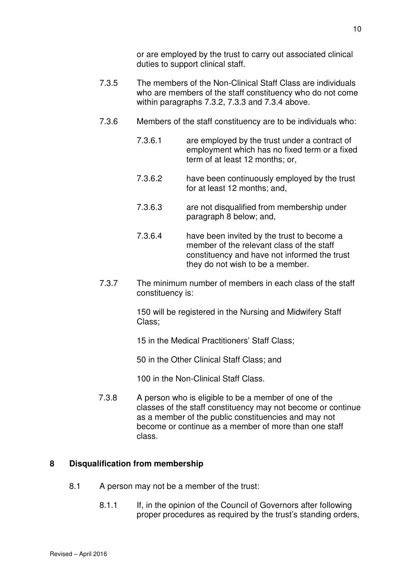or are employed by the trust to carry out associated clinical duties to support clinical staff.

- 7.3.5 The members of the Non-Clinical Staff Class are individuals who are members of the staff constituency who do not come within paragraphs 7.3.2, 7.3.3 and 7.3.4 above.
- 7.3.6 Members of the staff constituency are to be individuals who:
	- 7.3.6.1 are employed by the trust under a contract of employment which has no fixed term or a fixed term of at least 12 months; or,
	- 7.3.6.2 have been continuously employed by the trust for at least 12 months; and,
	- 7.3.6.3 are not disqualified from membership under paragraph 8 below; and,
	- 7.3.6.4 have been invited by the trust to become a member of the relevant class of the staff constituency and have not informed the trust they do not wish to be a member.
- 7.3.7 The minimum number of members in each class of the staff constituency is:

 150 will be registered in the Nursing and Midwifery Staff Class;

15 in the Medical Practitioners' Staff Class;

50 in the Other Clinical Staff Class; and

100 in the Non-Clinical Staff Class.

 7.3.8 A person who is eligible to be a member of one of the classes of the staff constituency may not become or continue as a member of the public constituencies and may not become or continue as a member of more than one staff class.

## **8 Disqualification from membership**

- 8.1 A person may not be a member of the trust:
	- 8.1.1 If, in the opinion of the Council of Governors after following proper procedures as required by the trust's standing orders,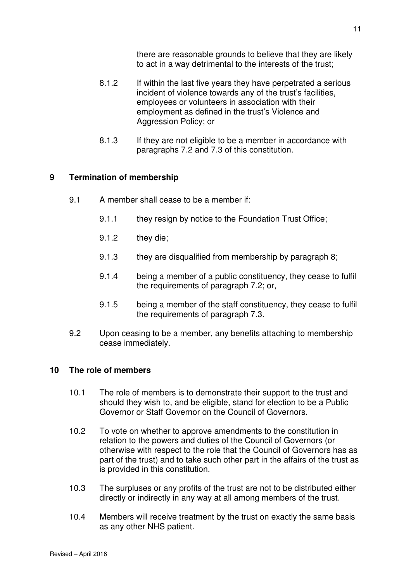there are reasonable grounds to believe that they are likely to act in a way detrimental to the interests of the trust;

- 8.1.2 If within the last five years they have perpetrated a serious incident of violence towards any of the trust's facilities, employees or volunteers in association with their employment as defined in the trust's Violence and Aggression Policy; or
- 8.1.3 If they are not eligible to be a member in accordance with paragraphs 7.2 and 7.3 of this constitution.

### **9 Termination of membership**

- 9.1 A member shall cease to be a member if:
	- 9.1.1 they resign by notice to the Foundation Trust Office;
	- 9.1.2 they die;
	- 9.1.3 they are disqualified from membership by paragraph 8;
	- 9.1.4 being a member of a public constituency, they cease to fulfil the requirements of paragraph 7.2; or,
	- 9.1.5 being a member of the staff constituency, they cease to fulfil the requirements of paragraph 7.3.
- 9.2 Upon ceasing to be a member, any benefits attaching to membership cease immediately.

#### **10 The role of members**

- 10.1 The role of members is to demonstrate their support to the trust and should they wish to, and be eligible, stand for election to be a Public Governor or Staff Governor on the Council of Governors.
- 10.2 To vote on whether to approve amendments to the constitution in relation to the powers and duties of the Council of Governors (or otherwise with respect to the role that the Council of Governors has as part of the trust) and to take such other part in the affairs of the trust as is provided in this constitution.
- 10.3 The surpluses or any profits of the trust are not to be distributed either directly or indirectly in any way at all among members of the trust.
- 10.4 Members will receive treatment by the trust on exactly the same basis as any other NHS patient.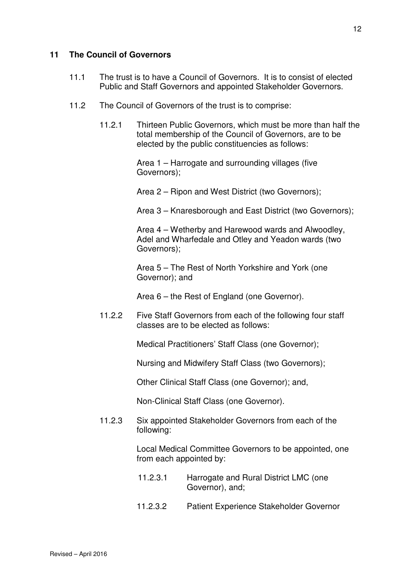## **11 The Council of Governors**

- 11.1 The trust is to have a Council of Governors. It is to consist of elected Public and Staff Governors and appointed Stakeholder Governors.
- 11.2 The Council of Governors of the trust is to comprise:
	- 11.2.1 Thirteen Public Governors, which must be more than half the total membership of the Council of Governors, are to be elected by the public constituencies as follows:

 Area 1 – Harrogate and surrounding villages (five Governors);

Area 2 – Ripon and West District (two Governors);

Area 3 – Knaresborough and East District (two Governors);

 Area 4 – Wetherby and Harewood wards and Alwoodley, Adel and Wharfedale and Otley and Yeadon wards (two Governors);

 Area 5 – The Rest of North Yorkshire and York (one Governor); and

Area 6 – the Rest of England (one Governor).

 11.2.2 Five Staff Governors from each of the following four staff classes are to be elected as follows:

Medical Practitioners' Staff Class (one Governor);

Nursing and Midwifery Staff Class (two Governors);

Other Clinical Staff Class (one Governor); and,

Non-Clinical Staff Class (one Governor).

11.2.3 Six appointed Stakeholder Governors from each of the following:

> Local Medical Committee Governors to be appointed, one from each appointed by:

- 11.2.3.1 Harrogate and Rural District LMC (one Governor), and;
- 11.2.3.2 Patient Experience Stakeholder Governor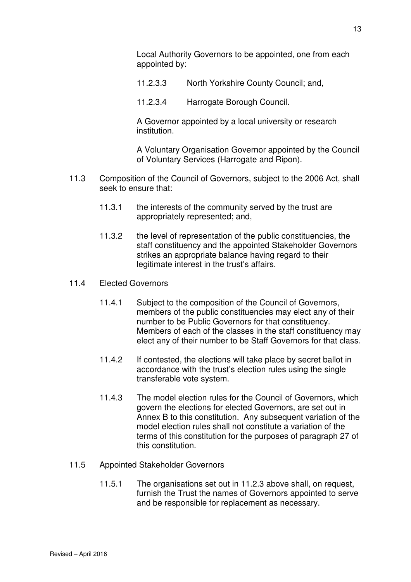Local Authority Governors to be appointed, one from each appointed by:

- 11.2.3.3 North Yorkshire County Council; and,
- 11.2.3.4 Harrogate Borough Council.

 A Governor appointed by a local university or research institution.

 A Voluntary Organisation Governor appointed by the Council of Voluntary Services (Harrogate and Ripon).

- 11.3 Composition of the Council of Governors, subject to the 2006 Act, shall seek to ensure that:
	- 11.3.1 the interests of the community served by the trust are appropriately represented; and,
	- 11.3.2 the level of representation of the public constituencies, the staff constituency and the appointed Stakeholder Governors strikes an appropriate balance having regard to their legitimate interest in the trust's affairs.
- 11.4 Elected Governors
	- 11.4.1 Subject to the composition of the Council of Governors, members of the public constituencies may elect any of their number to be Public Governors for that constituency. Members of each of the classes in the staff constituency may elect any of their number to be Staff Governors for that class.
	- 11.4.2 If contested, the elections will take place by secret ballot in accordance with the trust's election rules using the single transferable vote system.
	- 11.4.3 The model election rules for the Council of Governors, which govern the elections for elected Governors, are set out in Annex B to this constitution. Any subsequent variation of the model election rules shall not constitute a variation of the terms of this constitution for the purposes of paragraph 27 of this constitution.
- 11.5 Appointed Stakeholder Governors
	- 11.5.1 The organisations set out in 11.2.3 above shall, on request, furnish the Trust the names of Governors appointed to serve and be responsible for replacement as necessary.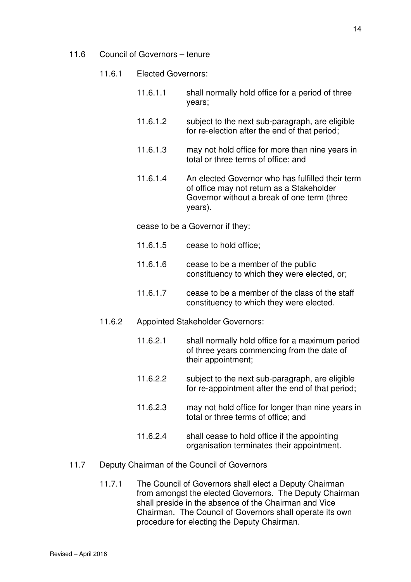- 11.6 Council of Governors tenure
	- 11.6.1 Elected Governors:
		- 11.6.1.1 shall normally hold office for a period of three years;
		- 11.6.1.2 subject to the next sub-paragraph, are eligible for re-election after the end of that period;
		- 11.6.1.3 may not hold office for more than nine years in total or three terms of office; and
		- 11.6.1.4 An elected Governor who has fulfilled their term of office may not return as a Stakeholder Governor without a break of one term (three years).

cease to be a Governor if they:

- 11.6.1.5 cease to hold office;
- 11.6.1.6 cease to be a member of the public constituency to which they were elected, or;
- 11.6.1.7 cease to be a member of the class of the staff constituency to which they were elected.
- 11.6.2 Appointed Stakeholder Governors:
	- 11.6.2.1 shall normally hold office for a maximum period of three years commencing from the date of their appointment;
	- 11.6.2.2 subject to the next sub-paragraph, are eligible for re-appointment after the end of that period;
	- 11.6.2.3 may not hold office for longer than nine years in total or three terms of office; and
	- 11.6.2.4 shall cease to hold office if the appointing organisation terminates their appointment.
- 11.7 Deputy Chairman of the Council of Governors
	- 11.7.1 The Council of Governors shall elect a Deputy Chairman from amongst the elected Governors. The Deputy Chairman shall preside in the absence of the Chairman and Vice Chairman. The Council of Governors shall operate its own procedure for electing the Deputy Chairman.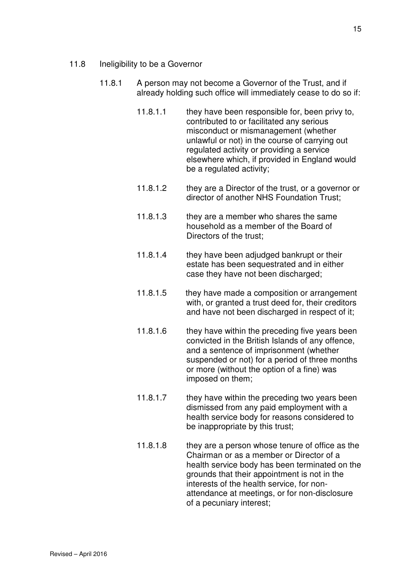- 11.8 Ineligibility to be a Governor
	- 11.8.1 A person may not become a Governor of the Trust, and if already holding such office will immediately cease to do so if:
		- 11.8.1.1 they have been responsible for, been privy to, contributed to or facilitated any serious misconduct or mismanagement (whether unlawful or not) in the course of carrying out regulated activity or providing a service elsewhere which, if provided in England would be a regulated activity;
		- 11.8.1.2 they are a Director of the trust, or a governor or director of another NHS Foundation Trust;
		- 11.8.1.3 they are a member who shares the same household as a member of the Board of Directors of the trust;
		- 11.8.1.4 they have been adjudged bankrupt or their estate has been sequestrated and in either case they have not been discharged;
		- 11.8.1.5 they have made a composition or arrangement with, or granted a trust deed for, their creditors and have not been discharged in respect of it;
		- 11.8.1.6 they have within the preceding five years been convicted in the British Islands of any offence, and a sentence of imprisonment (whether suspended or not) for a period of three months or more (without the option of a fine) was imposed on them;
		- 11.8.1.7 they have within the preceding two years been dismissed from any paid employment with a health service body for reasons considered to be inappropriate by this trust;
		- 11.8.1.8 they are a person whose tenure of office as the Chairman or as a member or Director of a health service body has been terminated on the grounds that their appointment is not in the interests of the health service, for nonattendance at meetings, or for non-disclosure of a pecuniary interest;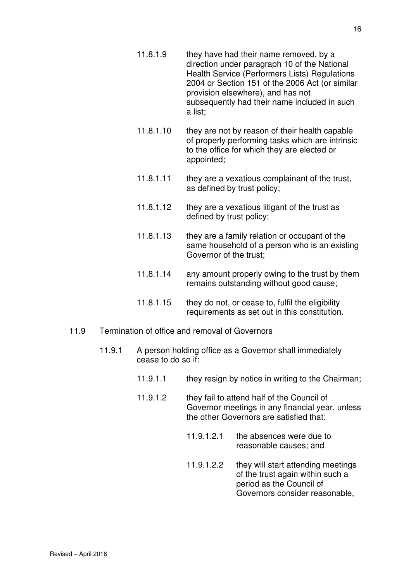Health Service (Performers Lists) Regulations 2004 or Section 151 of the 2006 Act (or similar provision elsewhere), and has not subsequently had their name included in such a list;

- 11.8.1.10 they are not by reason of their health capable of properly performing tasks which are intrinsic to the office for which they are elected or appointed;
- 11.8.1.11 they are a vexatious complainant of the trust, as defined by trust policy;
- 11.8.1.12 they are a vexatious litigant of the trust as defined by trust policy;
- 11.8.1.13 they are a family relation or occupant of the same household of a person who is an existing Governor of the trust;
- 11.8.1.14 any amount properly owing to the trust by them remains outstanding without good cause;
- 11.8.1.15 they do not, or cease to, fulfil the eligibility requirements as set out in this constitution.
- 11.9 Termination of office and removal of Governors
	- 11.9.1 A person holding office as a Governor shall immediately cease to do so if:
		- 11.9.1.1 they resign by notice in writing to the Chairman;
		- 11.9.1.2 they fail to attend half of the Council of Governor meetings in any financial year, unless the other Governors are satisfied that:
			- 11.9.1.2.1 the absences were due to reasonable causes; and
			- 11.9.1.2.2 they will start attending meetings of the trust again within such a period as the Council of Governors consider reasonable,

16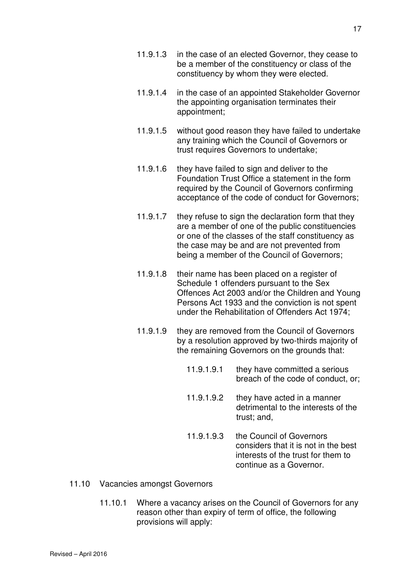- 11.9.1.3 in the case of an elected Governor, they cease to be a member of the constituency or class of the constituency by whom they were elected.
- 11.9.1.4 in the case of an appointed Stakeholder Governor the appointing organisation terminates their appointment;
- 11.9.1.5 without good reason they have failed to undertake any training which the Council of Governors or trust requires Governors to undertake;
- 11.9.1.6 they have failed to sign and deliver to the Foundation Trust Office a statement in the form required by the Council of Governors confirming acceptance of the code of conduct for Governors;
- 11.9.1.7 they refuse to sign the declaration form that they are a member of one of the public constituencies or one of the classes of the staff constituency as the case may be and are not prevented from being a member of the Council of Governors;
- 11.9.1.8 their name has been placed on a register of Schedule 1 offenders pursuant to the Sex Offences Act 2003 and/or the Children and Young Persons Act 1933 and the conviction is not spent under the Rehabilitation of Offenders Act 1974;
- 11.9.1.9 they are removed from the Council of Governors by a resolution approved by two-thirds majority of the remaining Governors on the grounds that:
	- 11.9.1.9.1 they have committed a serious breach of the code of conduct, or;
	- 11.9.1.9.2 they have acted in a manner detrimental to the interests of the trust; and,
	- 11.9.1.9.3 the Council of Governors considers that it is not in the best interests of the trust for them to continue as a Governor.
- 11.10 Vacancies amongst Governors
	- 11.10.1 Where a vacancy arises on the Council of Governors for any reason other than expiry of term of office, the following provisions will apply: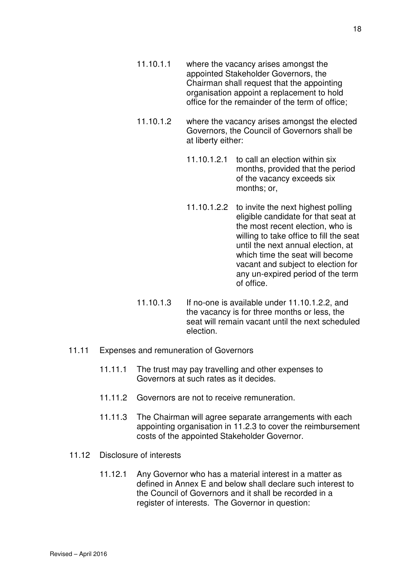- 11.10.1.1 where the vacancy arises amongst the appointed Stakeholder Governors, the Chairman shall request that the appointing organisation appoint a replacement to hold office for the remainder of the term of office;
- 11.10.1.2 where the vacancy arises amongst the elected Governors, the Council of Governors shall be at liberty either:
	- 11.10.1.2.1 to call an election within six months, provided that the period of the vacancy exceeds six months; or,
	- 11.10.1.2.2 to invite the next highest polling eligible candidate for that seat at the most recent election, who is willing to take office to fill the seat until the next annual election, at which time the seat will become vacant and subject to election for any un-expired period of the term of office.
- 11.10.1.3 If no-one is available under 11.10.1.2.2, and the vacancy is for three months or less, the seat will remain vacant until the next scheduled election.
- 11.11 Expenses and remuneration of Governors
	- 11.11.1 The trust may pay travelling and other expenses to Governors at such rates as it decides.
	- 11.11.2 Governors are not to receive remuneration.
	- 11.11.3 The Chairman will agree separate arrangements with each appointing organisation in 11.2.3 to cover the reimbursement costs of the appointed Stakeholder Governor.
- 11.12 Disclosure of interests
	- 11.12.1 Any Governor who has a material interest in a matter as defined in Annex E and below shall declare such interest to the Council of Governors and it shall be recorded in a register of interests. The Governor in question: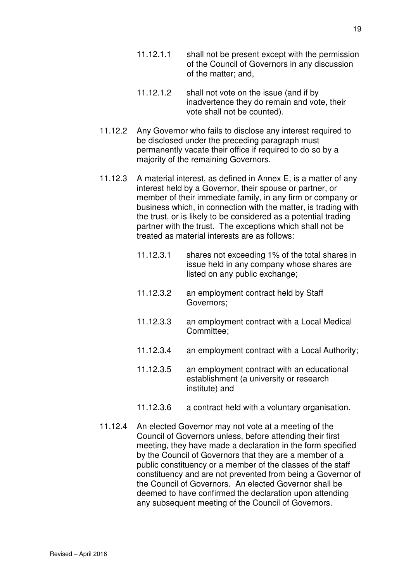- 11.12.1.1 shall not be present except with the permission of the Council of Governors in any discussion of the matter; and,
- 11.12.1.2 shall not vote on the issue (and if by inadvertence they do remain and vote, their vote shall not be counted).
- 11.12.2 Any Governor who fails to disclose any interest required to be disclosed under the preceding paragraph must permanently vacate their office if required to do so by a majority of the remaining Governors.
- 11.12.3 A material interest, as defined in Annex E, is a matter of any interest held by a Governor, their spouse or partner, or member of their immediate family, in any firm or company or business which, in connection with the matter, is trading with the trust, or is likely to be considered as a potential trading partner with the trust. The exceptions which shall not be treated as material interests are as follows:
	- 11.12.3.1 shares not exceeding 1% of the total shares in issue held in any company whose shares are listed on any public exchange;
	- 11.12.3.2 an employment contract held by Staff Governors;
	- 11.12.3.3 an employment contract with a Local Medical Committee;
	- 11.12.3.4 an employment contract with a Local Authority;
	- 11.12.3.5 an employment contract with an educational establishment (a university or research institute) and
	- 11.12.3.6 a contract held with a voluntary organisation.
- 11.12.4 An elected Governor may not vote at a meeting of the Council of Governors unless, before attending their first meeting, they have made a declaration in the form specified by the Council of Governors that they are a member of a public constituency or a member of the classes of the staff constituency and are not prevented from being a Governor of the Council of Governors. An elected Governor shall be deemed to have confirmed the declaration upon attending any subsequent meeting of the Council of Governors.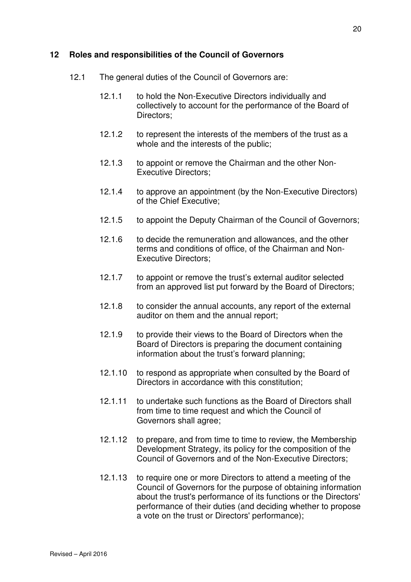#### **12 Roles and responsibilities of the Council of Governors**

- 12.1 The general duties of the Council of Governors are:
	- 12.1.1 to hold the Non-Executive Directors individually and collectively to account for the performance of the Board of Directors;
	- 12.1.2 to represent the interests of the members of the trust as a whole and the interests of the public;
	- 12.1.3 to appoint or remove the Chairman and the other Non-Executive Directors;
	- 12.1.4 to approve an appointment (by the Non-Executive Directors) of the Chief Executive;
	- 12.1.5 to appoint the Deputy Chairman of the Council of Governors;
	- 12.1.6 to decide the remuneration and allowances, and the other terms and conditions of office, of the Chairman and Non-Executive Directors;
	- 12.1.7 to appoint or remove the trust's external auditor selected from an approved list put forward by the Board of Directors;
	- 12.1.8 to consider the annual accounts, any report of the external auditor on them and the annual report;
	- 12.1.9 to provide their views to the Board of Directors when the Board of Directors is preparing the document containing information about the trust's forward planning;
	- 12.1.10 to respond as appropriate when consulted by the Board of Directors in accordance with this constitution;
	- 12.1.11 to undertake such functions as the Board of Directors shall from time to time request and which the Council of Governors shall agree;
	- 12.1.12 to prepare, and from time to time to review, the Membership Development Strategy, its policy for the composition of the Council of Governors and of the Non-Executive Directors;
	- 12.1.13 to require one or more Directors to attend a meeting of the Council of Governors for the purpose of obtaining information about the trust's performance of its functions or the Directors' performance of their duties (and deciding whether to propose a vote on the trust or Directors' performance);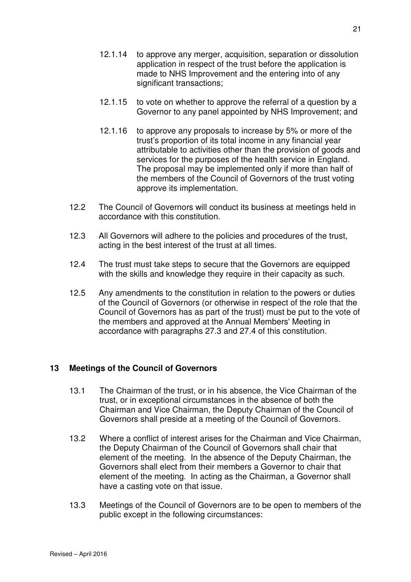- 12.1.14 to approve any merger, acquisition, separation or dissolution application in respect of the trust before the application is made to NHS Improvement and the entering into of any significant transactions;
- 12.1.15 to vote on whether to approve the referral of a question by a Governor to any panel appointed by NHS Improvement; and
- 12.1.16 to approve any proposals to increase by 5% or more of the trust's proportion of its total income in any financial year attributable to activities other than the provision of goods and services for the purposes of the health service in England. The proposal may be implemented only if more than half of the members of the Council of Governors of the trust voting approve its implementation.
- 12.2 The Council of Governors will conduct its business at meetings held in accordance with this constitution.
- 12.3 All Governors will adhere to the policies and procedures of the trust, acting in the best interest of the trust at all times.
- 12.4 The trust must take steps to secure that the Governors are equipped with the skills and knowledge they require in their capacity as such.
- 12.5 Any amendments to the constitution in relation to the powers or duties of the Council of Governors (or otherwise in respect of the role that the Council of Governors has as part of the trust) must be put to the vote of the members and approved at the Annual Members' Meeting in accordance with paragraphs 27.3 and 27.4 of this constitution.

## **13 Meetings of the Council of Governors**

- 13.1 The Chairman of the trust, or in his absence, the Vice Chairman of the trust, or in exceptional circumstances in the absence of both the Chairman and Vice Chairman, the Deputy Chairman of the Council of Governors shall preside at a meeting of the Council of Governors.
- 13.2 Where a conflict of interest arises for the Chairman and Vice Chairman, the Deputy Chairman of the Council of Governors shall chair that element of the meeting. In the absence of the Deputy Chairman, the Governors shall elect from their members a Governor to chair that element of the meeting. In acting as the Chairman, a Governor shall have a casting vote on that issue.
- 13.3 Meetings of the Council of Governors are to be open to members of the public except in the following circumstances: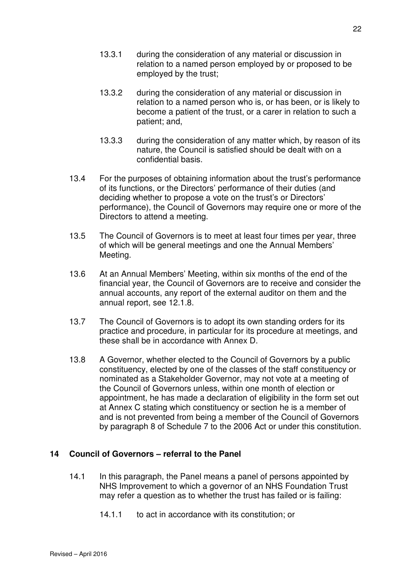- 13.3.1 during the consideration of any material or discussion in relation to a named person employed by or proposed to be employed by the trust;
- 13.3.2 during the consideration of any material or discussion in relation to a named person who is, or has been, or is likely to become a patient of the trust, or a carer in relation to such a patient; and,
- 13.3.3 during the consideration of any matter which, by reason of its nature, the Council is satisfied should be dealt with on a confidential basis.
- 13.4 For the purposes of obtaining information about the trust's performance of its functions, or the Directors' performance of their duties (and deciding whether to propose a vote on the trust's or Directors' performance), the Council of Governors may require one or more of the Directors to attend a meeting.
- 13.5 The Council of Governors is to meet at least four times per year, three of which will be general meetings and one the Annual Members' Meeting.
- 13.6 At an Annual Members' Meeting, within six months of the end of the financial year, the Council of Governors are to receive and consider the annual accounts, any report of the external auditor on them and the annual report, see 12.1.8.
- 13.7 The Council of Governors is to adopt its own standing orders for its practice and procedure, in particular for its procedure at meetings, and these shall be in accordance with Annex D.
- 13.8 A Governor, whether elected to the Council of Governors by a public constituency, elected by one of the classes of the staff constituency or nominated as a Stakeholder Governor, may not vote at a meeting of the Council of Governors unless, within one month of election or appointment, he has made a declaration of eligibility in the form set out at Annex C stating which constituency or section he is a member of and is not prevented from being a member of the Council of Governors by paragraph 8 of Schedule 7 to the 2006 Act or under this constitution.

#### **14 Council of Governors – referral to the Panel**

- 14.1 In this paragraph, the Panel means a panel of persons appointed by NHS Improvement to which a governor of an NHS Foundation Trust may refer a question as to whether the trust has failed or is failing:
	- 14.1.1 to act in accordance with its constitution; or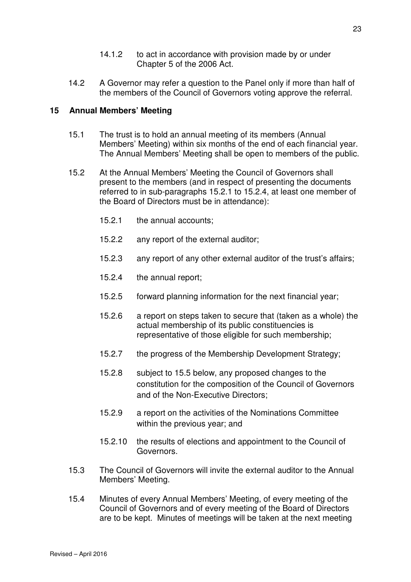- 14.1.2 to act in accordance with provision made by or under Chapter 5 of the 2006 Act.
- 14.2 A Governor may refer a question to the Panel only if more than half of the members of the Council of Governors voting approve the referral.

#### **15 Annual Members' Meeting**

- 15.1 The trust is to hold an annual meeting of its members (Annual Members' Meeting) within six months of the end of each financial year. The Annual Members' Meeting shall be open to members of the public.
- 15.2 At the Annual Members' Meeting the Council of Governors shall present to the members (and in respect of presenting the documents referred to in sub-paragraphs 15.2.1 to 15.2.4, at least one member of the Board of Directors must be in attendance):
	- 15.2.1 the annual accounts;
	- 15.2.2 any report of the external auditor;
	- 15.2.3 any report of any other external auditor of the trust's affairs;
	- 15.2.4 the annual report;
	- 15.2.5 forward planning information for the next financial year;
	- 15.2.6 a report on steps taken to secure that (taken as a whole) the actual membership of its public constituencies is representative of those eligible for such membership;
	- 15.2.7 the progress of the Membership Development Strategy;
	- 15.2.8 subject to 15.5 below, any proposed changes to the constitution for the composition of the Council of Governors and of the Non-Executive Directors;
	- 15.2.9 a report on the activities of the Nominations Committee within the previous year; and
	- 15.2.10 the results of elections and appointment to the Council of Governors.
- 15.3 The Council of Governors will invite the external auditor to the Annual Members' Meeting.
- 15.4 Minutes of every Annual Members' Meeting, of every meeting of the Council of Governors and of every meeting of the Board of Directors are to be kept. Minutes of meetings will be taken at the next meeting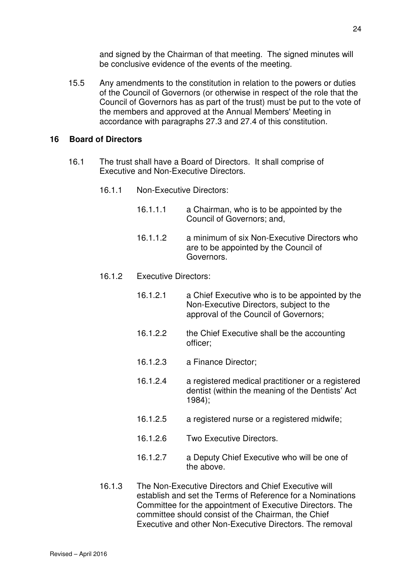and signed by the Chairman of that meeting. The signed minutes will be conclusive evidence of the events of the meeting.

15.5 Any amendments to the constitution in relation to the powers or duties of the Council of Governors (or otherwise in respect of the role that the Council of Governors has as part of the trust) must be put to the vote of the members and approved at the Annual Members' Meeting in accordance with paragraphs 27.3 and 27.4 of this constitution.

#### **16 Board of Directors**

- 16.1 The trust shall have a Board of Directors. It shall comprise of Executive and Non-Executive Directors.
	- 16.1.1 Non-Executive Directors:
		- 16.1.1.1 a Chairman, who is to be appointed by the Council of Governors; and,
		- 16.1.1.2 a minimum of six Non-Executive Directors who are to be appointed by the Council of Governors.
	- 16.1.2 Executive Directors:
		- 16.1.2.1 a Chief Executive who is to be appointed by the Non-Executive Directors, subject to the approval of the Council of Governors;
		- 16.1.2.2 the Chief Executive shall be the accounting officer;
		- 16.1.2.3 a Finance Director;
		- 16.1.2.4 a registered medical practitioner or a registered dentist (within the meaning of the Dentists' Act 1984);
		- 16.1.2.5 a registered nurse or a registered midwife;
		- 16.1.2.6 Two Executive Directors.
		- 16.1.2.7 a Deputy Chief Executive who will be one of the above.
	- 16.1.3 The Non-Executive Directors and Chief Executive will establish and set the Terms of Reference for a Nominations Committee for the appointment of Executive Directors. The committee should consist of the Chairman, the Chief Executive and other Non-Executive Directors. The removal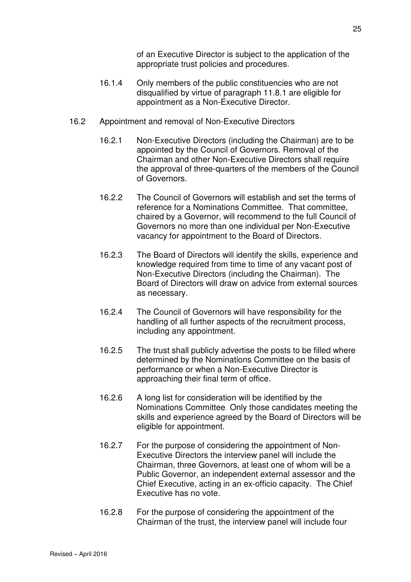of an Executive Director is subject to the application of the appropriate trust policies and procedures.

- 16.1.4 Only members of the public constituencies who are not disqualified by virtue of paragraph 11.8.1 are eligible for appointment as a Non-Executive Director.
- 16.2 Appointment and removal of Non-Executive Directors
	- 16.2.1 Non-Executive Directors (including the Chairman) are to be appointed by the Council of Governors. Removal of the Chairman and other Non-Executive Directors shall require the approval of three-quarters of the members of the Council of Governors.
	- 16.2.2 The Council of Governors will establish and set the terms of reference for a Nominations Committee. That committee, chaired by a Governor, will recommend to the full Council of Governors no more than one individual per Non-Executive vacancy for appointment to the Board of Directors.
	- 16.2.3 The Board of Directors will identify the skills, experience and knowledge required from time to time of any vacant post of Non-Executive Directors (including the Chairman). The Board of Directors will draw on advice from external sources as necessary.
	- 16.2.4 The Council of Governors will have responsibility for the handling of all further aspects of the recruitment process, including any appointment.
	- 16.2.5 The trust shall publicly advertise the posts to be filled where determined by the Nominations Committee on the basis of performance or when a Non-Executive Director is approaching their final term of office.
	- 16.2.6 A long list for consideration will be identified by the Nominations Committee. Only those candidates meeting the skills and experience agreed by the Board of Directors will be eligible for appointment.
	- 16.2.7 For the purpose of considering the appointment of Non-Executive Directors the interview panel will include the Chairman, three Governors, at least one of whom will be a Public Governor, an independent external assessor and the Chief Executive, acting in an ex-officio capacity. The Chief Executive has no vote.
	- 16.2.8 For the purpose of considering the appointment of the Chairman of the trust, the interview panel will include four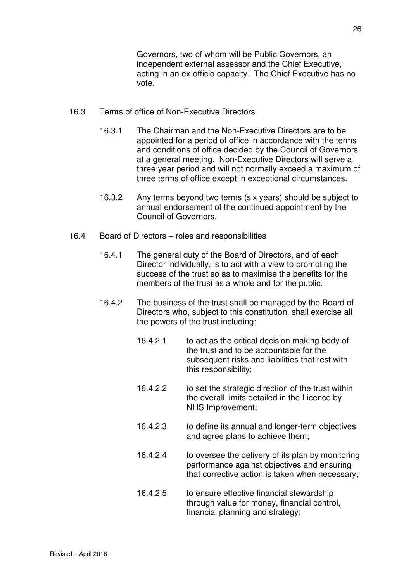Governors, two of whom will be Public Governors, an independent external assessor and the Chief Executive, acting in an ex-officio capacity. The Chief Executive has no vote.

- 16.3 Terms of office of Non-Executive Directors
	- 16.3.1 The Chairman and the Non-Executive Directors are to be appointed for a period of office in accordance with the terms and conditions of office decided by the Council of Governors at a general meeting. Non-Executive Directors will serve a three year period and will not normally exceed a maximum of three terms of office except in exceptional circumstances.
	- 16.3.2 Any terms beyond two terms (six years) should be subject to annual endorsement of the continued appointment by the Council of Governors.
- 16.4 Board of Directors roles and responsibilities
	- 16.4.1 The general duty of the Board of Directors, and of each Director individually, is to act with a view to promoting the success of the trust so as to maximise the benefits for the members of the trust as a whole and for the public.
	- 16.4.2 The business of the trust shall be managed by the Board of Directors who, subject to this constitution, shall exercise all the powers of the trust including:
		- 16.4.2.1 to act as the critical decision making body of the trust and to be accountable for the subsequent risks and liabilities that rest with this responsibility;
		- 16.4.2.2 to set the strategic direction of the trust within the overall limits detailed in the Licence by NHS Improvement;
		- 16.4.2.3 to define its annual and longer-term objectives and agree plans to achieve them;
		- 16.4.2.4 to oversee the delivery of its plan by monitoring performance against objectives and ensuring that corrective action is taken when necessary;
		- 16.4.2.5 to ensure effective financial stewardship through value for money, financial control, financial planning and strategy;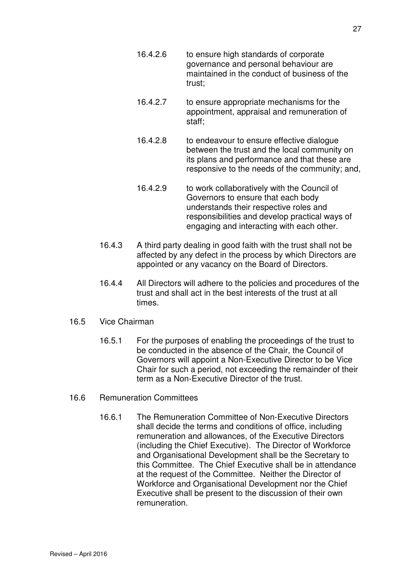- 16.4.2.6 to ensure high standards of corporate governance and personal behaviour are maintained in the conduct of business of the trust;
- 16.4.2.7 to ensure appropriate mechanisms for the appointment, appraisal and remuneration of staff;
- 16.4.2.8 to endeavour to ensure effective dialogue between the trust and the local community on its plans and performance and that these are responsive to the needs of the community; and,
- 16.4.2.9 to work collaboratively with the Council of Governors to ensure that each body understands their respective roles and responsibilities and develop practical ways of engaging and interacting with each other.
- 16.4.3 A third party dealing in good faith with the trust shall not be affected by any defect in the process by which Directors are appointed or any vacancy on the Board of Directors.
- 16.4.4 All Directors will adhere to the policies and procedures of the trust and shall act in the best interests of the trust at all times.
- 16.5 Vice Chairman
	- 16.5.1 For the purposes of enabling the proceedings of the trust to be conducted in the absence of the Chair, the Council of Governors will appoint a Non-Executive Director to be Vice Chair for such a period, not exceeding the remainder of their term as a Non-Executive Director of the trust.
- 16.6 Remuneration Committees
	- 16.6.1 The Remuneration Committee of Non-Executive Directors shall decide the terms and conditions of office, including remuneration and allowances, of the Executive Directors (including the Chief Executive). The Director of Workforce and Organisational Development shall be the Secretary to this Committee. The Chief Executive shall be in attendance at the request of the Committee. Neither the Director of Workforce and Organisational Development nor the Chief Executive shall be present to the discussion of their own remuneration.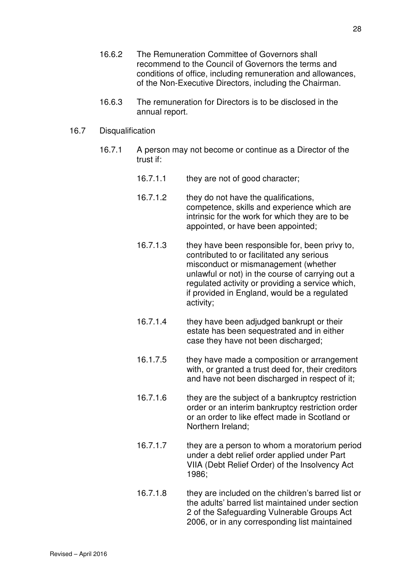- 16.6.2 The Remuneration Committee of Governors shall recommend to the Council of Governors the terms and conditions of office, including remuneration and allowances, of the Non-Executive Directors, including the Chairman.
- 16.6.3 The remuneration for Directors is to be disclosed in the annual report.

#### 16.7 Disqualification

- 16.7.1 A person may not become or continue as a Director of the trust if:
	- 16.7.1.1 they are not of good character;
	- 16.7.1.2 they do not have the qualifications, competence, skills and experience which are intrinsic for the work for which they are to be appointed, or have been appointed;
	- 16.7.1.3 they have been responsible for, been privy to, contributed to or facilitated any serious misconduct or mismanagement (whether unlawful or not) in the course of carrying out a regulated activity or providing a service which, if provided in England, would be a regulated activity;
	- 16.7.1.4 they have been adjudged bankrupt or their estate has been sequestrated and in either case they have not been discharged;
	- 16.1.7.5 they have made a composition or arrangement with, or granted a trust deed for, their creditors and have not been discharged in respect of it;
	- 16.7.1.6 they are the subject of a bankruptcy restriction order or an interim bankruptcy restriction order or an order to like effect made in Scotland or Northern Ireland;
	- 16.7.1.7 they are a person to whom a moratorium period under a debt relief order applied under Part VIIA (Debt Relief Order) of the Insolvency Act 1986;
	- 16.7.1.8 they are included on the children's barred list or the adults' barred list maintained under section 2 of the Safeguarding Vulnerable Groups Act 2006, or in any corresponding list maintained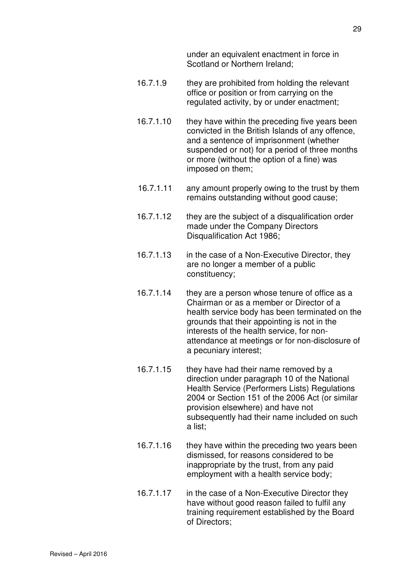under an equivalent enactment in force in Scotland or Northern Ireland;

- 16.7.1.9 they are prohibited from holding the relevant office or position or from carrying on the regulated activity, by or under enactment;
- 16.7.1.10 they have within the preceding five years been convicted in the British Islands of any offence, and a sentence of imprisonment (whether suspended or not) for a period of three months or more (without the option of a fine) was imposed on them;
- 16.7.1.11 any amount properly owing to the trust by them remains outstanding without good cause;
- 16.7.1.12 they are the subject of a disqualification order made under the Company Directors Disqualification Act 1986;
- 16.7.1.13 in the case of a Non-Executive Director, they are no longer a member of a public constituency;
- 16.7.1.14 they are a person whose tenure of office as a Chairman or as a member or Director of a health service body has been terminated on the grounds that their appointing is not in the interests of the health service, for nonattendance at meetings or for non-disclosure of a pecuniary interest;
- 16.7.1.15 they have had their name removed by a direction under paragraph 10 of the National Health Service (Performers Lists) Regulations 2004 or Section 151 of the 2006 Act (or similar provision elsewhere) and have not subsequently had their name included on such a list;
- 16.7.1.16 they have within the preceding two years been dismissed, for reasons considered to be inappropriate by the trust, from any paid employment with a health service body;
- 16.7.1.17 in the case of a Non-Executive Director they have without good reason failed to fulfil any training requirement established by the Board of Directors;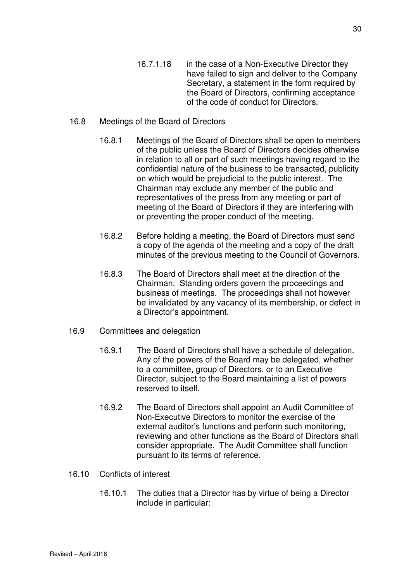have failed to sign and deliver to the Company Secretary, a statement in the form required by the Board of Directors, confirming acceptance of the code of conduct for Directors.

## 16.8 Meetings of the Board of Directors

- 16.8.1 Meetings of the Board of Directors shall be open to members of the public unless the Board of Directors decides otherwise in relation to all or part of such meetings having regard to the confidential nature of the business to be transacted, publicity on which would be prejudicial to the public interest. The Chairman may exclude any member of the public and representatives of the press from any meeting or part of meeting of the Board of Directors if they are interfering with or preventing the proper conduct of the meeting.
- 16.8.2 Before holding a meeting, the Board of Directors must send a copy of the agenda of the meeting and a copy of the draft minutes of the previous meeting to the Council of Governors.
- 16.8.3 The Board of Directors shall meet at the direction of the Chairman. Standing orders govern the proceedings and business of meetings. The proceedings shall not however be invalidated by any vacancy of its membership, or defect in a Director's appointment.
- 16.9 Committees and delegation
	- 16.9.1 The Board of Directors shall have a schedule of delegation. Any of the powers of the Board may be delegated, whether to a committee, group of Directors, or to an Executive Director, subject to the Board maintaining a list of powers reserved to itself.
	- 16.9.2 The Board of Directors shall appoint an Audit Committee of Non-Executive Directors to monitor the exercise of the external auditor's functions and perform such monitoring, reviewing and other functions as the Board of Directors shall consider appropriate. The Audit Committee shall function pursuant to its terms of reference.
- 16.10 Conflicts of interest
	- 16.10.1 The duties that a Director has by virtue of being a Director include in particular: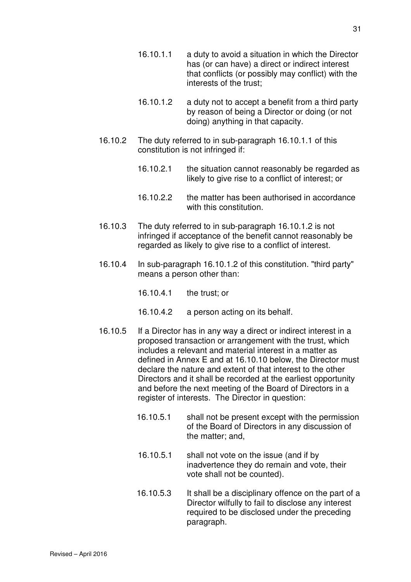- 16.10.1.2 a duty not to accept a benefit from a third party by reason of being a Director or doing (or not doing) anything in that capacity.
- 16.10.2 The duty referred to in sub-paragraph 16.10.1.1 of this constitution is not infringed if:

interests of the trust;

- 16.10.2.1 the situation cannot reasonably be regarded as likely to give rise to a conflict of interest; or
- 16.10.2.2 the matter has been authorised in accordance with this constitution.
- 16.10.3 The duty referred to in sub-paragraph 16.10.1.2 is not infringed if acceptance of the benefit cannot reasonably be regarded as likely to give rise to a conflict of interest.
- 16.10.4 In sub-paragraph 16.10.1.2 of this constitution. "third party" means a person other than:
	- 16.10.4.1 the trust; or
	- 16.10.4.2 a person acting on its behalf.
- 16.10.5 If a Director has in any way a direct or indirect interest in a proposed transaction or arrangement with the trust, which includes a relevant and material interest in a matter as defined in Annex E and at 16.10.10 below, the Director must declare the nature and extent of that interest to the other Directors and it shall be recorded at the earliest opportunity and before the next meeting of the Board of Directors in a register of interests. The Director in question:
	- 16.10.5.1 shall not be present except with the permission of the Board of Directors in any discussion of the matter; and,
	- 16.10.5.1 shall not vote on the issue (and if by inadvertence they do remain and vote, their vote shall not be counted).
	- 16.10.5.3 It shall be a disciplinary offence on the part of a Director wilfully to fail to disclose any interest required to be disclosed under the preceding paragraph.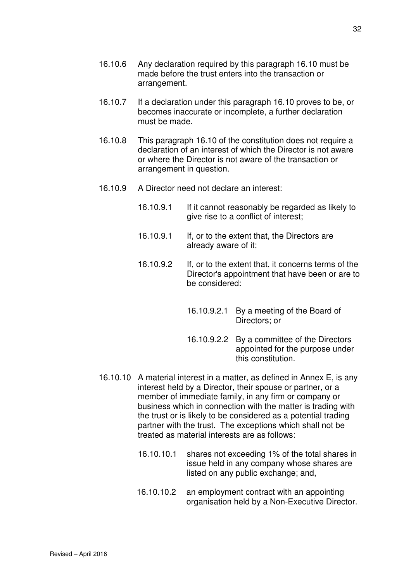- 16.10.6 Any declaration required by this paragraph 16.10 must be made before the trust enters into the transaction or arrangement.
- 16.10.7 If a declaration under this paragraph 16.10 proves to be, or becomes inaccurate or incomplete, a further declaration must be made.
- 16.10.8 This paragraph 16.10 of the constitution does not require a declaration of an interest of which the Director is not aware or where the Director is not aware of the transaction or arrangement in question.
- 16.10.9 A Director need not declare an interest:
	- 16.10.9.1 If it cannot reasonably be regarded as likely to give rise to a conflict of interest;
	- 16.10.9.1 If, or to the extent that, the Directors are already aware of it;
	- 16.10.9.2 If, or to the extent that, it concerns terms of the Director's appointment that have been or are to be considered:
		- 16.10.9.2.1 By a meeting of the Board of Directors; or
		- 16.10.9.2.2 By a committee of the Directors appointed for the purpose under this constitution.
- 16.10.10 A material interest in a matter, as defined in Annex E, is any interest held by a Director, their spouse or partner, or a member of immediate family, in any firm or company or business which in connection with the matter is trading with the trust or is likely to be considered as a potential trading partner with the trust. The exceptions which shall not be treated as material interests are as follows:
	- 16.10.10.1 shares not exceeding 1% of the total shares in issue held in any company whose shares are listed on any public exchange; and,
	- 16.10.10.2 an employment contract with an appointing organisation held by a Non-Executive Director.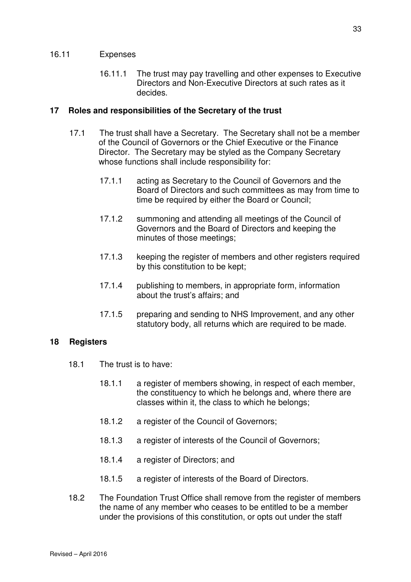#### 16.11 Expenses

16.11.1 The trust may pay travelling and other expenses to Executive Directors and Non-Executive Directors at such rates as it decides.

#### **17 Roles and responsibilities of the Secretary of the trust**

- 17.1 The trust shall have a Secretary. The Secretary shall not be a member of the Council of Governors or the Chief Executive or the Finance Director. The Secretary may be styled as the Company Secretary whose functions shall include responsibility for:
	- 17.1.1 acting as Secretary to the Council of Governors and the Board of Directors and such committees as may from time to time be required by either the Board or Council;
	- 17.1.2 summoning and attending all meetings of the Council of Governors and the Board of Directors and keeping the minutes of those meetings;
	- 17.1.3 keeping the register of members and other registers required by this constitution to be kept;
	- 17.1.4 publishing to members, in appropriate form, information about the trust's affairs; and
	- 17.1.5 preparing and sending to NHS Improvement, and any other statutory body, all returns which are required to be made.

## **18 Registers**

- 18.1 The trust is to have:
	- 18.1.1 a register of members showing, in respect of each member, the constituency to which he belongs and, where there are classes within it, the class to which he belongs;
	- 18.1.2 a register of the Council of Governors;
	- 18.1.3 a register of interests of the Council of Governors;
	- 18.1.4 a register of Directors; and
	- 18.1.5 a register of interests of the Board of Directors.
- 18.2 The Foundation Trust Office shall remove from the register of members the name of any member who ceases to be entitled to be a member under the provisions of this constitution, or opts out under the staff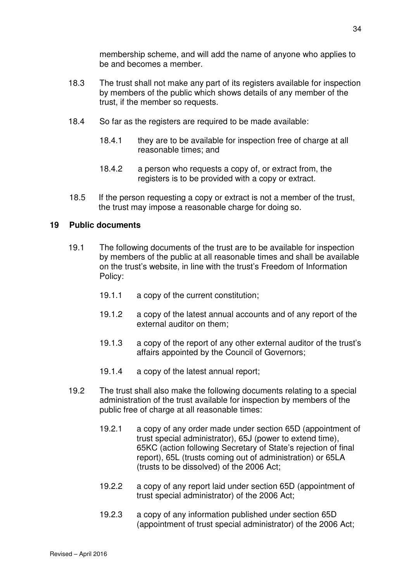membership scheme, and will add the name of anyone who applies to be and becomes a member.

- 18.3 The trust shall not make any part of its registers available for inspection by members of the public which shows details of any member of the trust, if the member so requests.
- 18.4 So far as the registers are required to be made available:
	- 18.4.1 they are to be available for inspection free of charge at all reasonable times; and
	- 18.4.2 a person who requests a copy of, or extract from, the registers is to be provided with a copy or extract.
- 18.5 If the person requesting a copy or extract is not a member of the trust, the trust may impose a reasonable charge for doing so.

#### **19 Public documents**

- 19.1 The following documents of the trust are to be available for inspection by members of the public at all reasonable times and shall be available on the trust's website, in line with the trust's Freedom of Information Policy:
	- 19.1.1 a copy of the current constitution;
	- 19.1.2 a copy of the latest annual accounts and of any report of the external auditor on them;
	- 19.1.3 a copy of the report of any other external auditor of the trust's affairs appointed by the Council of Governors;
	- 19.1.4 a copy of the latest annual report;
- 19.2 The trust shall also make the following documents relating to a special administration of the trust available for inspection by members of the public free of charge at all reasonable times:
	- 19.2.1 a copy of any order made under section 65D (appointment of trust special administrator), 65J (power to extend time), 65KC (action following Secretary of State's rejection of final report), 65L (trusts coming out of administration) or 65LA (trusts to be dissolved) of the 2006 Act;
	- 19.2.2 a copy of any report laid under section 65D (appointment of trust special administrator) of the 2006 Act;
	- 19.2.3 a copy of any information published under section 65D (appointment of trust special administrator) of the 2006 Act;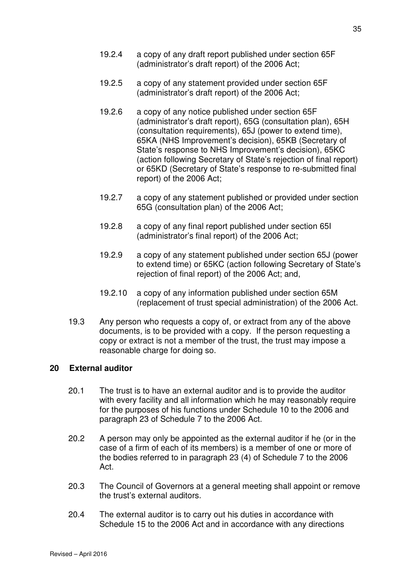- 19.2.5 a copy of any statement provided under section 65F (administrator's draft report) of the 2006 Act;
- 19.2.6 a copy of any notice published under section 65F (administrator's draft report), 65G (consultation plan), 65H (consultation requirements), 65J (power to extend time), 65KA (NHS Improvement's decision), 65KB (Secretary of State's response to NHS Improvement's decision), 65KC (action following Secretary of State's rejection of final report) or 65KD (Secretary of State's response to re-submitted final report) of the 2006 Act;
- 19.2.7 a copy of any statement published or provided under section 65G (consultation plan) of the 2006 Act;
- 19.2.8 a copy of any final report published under section 65I (administrator's final report) of the 2006 Act;
- 19.2.9 a copy of any statement published under section 65J (power to extend time) or 65KC (action following Secretary of State's rejection of final report) of the 2006 Act; and,
- 19.2.10 a copy of any information published under section 65M (replacement of trust special administration) of the 2006 Act.
- 19.3 Any person who requests a copy of, or extract from any of the above documents, is to be provided with a copy. If the person requesting a copy or extract is not a member of the trust, the trust may impose a reasonable charge for doing so.

#### **20 External auditor**

- 20.1 The trust is to have an external auditor and is to provide the auditor with every facility and all information which he may reasonably require for the purposes of his functions under Schedule 10 to the 2006 and paragraph 23 of Schedule 7 to the 2006 Act.
- 20.2 A person may only be appointed as the external auditor if he (or in the case of a firm of each of its members) is a member of one or more of the bodies referred to in paragraph 23 (4) of Schedule 7 to the 2006 Act.
- 20.3 The Council of Governors at a general meeting shall appoint or remove the trust's external auditors.
- 20.4 The external auditor is to carry out his duties in accordance with Schedule 15 to the 2006 Act and in accordance with any directions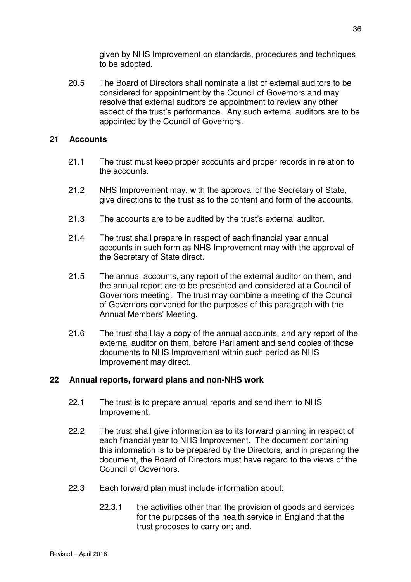given by NHS Improvement on standards, procedures and techniques to be adopted.

 20.5 The Board of Directors shall nominate a list of external auditors to be considered for appointment by the Council of Governors and may resolve that external auditors be appointment to review any other aspect of the trust's performance. Any such external auditors are to be appointed by the Council of Governors.

## **21 Accounts**

- 21.1 The trust must keep proper accounts and proper records in relation to the accounts.
- 21.2 NHS Improvement may, with the approval of the Secretary of State, give directions to the trust as to the content and form of the accounts.
- 21.3 The accounts are to be audited by the trust's external auditor.
- 21.4 The trust shall prepare in respect of each financial year annual accounts in such form as NHS Improvement may with the approval of the Secretary of State direct.
- 21.5 The annual accounts, any report of the external auditor on them, and the annual report are to be presented and considered at a Council of Governors meeting. The trust may combine a meeting of the Council of Governors convened for the purposes of this paragraph with the Annual Members' Meeting.
- 21.6 The trust shall lay a copy of the annual accounts, and any report of the external auditor on them, before Parliament and send copies of those documents to NHS Improvement within such period as NHS Improvement may direct.

# **22 Annual reports, forward plans and non-NHS work**

- 22.1 The trust is to prepare annual reports and send them to NHS Improvement.
- 22.2 The trust shall give information as to its forward planning in respect of each financial year to NHS Improvement. The document containing this information is to be prepared by the Directors, and in preparing the document, the Board of Directors must have regard to the views of the Council of Governors.
- 22.3 Each forward plan must include information about:
	- 22.3.1 the activities other than the provision of goods and services for the purposes of the health service in England that the trust proposes to carry on; and.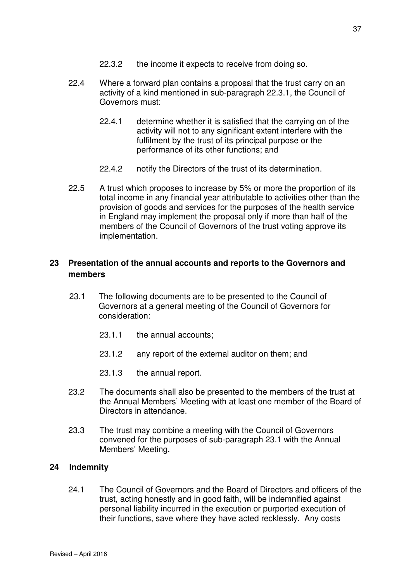- 22.3.2 the income it expects to receive from doing so.
- 22.4 Where a forward plan contains a proposal that the trust carry on an activity of a kind mentioned in sub-paragraph 22.3.1, the Council of Governors must:
	- 22.4.1 determine whether it is satisfied that the carrying on of the activity will not to any significant extent interfere with the fulfilment by the trust of its principal purpose or the performance of its other functions; and
	- 22.4.2 notify the Directors of the trust of its determination.
- 22.5 A trust which proposes to increase by 5% or more the proportion of its total income in any financial year attributable to activities other than the provision of goods and services for the purposes of the health service in England may implement the proposal only if more than half of the members of the Council of Governors of the trust voting approve its implementation.

# **23 Presentation of the annual accounts and reports to the Governors and members**

- 23.1 The following documents are to be presented to the Council of Governors at a general meeting of the Council of Governors for consideration:
	- 23.1.1 the annual accounts;
	- 23.1.2 any report of the external auditor on them; and
	- 23.1.3 the annual report.
- 23.2 The documents shall also be presented to the members of the trust at the Annual Members' Meeting with at least one member of the Board of Directors in attendance.
- 23.3 The trust may combine a meeting with the Council of Governors convened for the purposes of sub-paragraph 23.1 with the Annual Members' Meeting.

### **24 Indemnity**

24.1 The Council of Governors and the Board of Directors and officers of the trust, acting honestly and in good faith, will be indemnified against personal liability incurred in the execution or purported execution of their functions, save where they have acted recklessly. Any costs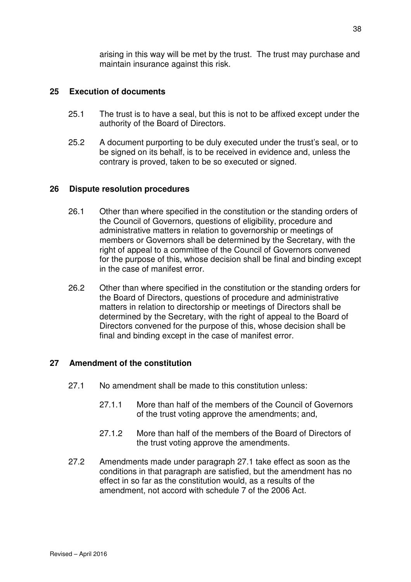arising in this way will be met by the trust. The trust may purchase and maintain insurance against this risk.

### **25 Execution of documents**

- 25.1 The trust is to have a seal, but this is not to be affixed except under the authority of the Board of Directors.
- 25.2 A document purporting to be duly executed under the trust's seal, or to be signed on its behalf, is to be received in evidence and, unless the contrary is proved, taken to be so executed or signed.

### **26 Dispute resolution procedures**

- 26.1 Other than where specified in the constitution or the standing orders of the Council of Governors, questions of eligibility, procedure and administrative matters in relation to governorship or meetings of members or Governors shall be determined by the Secretary, with the right of appeal to a committee of the Council of Governors convened for the purpose of this, whose decision shall be final and binding except in the case of manifest error.
- 26.2 Other than where specified in the constitution or the standing orders for the Board of Directors, questions of procedure and administrative matters in relation to directorship or meetings of Directors shall be determined by the Secretary, with the right of appeal to the Board of Directors convened for the purpose of this, whose decision shall be final and binding except in the case of manifest error.

## **27 Amendment of the constitution**

- 27.1 No amendment shall be made to this constitution unless:
	- 27.1.1 More than half of the members of the Council of Governors of the trust voting approve the amendments; and,
	- 27.1.2 More than half of the members of the Board of Directors of the trust voting approve the amendments.
- 27.2 Amendments made under paragraph 27.1 take effect as soon as the conditions in that paragraph are satisfied, but the amendment has no effect in so far as the constitution would, as a results of the amendment, not accord with schedule 7 of the 2006 Act.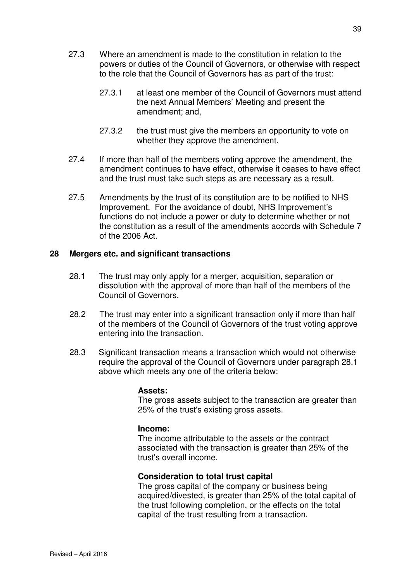- 27.3 Where an amendment is made to the constitution in relation to the powers or duties of the Council of Governors, or otherwise with respect to the role that the Council of Governors has as part of the trust:
	- 27.3.1 at least one member of the Council of Governors must attend the next Annual Members' Meeting and present the amendment; and,
	- 27.3.2 the trust must give the members an opportunity to vote on whether they approve the amendment.
- 27.4 If more than half of the members voting approve the amendment, the amendment continues to have effect, otherwise it ceases to have effect and the trust must take such steps as are necessary as a result.
- 27.5 Amendments by the trust of its constitution are to be notified to NHS Improvement. For the avoidance of doubt, NHS Improvement's functions do not include a power or duty to determine whether or not the constitution as a result of the amendments accords with Schedule 7 of the 2006 Act.

## **28 Mergers etc. and significant transactions**

- 28.1 The trust may only apply for a merger, acquisition, separation or dissolution with the approval of more than half of the members of the Council of Governors.
- 28.2 The trust may enter into a significant transaction only if more than half of the members of the Council of Governors of the trust voting approve entering into the transaction.
- 28.3 Significant transaction means a transaction which would not otherwise require the approval of the Council of Governors under paragraph 28.1 above which meets any one of the criteria below:

### **Assets:**

The gross assets subject to the transaction are greater than 25% of the trust's existing gross assets.

### **Income:**

The income attributable to the assets or the contract associated with the transaction is greater than 25% of the trust's overall income.

### **Consideration to total trust capital**

The gross capital of the company or business being acquired/divested, is greater than 25% of the total capital of the trust following completion, or the effects on the total capital of the trust resulting from a transaction.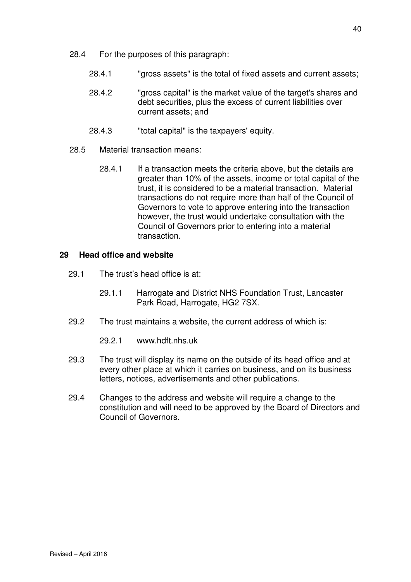- 28.4 For the purposes of this paragraph:
	- 28.4.1 "gross assets" is the total of fixed assets and current assets;
	- 28.4.2 "gross capital" is the market value of the target's shares and debt securities, plus the excess of current liabilities over current assets; and
	- 28.4.3 "total capital" is the taxpayers' equity.
- 28.5 Material transaction means:
	- 28.4.1 If a transaction meets the criteria above, but the details are greater than 10% of the assets, income or total capital of the trust, it is considered to be a material transaction. Material transactions do not require more than half of the Council of Governors to vote to approve entering into the transaction however, the trust would undertake consultation with the Council of Governors prior to entering into a material transaction.

## **29 Head office and website**

- 29.1 The trust's head office is at:
	- 29.1.1 Harrogate and District NHS Foundation Trust, Lancaster Park Road, Harrogate, HG2 7SX.
- 29.2 The trust maintains a website, the current address of which is:

29.2.1 www.hdft.nhs.uk

- 29.3 The trust will display its name on the outside of its head office and at every other place at which it carries on business, and on its business letters, notices, advertisements and other publications.
- 29.4 Changes to the address and website will require a change to the constitution and will need to be approved by the Board of Directors and Council of Governors.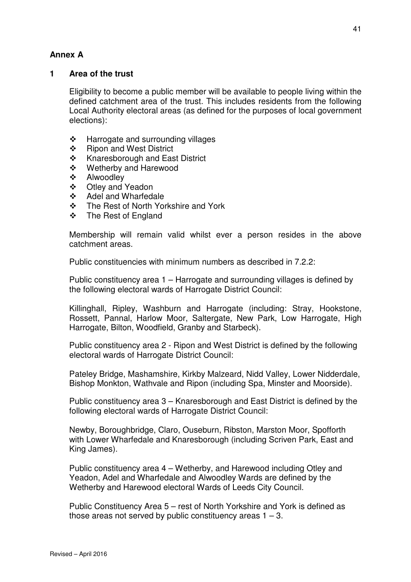# **Annex A**

## **1 Area of the trust**

Eligibility to become a public member will be available to people living within the defined catchment area of the trust. This includes residents from the following Local Authority electoral areas (as defined for the purposes of local government elections):

- $\div$  Harrogate and surrounding villages
- ❖ Ripon and West District
- ❖ Knaresborough and East District
- Wetherby and Harewood
- ❖ Alwoodley
- Otley and Yeadon
- Adel and Wharfedale
- ❖ The Rest of North Yorkshire and York
- The Rest of England

Membership will remain valid whilst ever a person resides in the above catchment areas.

Public constituencies with minimum numbers as described in 7.2.2:

Public constituency area 1 – Harrogate and surrounding villages is defined by the following electoral wards of Harrogate District Council:

Killinghall, Ripley, Washburn and Harrogate (including: Stray, Hookstone, Rossett, Pannal, Harlow Moor, Saltergate, New Park, Low Harrogate, High Harrogate, Bilton, Woodfield, Granby and Starbeck).

Public constituency area 2 - Ripon and West District is defined by the following electoral wards of Harrogate District Council:

Pateley Bridge, Mashamshire, Kirkby Malzeard, Nidd Valley, Lower Nidderdale, Bishop Monkton, Wathvale and Ripon (including Spa, Minster and Moorside).

Public constituency area 3 – Knaresborough and East District is defined by the following electoral wards of Harrogate District Council:

Newby, Boroughbridge, Claro, Ouseburn, Ribston, Marston Moor, Spofforth with Lower Wharfedale and Knaresborough (including Scriven Park, East and King James).

Public constituency area 4 – Wetherby, and Harewood including Otley and Yeadon, Adel and Wharfedale and Alwoodley Wards are defined by the Wetherby and Harewood electoral Wards of Leeds City Council.

Public Constituency Area 5 – rest of North Yorkshire and York is defined as those areas not served by public constituency areas  $1 - 3$ .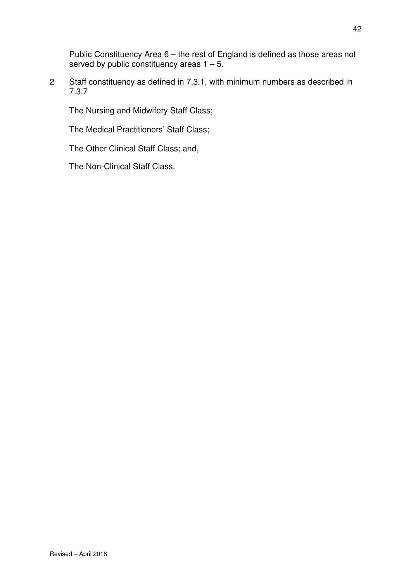Public Constituency Area 6 – the rest of England is defined as those areas not served by public constituency areas  $1 - 5$ .

2 Staff constituency as defined in 7.3.1, with minimum numbers as described in 7.3.7

The Nursing and Midwifery Staff Class;

The Medical Practitioners' Staff Class;

The Other Clinical Staff Class; and,

The Non-Clinical Staff Class.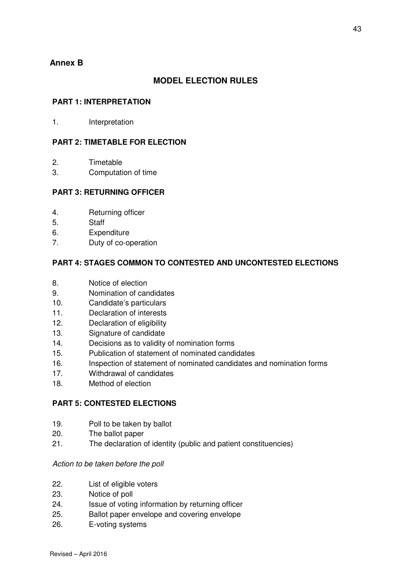# **Annex B**

## **MODEL ELECTION RULES**

#### **PART 1: INTERPRETATION**

1. Interpretation

### **PART 2: TIMETABLE FOR ELECTION**

- 2. Timetable
- 3. Computation of time

#### **PART 3: RETURNING OFFICER**

- 4. Returning officer
- 5. Staff
- 6. Expenditure
- 7. Duty of co-operation

### **PART 4: STAGES COMMON TO CONTESTED AND UNCONTESTED ELECTIONS**

- 8. Notice of election
- 9. Nomination of candidates
- 10. Candidate's particulars
- 11. Declaration of interests
- 12. Declaration of eligibility
- 13. Signature of candidate
- 14. Decisions as to validity of nomination forms
- 15. Publication of statement of nominated candidates
- 16. Inspection of statement of nominated candidates and nomination forms
- 17. Withdrawal of candidates
- 18. Method of election

#### **PART 5: CONTESTED ELECTIONS**

- 19. Poll to be taken by ballot
- 20. The ballot paper
- 21. The declaration of identity (public and patient constituencies)

#### Action to be taken before the poll

- 22. List of eligible voters
- 23. Notice of poll
- 24. Issue of voting information by returning officer
- 25. Ballot paper envelope and covering envelope
- 26. E-voting systems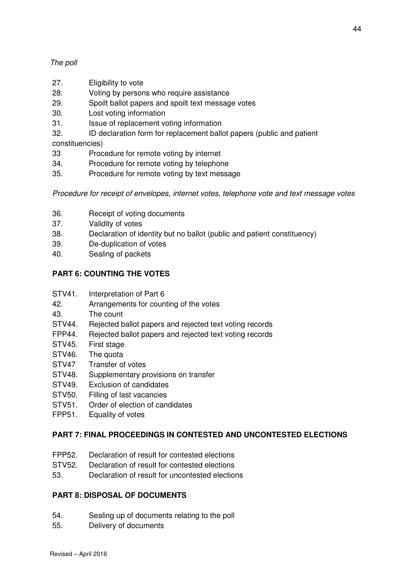## The poll

- 27. Eligibility to vote
- 28. Voting by persons who require assistance
- 29. Spoilt ballot papers and spoilt text message votes
- 30. Lost voting information
- 31. Issue of replacement voting information
- 32. ID declaration form for replacement ballot papers (public and patient

constituencies)

- 33 Procedure for remote voting by internet
- 34. Procedure for remote voting by telephone
- 35. Procedure for remote voting by text message

Procedure for receipt of envelopes, internet votes, telephone vote and text message votes

- 36. Receipt of voting documents
- 37. Validity of votes
- 38. Declaration of identity but no ballot (public and patient constituency)
- 39. De-duplication of votes
- 40. Sealing of packets

## **PART 6: COUNTING THE VOTES**

- STV41. Interpretation of Part 6
- 42. Arrangements for counting of the votes
- 43. The count
- STV44. Rejected ballot papers and rejected text voting records
- FPP44. Rejected ballot papers and rejected text voting records
- STV45. First stage
- STV46. The quota
- STV47 Transfer of votes
- STV48. Supplementary provisions on transfer
- STV49. Exclusion of candidates
- STV50. Filling of last vacancies
- STV51. Order of election of candidates
- FPP51. Equality of votes

### **PART 7: FINAL PROCEEDINGS IN CONTESTED AND UNCONTESTED ELECTIONS**

- FPP52. Declaration of result for contested elections
- STV52. Declaration of result for contested elections
- 53. Declaration of result for uncontested elections

### **PART 8: DISPOSAL OF DOCUMENTS**

- 54. Sealing up of documents relating to the poll
- 55. Delivery of documents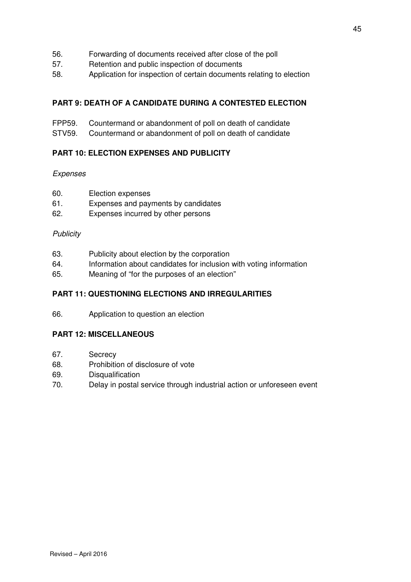- 56. Forwarding of documents received after close of the poll
- 57. Retention and public inspection of documents
- 58. Application for inspection of certain documents relating to election

## **PART 9: DEATH OF A CANDIDATE DURING A CONTESTED ELECTION**

- FPP59. Countermand or abandonment of poll on death of candidate
- STV59. Countermand or abandonment of poll on death of candidate

## **PART 10: ELECTION EXPENSES AND PUBLICITY**

### Expenses

- 60. Election expenses
- 61. Expenses and payments by candidates
- 62. Expenses incurred by other persons

### **Publicity**

- 63. Publicity about election by the corporation
- 64. Information about candidates for inclusion with voting information
- 65. Meaning of "for the purposes of an election"

## **PART 11: QUESTIONING ELECTIONS AND IRREGULARITIES**

66. Application to question an election

## **PART 12: MISCELLANEOUS**

- 67. Secrecy
- 68. Prohibition of disclosure of vote
- 69. Disqualification
- 70. Delay in postal service through industrial action or unforeseen event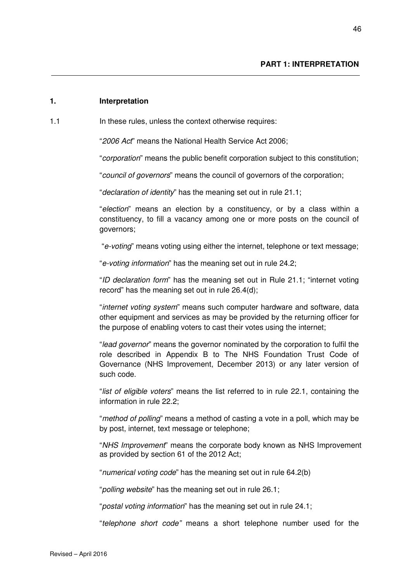#### **1. Interpretation**

1.1 **In these rules, unless the context otherwise requires:** 

"2006 Act" means the National Health Service Act 2006;

"corporation" means the public benefit corporation subject to this constitution;

"council of governors" means the council of governors of the corporation;

"declaration of identity" has the meaning set out in rule 21.1;

"election" means an election by a constituency, or by a class within a constituency, to fill a vacancy among one or more posts on the council of governors;

"e-voting" means voting using either the internet, telephone or text message;

"e-voting information" has the meaning set out in rule 24.2;

"ID declaration form" has the meaning set out in Rule 21.1; "internet voting record" has the meaning set out in rule 26.4(d);

"internet voting system" means such computer hardware and software, data other equipment and services as may be provided by the returning officer for the purpose of enabling voters to cast their votes using the internet;

"lead governor" means the governor nominated by the corporation to fulfil the role described in Appendix B to The NHS Foundation Trust Code of Governance (NHS Improvement, December 2013) or any later version of such code.

"list of eligible voters" means the list referred to in rule 22.1, containing the information in rule 22.2;

"method of polling" means a method of casting a vote in a poll, which may be by post, internet, text message or telephone;

"NHS Improvement" means the corporate body known as NHS Improvement as provided by section 61 of the 2012 Act;

"numerical voting code" has the meaning set out in rule 64.2(b)

"polling website" has the meaning set out in rule 26.1;

"postal voting information" has the meaning set out in rule 24.1;

"telephone short code" means a short telephone number used for the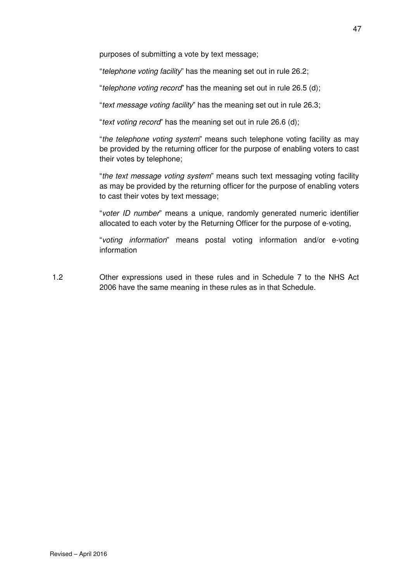purposes of submitting a vote by text message;

"telephone voting facility" has the meaning set out in rule 26.2;

"telephone voting record" has the meaning set out in rule 26.5 (d);

"text message voting facility" has the meaning set out in rule 26.3;

"text voting record" has the meaning set out in rule 26.6 (d);

"the telephone voting system" means such telephone voting facility as may be provided by the returning officer for the purpose of enabling voters to cast their votes by telephone;

"the text message voting system" means such text messaging voting facility as may be provided by the returning officer for the purpose of enabling voters to cast their votes by text message;

"voter ID number" means a unique, randomly generated numeric identifier allocated to each voter by the Returning Officer for the purpose of e-voting,

"voting information" means postal voting information and/or e-voting information

1.2 Other expressions used in these rules and in Schedule 7 to the NHS Act 2006 have the same meaning in these rules as in that Schedule.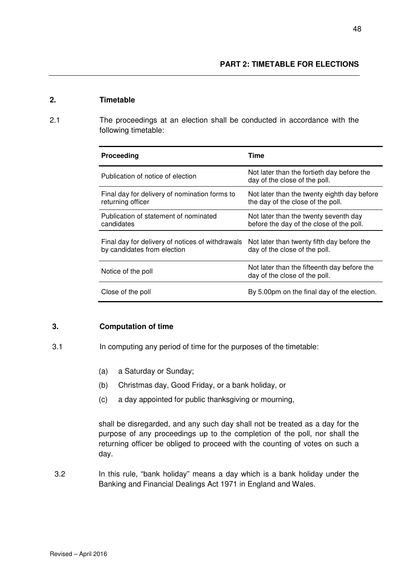#### **2. Timetable**

2.1 The proceedings at an election shall be conducted in accordance with the following timetable:

| <b>Proceeding</b>                                                               | Time                                                                              |
|---------------------------------------------------------------------------------|-----------------------------------------------------------------------------------|
| Publication of notice of election                                               | Not later than the fortieth day before the<br>day of the close of the poll.       |
| Final day for delivery of nomination forms to<br>returning officer              | Not later than the twenty eighth day before<br>the day of the close of the poll.  |
| Publication of statement of nominated<br>candidates                             | Not later than the twenty seventh day<br>before the day of the close of the poll. |
| Final day for delivery of notices of withdrawals<br>by candidates from election | Not later than twenty fifth day before the<br>day of the close of the poll.       |
| Notice of the poll                                                              | Not later than the fifteenth day before the<br>day of the close of the poll.      |
| Close of the poll                                                               | By 5.00pm on the final day of the election.                                       |

### **3. Computation of time**

- 3.1 In computing any period of time for the purposes of the timetable:
	- (a) a Saturday or Sunday;
	- (b) Christmas day, Good Friday, or a bank holiday, or
	- (c) a day appointed for public thanksgiving or mourning,

shall be disregarded, and any such day shall not be treated as a day for the purpose of any proceedings up to the completion of the poll, nor shall the returning officer be obliged to proceed with the counting of votes on such a day.

3.2 In this rule, "bank holiday" means a day which is a bank holiday under the Banking and Financial Dealings Act 1971 in England and Wales.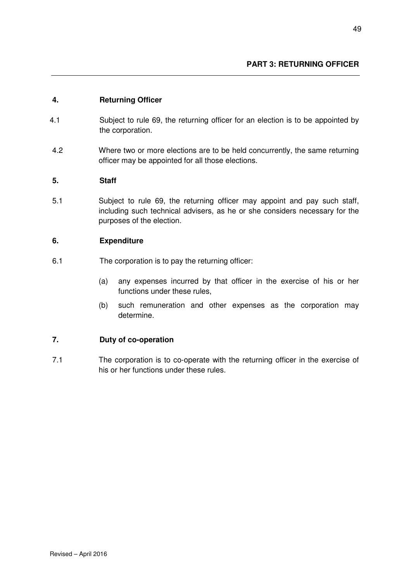### **4. Returning Officer**

- 4.1 Subject to rule 69, the returning officer for an election is to be appointed by the corporation.
- 4.2 Where two or more elections are to be held concurrently, the same returning officer may be appointed for all those elections.

### **5. Staff**

5.1 Subject to rule 69, the returning officer may appoint and pay such staff, including such technical advisers, as he or she considers necessary for the purposes of the election.

### **6. Expenditure**

- 6.1The corporation is to pay the returning officer:
	- (a) any expenses incurred by that officer in the exercise of his or her functions under these rules,
	- (b) such remuneration and other expenses as the corporation may determine.

### **7. Duty of co-operation**

7.1 The corporation is to co-operate with the returning officer in the exercise of his or her functions under these rules.

Revised – April 2016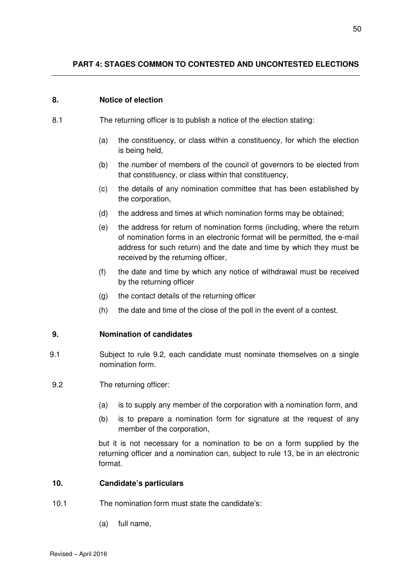### **8. Notice of election**

- 8.1 The returning officer is to publish a notice of the election stating:
	- (a) the constituency, or class within a constituency, for which the election is being held,
	- (b) the number of members of the council of governors to be elected from that constituency, or class within that constituency,
	- (c) the details of any nomination committee that has been established by the corporation,
	- (d) the address and times at which nomination forms may be obtained;
	- (e) the address for return of nomination forms (including, where the return of nomination forms in an electronic format will be permitted, the e-mail address for such return) and the date and time by which they must be received by the returning officer,
	- (f) the date and time by which any notice of withdrawal must be received by the returning officer
	- (g) the contact details of the returning officer
	- (h) the date and time of the close of the poll in the event of a contest.

### **9. Nomination of candidates**

- 9.1 Subject to rule 9.2, each candidate must nominate themselves on a single nomination form.
- 9.2 The returning officer:
	- (a) is to supply any member of the corporation with a nomination form, and
	- (b) is to prepare a nomination form for signature at the request of any member of the corporation,

but it is not necessary for a nomination to be on a form supplied by the returning officer and a nomination can, subject to rule 13, be in an electronic format.

### **10. Candidate's particulars**

- 10.1 The nomination form must state the candidate's:
	- (a) full name,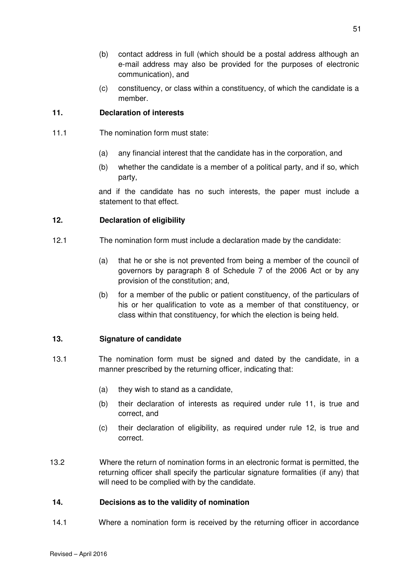- (b) contact address in full (which should be a postal address although an e-mail address may also be provided for the purposes of electronic communication), and
- (c) constituency, or class within a constituency, of which the candidate is a member.

### **11. Declaration of interests**

- 11.1 The nomination form must state:
	- (a) any financial interest that the candidate has in the corporation, and
	- (b) whether the candidate is a member of a political party, and if so, which party,

and if the candidate has no such interests, the paper must include a statement to that effect.

### **12. Declaration of eligibility**

- 12.1The nomination form must include a declaration made by the candidate:
	- (a) that he or she is not prevented from being a member of the council of governors by paragraph 8 of Schedule 7 of the 2006 Act or by any provision of the constitution; and,
	- (b) for a member of the public or patient constituency, of the particulars of his or her qualification to vote as a member of that constituency, or class within that constituency, for which the election is being held.

## **13. Signature of candidate**

- 13.1 The nomination form must be signed and dated by the candidate, in a manner prescribed by the returning officer, indicating that:
	- (a) they wish to stand as a candidate,
	- (b) their declaration of interests as required under rule 11, is true and correct, and
	- (c) their declaration of eligibility, as required under rule 12, is true and correct.
- 13.2 Where the return of nomination forms in an electronic format is permitted, the returning officer shall specify the particular signature formalities (if any) that will need to be complied with by the candidate.

### **14. Decisions as to the validity of nomination**

14.1 Where a nomination form is received by the returning officer in accordance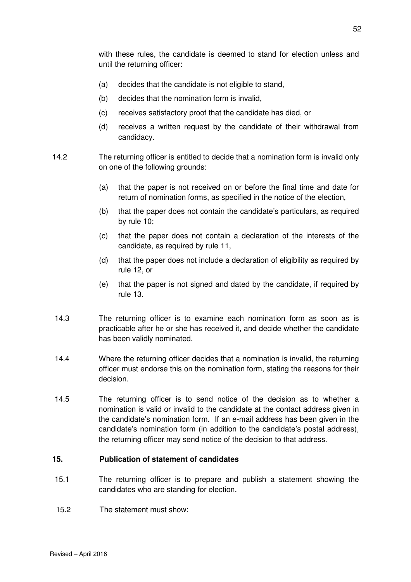with these rules, the candidate is deemed to stand for election unless and until the returning officer:

- (a) decides that the candidate is not eligible to stand,
- (b) decides that the nomination form is invalid,
- (c) receives satisfactory proof that the candidate has died, or
- (d) receives a written request by the candidate of their withdrawal from candidacy.
- 14.2 The returning officer is entitled to decide that a nomination form is invalid only on one of the following grounds:
	- (a) that the paper is not received on or before the final time and date for return of nomination forms, as specified in the notice of the election,
	- (b) that the paper does not contain the candidate's particulars, as required by rule 10;
	- (c) that the paper does not contain a declaration of the interests of the candidate, as required by rule 11,
	- (d) that the paper does not include a declaration of eligibility as required by rule 12, or
	- (e) that the paper is not signed and dated by the candidate, if required by rule 13.
- 14.3 The returning officer is to examine each nomination form as soon as is practicable after he or she has received it, and decide whether the candidate has been validly nominated.
- 14.4 Where the returning officer decides that a nomination is invalid, the returning officer must endorse this on the nomination form, stating the reasons for their decision.
- 14.5 The returning officer is to send notice of the decision as to whether a nomination is valid or invalid to the candidate at the contact address given in the candidate's nomination form. If an e-mail address has been given in the candidate's nomination form (in addition to the candidate's postal address), the returning officer may send notice of the decision to that address.

### **15. Publication of statement of candidates**

- 15.1 The returning officer is to prepare and publish a statement showing the candidates who are standing for election.
- 15.2 The statement must show: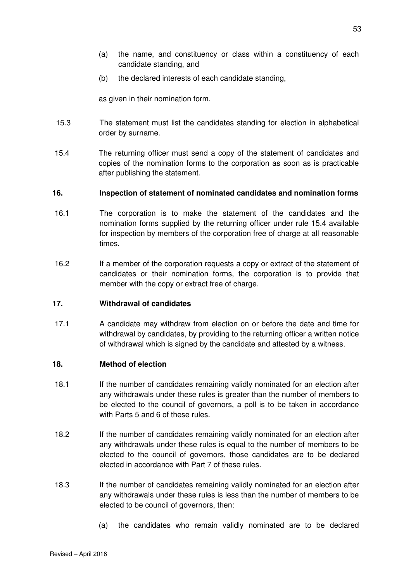- (a) the name, and constituency or class within a constituency of each candidate standing, and
- (b) the declared interests of each candidate standing,

as given in their nomination form.

- 15.3 The statement must list the candidates standing for election in alphabetical order by surname.
- 15.4 The returning officer must send a copy of the statement of candidates and copies of the nomination forms to the corporation as soon as is practicable after publishing the statement.

### **16. Inspection of statement of nominated candidates and nomination forms**

- 16.1 The corporation is to make the statement of the candidates and the nomination forms supplied by the returning officer under rule 15.4 available for inspection by members of the corporation free of charge at all reasonable times.
- 16.2 If a member of the corporation requests a copy or extract of the statement of candidates or their nomination forms, the corporation is to provide that member with the copy or extract free of charge.

### **17. Withdrawal of candidates**

17.1 A candidate may withdraw from election on or before the date and time for withdrawal by candidates, by providing to the returning officer a written notice of withdrawal which is signed by the candidate and attested by a witness.

### **18. Method of election**

- 18.1 If the number of candidates remaining validly nominated for an election after any withdrawals under these rules is greater than the number of members to be elected to the council of governors, a poll is to be taken in accordance with Parts 5 and 6 of these rules.
- 18.2 If the number of candidates remaining validly nominated for an election after any withdrawals under these rules is equal to the number of members to be elected to the council of governors, those candidates are to be declared elected in accordance with Part 7 of these rules.
- 18.3 If the number of candidates remaining validly nominated for an election after any withdrawals under these rules is less than the number of members to be elected to be council of governors, then:
	- (a) the candidates who remain validly nominated are to be declared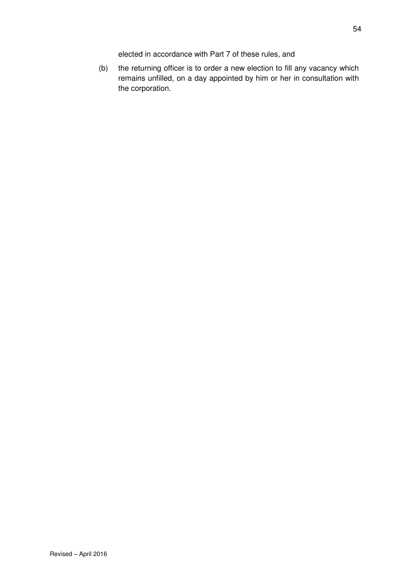elected in accordance with Part 7 of these rules, and

(b) the returning officer is to order a new election to fill any vacancy which remains unfilled, on a day appointed by him or her in consultation with the corporation.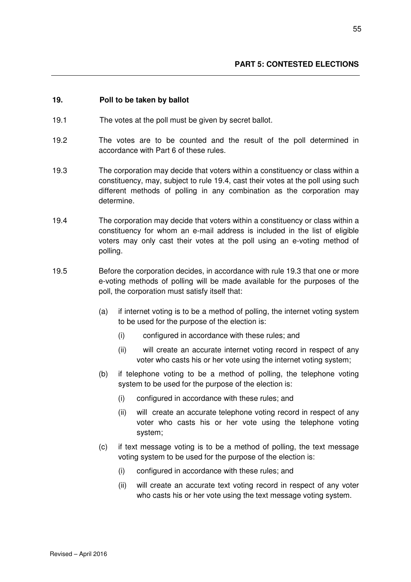#### **19. Poll to be taken by ballot**

- 19.1 The votes at the poll must be given by secret ballot.
- 19.2 The votes are to be counted and the result of the poll determined in accordance with Part 6 of these rules.
- 19.3 The corporation may decide that voters within a constituency or class within a constituency, may, subject to rule 19.4, cast their votes at the poll using such different methods of polling in any combination as the corporation may determine.
- 19.4 The corporation may decide that voters within a constituency or class within a constituency for whom an e-mail address is included in the list of eligible voters may only cast their votes at the poll using an e-voting method of polling.
- 19.5 Before the corporation decides, in accordance with rule 19.3 that one or more e-voting methods of polling will be made available for the purposes of the poll, the corporation must satisfy itself that:
	- (a) if internet voting is to be a method of polling, the internet voting system to be used for the purpose of the election is:
		- (i) configured in accordance with these rules; and
		- (ii) will create an accurate internet voting record in respect of any voter who casts his or her vote using the internet voting system;
	- (b) if telephone voting to be a method of polling, the telephone voting system to be used for the purpose of the election is:
		- (i) configured in accordance with these rules; and
		- (ii) will create an accurate telephone voting record in respect of any voter who casts his or her vote using the telephone voting system;
	- (c) if text message voting is to be a method of polling, the text message voting system to be used for the purpose of the election is:
		- (i) configured in accordance with these rules; and
		- (ii) will create an accurate text voting record in respect of any voter who casts his or her vote using the text message voting system.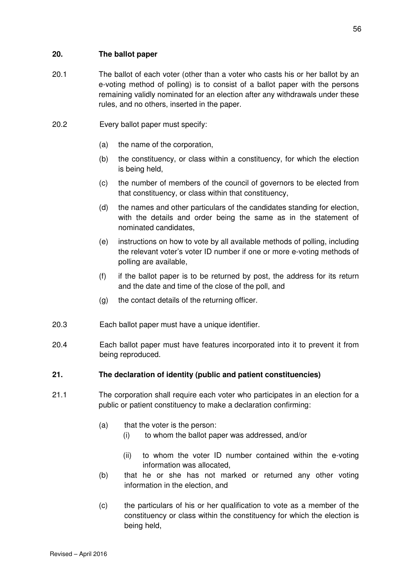## **20. The ballot paper**

- 20.1 The ballot of each voter (other than a voter who casts his or her ballot by an e-voting method of polling) is to consist of a ballot paper with the persons remaining validly nominated for an election after any withdrawals under these rules, and no others, inserted in the paper.
- 20.2 Every ballot paper must specify:
	- (a) the name of the corporation,
	- (b) the constituency, or class within a constituency, for which the election is being held,
	- (c) the number of members of the council of governors to be elected from that constituency, or class within that constituency,
	- (d) the names and other particulars of the candidates standing for election, with the details and order being the same as in the statement of nominated candidates,
	- (e) instructions on how to vote by all available methods of polling, including the relevant voter's voter ID number if one or more e-voting methods of polling are available,
	- (f) if the ballot paper is to be returned by post, the address for its return and the date and time of the close of the poll, and
	- (g) the contact details of the returning officer.
- 20.3 Each ballot paper must have a unique identifier.
- 20.4 Each ballot paper must have features incorporated into it to prevent it from being reproduced.
- **21. The declaration of identity (public and patient constituencies)**
- 21.1 The corporation shall require each voter who participates in an election for a public or patient constituency to make a declaration confirming:
	- (a) that the voter is the person:
		- (i) to whom the ballot paper was addressed, and/or
		- (ii) to whom the voter ID number contained within the e-voting information was allocated,
	- (b) that he or she has not marked or returned any other voting information in the election, and
	- (c) the particulars of his or her qualification to vote as a member of the constituency or class within the constituency for which the election is being held,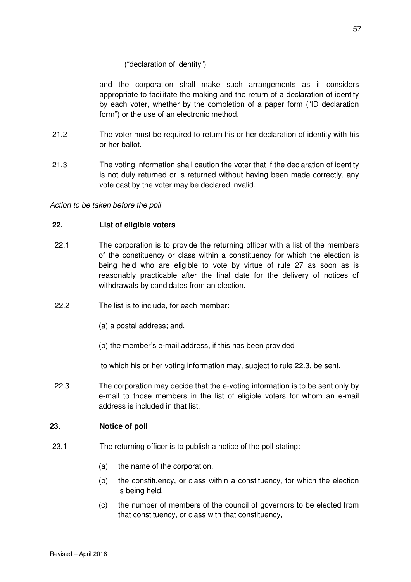### ("declaration of identity")

and the corporation shall make such arrangements as it considers appropriate to facilitate the making and the return of a declaration of identity by each voter, whether by the completion of a paper form ("ID declaration form") or the use of an electronic method.

- 21.2 The voter must be required to return his or her declaration of identity with his or her ballot.
- 21.3 The voting information shall caution the voter that if the declaration of identity is not duly returned or is returned without having been made correctly, any vote cast by the voter may be declared invalid.

Action to be taken before the poll

### **22. List of eligible voters**

- 22.1 The corporation is to provide the returning officer with a list of the members of the constituency or class within a constituency for which the election is being held who are eligible to vote by virtue of rule 27 as soon as is reasonably practicable after the final date for the delivery of notices of withdrawals by candidates from an election.
- 22.2 The list is to include, for each member:
	- (a) a postal address; and,
	- (b) the member's e-mail address, if this has been provided

to which his or her voting information may, subject to rule 22.3, be sent.

22.3 The corporation may decide that the e-voting information is to be sent only by e-mail to those members in the list of eligible voters for whom an e-mail address is included in that list.

### **23. Notice of poll**

- 23.1 The returning officer is to publish a notice of the poll stating:
	- (a) the name of the corporation,
	- (b) the constituency, or class within a constituency, for which the election is being held,
	- (c) the number of members of the council of governors to be elected from that constituency, or class with that constituency,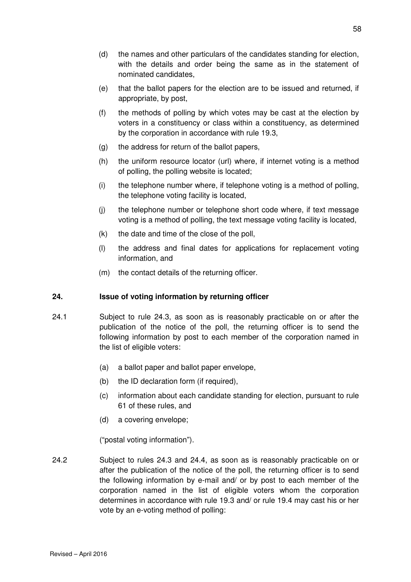- (d) the names and other particulars of the candidates standing for election, with the details and order being the same as in the statement of nominated candidates,
- (e) that the ballot papers for the election are to be issued and returned, if appropriate, by post,
- (f) the methods of polling by which votes may be cast at the election by voters in a constituency or class within a constituency, as determined by the corporation in accordance with rule 19.3,
- (g) the address for return of the ballot papers,
- (h) the uniform resource locator (url) where, if internet voting is a method of polling, the polling website is located;
- (i) the telephone number where, if telephone voting is a method of polling, the telephone voting facility is located,
- (j) the telephone number or telephone short code where, if text message voting is a method of polling, the text message voting facility is located,
- $(k)$  the date and time of the close of the poll,
- (l) the address and final dates for applications for replacement voting information, and
- (m) the contact details of the returning officer.

## **24. Issue of voting information by returning officer**

- 24.1 Subject to rule 24.3, as soon as is reasonably practicable on or after the publication of the notice of the poll, the returning officer is to send the following information by post to each member of the corporation named in the list of eligible voters:
	- (a) a ballot paper and ballot paper envelope,
	- (b) the ID declaration form (if required),
	- (c) information about each candidate standing for election, pursuant to rule 61 of these rules, and
	- (d) a covering envelope;

("postal voting information").

24.2 Subject to rules 24.3 and 24.4, as soon as is reasonably practicable on or after the publication of the notice of the poll, the returning officer is to send the following information by e-mail and/ or by post to each member of the corporation named in the list of eligible voters whom the corporation determines in accordance with rule 19.3 and/ or rule 19.4 may cast his or her vote by an e-voting method of polling: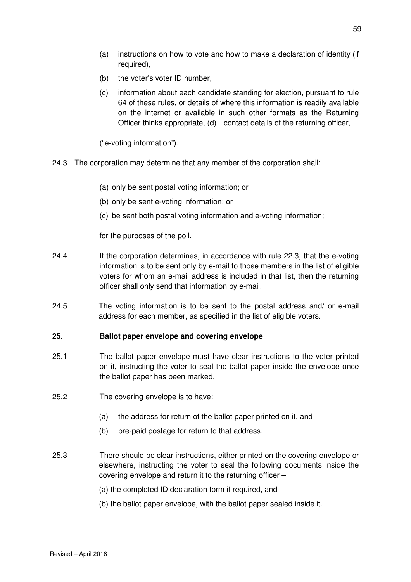- (a) instructions on how to vote and how to make a declaration of identity (if required),
- (b) the voter's voter ID number,
- (c) information about each candidate standing for election, pursuant to rule 64 of these rules, or details of where this information is readily available on the internet or available in such other formats as the Returning Officer thinks appropriate, (d) contact details of the returning officer,

("e-voting information").

- 24.3 The corporation may determine that any member of the corporation shall:
	- (a) only be sent postal voting information; or
	- (b) only be sent e-voting information; or
	- (c) be sent both postal voting information and e-voting information;

for the purposes of the poll.

- 24.4 If the corporation determines, in accordance with rule 22.3, that the e-voting information is to be sent only by e-mail to those members in the list of eligible voters for whom an e-mail address is included in that list, then the returning officer shall only send that information by e-mail.
- 24.5 The voting information is to be sent to the postal address and/ or e-mail address for each member, as specified in the list of eligible voters.

### **25. Ballot paper envelope and covering envelope**

- 25.1 The ballot paper envelope must have clear instructions to the voter printed on it, instructing the voter to seal the ballot paper inside the envelope once the ballot paper has been marked.
- 25.2 The covering envelope is to have:
	- (a) the address for return of the ballot paper printed on it, and
	- (b) pre-paid postage for return to that address.
- 25.3 There should be clear instructions, either printed on the covering envelope or elsewhere, instructing the voter to seal the following documents inside the covering envelope and return it to the returning officer –
	- (a) the completed ID declaration form if required, and
	- (b) the ballot paper envelope, with the ballot paper sealed inside it.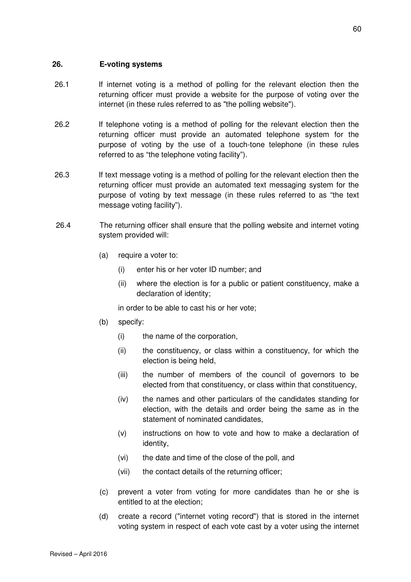#### **26. E-voting systems**

- 26.1 If internet voting is a method of polling for the relevant election then the returning officer must provide a website for the purpose of voting over the internet (in these rules referred to as "the polling website").
- 26.2 If telephone voting is a method of polling for the relevant election then the returning officer must provide an automated telephone system for the purpose of voting by the use of a touch-tone telephone (in these rules referred to as "the telephone voting facility").
- 26.3 If text message voting is a method of polling for the relevant election then the returning officer must provide an automated text messaging system for the purpose of voting by text message (in these rules referred to as "the text message voting facility").
- 26.4 The returning officer shall ensure that the polling website and internet voting system provided will:
	- (a) require a voter to:
		- (i) enter his or her voter ID number; and
		- (ii) where the election is for a public or patient constituency, make a declaration of identity;

in order to be able to cast his or her vote;

- (b) specify:
	- (i) the name of the corporation,
	- (ii) the constituency, or class within a constituency, for which the election is being held,
	- (iii) the number of members of the council of governors to be elected from that constituency, or class within that constituency,
	- (iv) the names and other particulars of the candidates standing for election, with the details and order being the same as in the statement of nominated candidates,
	- (v) instructions on how to vote and how to make a declaration of identity,
	- (vi) the date and time of the close of the poll, and
	- (vii) the contact details of the returning officer;
- (c) prevent a voter from voting for more candidates than he or she is entitled to at the election;
- (d) create a record ("internet voting record") that is stored in the internet voting system in respect of each vote cast by a voter using the internet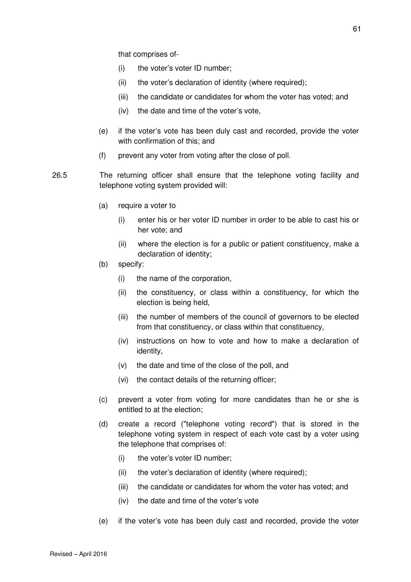that comprises of-

- (i) the voter's voter ID number;
- (ii) the voter's declaration of identity (where required);
- (iii) the candidate or candidates for whom the voter has voted; and
- (iv) the date and time of the voter's vote,
- (e) if the voter's vote has been duly cast and recorded, provide the voter with confirmation of this; and
- (f) prevent any voter from voting after the close of poll.
- 26.5 The returning officer shall ensure that the telephone voting facility and telephone voting system provided will:
	- (a) require a voter to
		- (i) enter his or her voter ID number in order to be able to cast his or her vote; and
		- (ii) where the election is for a public or patient constituency, make a declaration of identity;
	- (b) specify:
		- (i) the name of the corporation,
		- (ii) the constituency, or class within a constituency, for which the election is being held,
		- (iii) the number of members of the council of governors to be elected from that constituency, or class within that constituency,
		- (iv) instructions on how to vote and how to make a declaration of identity,
		- (v) the date and time of the close of the poll, and
		- (vi) the contact details of the returning officer;
	- (c) prevent a voter from voting for more candidates than he or she is entitled to at the election;
	- (d) create a record ("telephone voting record") that is stored in the telephone voting system in respect of each vote cast by a voter using the telephone that comprises of:
		- (i) the voter's voter ID number;
		- (ii) the voter's declaration of identity (where required);
		- (iii) the candidate or candidates for whom the voter has voted; and
		- (iv) the date and time of the voter's vote
	- (e) if the voter's vote has been duly cast and recorded, provide the voter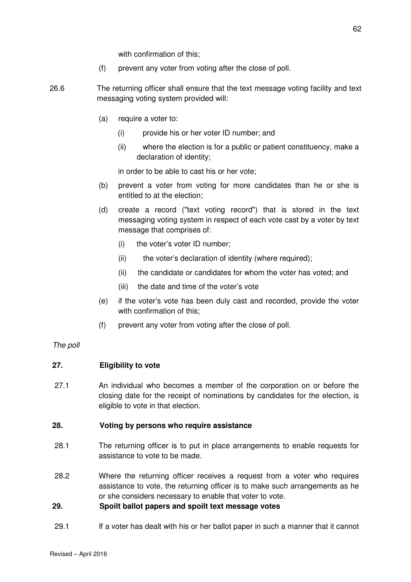with confirmation of this;

- (f) prevent any voter from voting after the close of poll.
- 26.6 The returning officer shall ensure that the text message voting facility and text messaging voting system provided will:
	- (a) require a voter to:
		- (i) provide his or her voter ID number; and
		- (ii) where the election is for a public or patient constituency, make a declaration of identity;

in order to be able to cast his or her vote;

- (b) prevent a voter from voting for more candidates than he or she is entitled to at the election;
- (d) create a record ("text voting record") that is stored in the text messaging voting system in respect of each vote cast by a voter by text message that comprises of:
	- (i) the voter's voter ID number;
	- (ii) the voter's declaration of identity (where required);
	- (ii) the candidate or candidates for whom the voter has voted; and
	- (iii) the date and time of the voter's vote
- (e) if the voter's vote has been duly cast and recorded, provide the voter with confirmation of this;
- (f) prevent any voter from voting after the close of poll.

#### The poll

#### **27. Eligibility to vote**

27.1 An individual who becomes a member of the corporation on or before the closing date for the receipt of nominations by candidates for the election, is eligible to vote in that election.

#### **28. Voting by persons who require assistance**

- 28.1 The returning officer is to put in place arrangements to enable requests for assistance to vote to be made.
- 28.2 Where the returning officer receives a request from a voter who requires assistance to vote, the returning officer is to make such arrangements as he or she considers necessary to enable that voter to vote.

### **29. Spoilt ballot papers and spoilt text message votes**

29.1 If a voter has dealt with his or her ballot paper in such a manner that it cannot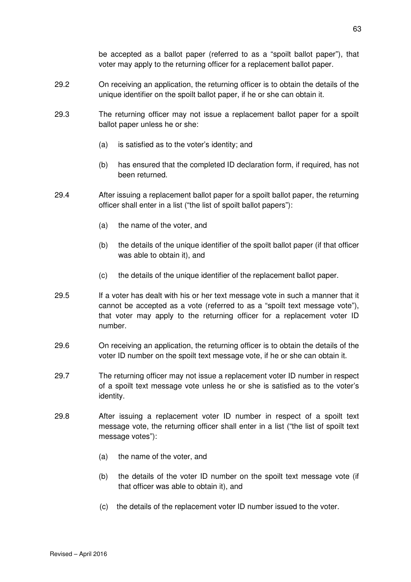be accepted as a ballot paper (referred to as a "spoilt ballot paper"), that voter may apply to the returning officer for a replacement ballot paper.

- 29.2 On receiving an application, the returning officer is to obtain the details of the unique identifier on the spoilt ballot paper, if he or she can obtain it.
- 29.3 The returning officer may not issue a replacement ballot paper for a spoilt ballot paper unless he or she:
	- (a) is satisfied as to the voter's identity; and
	- (b) has ensured that the completed ID declaration form, if required, has not been returned.
- 29.4 After issuing a replacement ballot paper for a spoilt ballot paper, the returning officer shall enter in a list ("the list of spoilt ballot papers"):
	- (a) the name of the voter, and
	- (b) the details of the unique identifier of the spoilt ballot paper (if that officer was able to obtain it), and
	- (c) the details of the unique identifier of the replacement ballot paper.
- 29.5 If a voter has dealt with his or her text message vote in such a manner that it cannot be accepted as a vote (referred to as a "spoilt text message vote"), that voter may apply to the returning officer for a replacement voter ID number.
- 29.6 On receiving an application, the returning officer is to obtain the details of the voter ID number on the spoilt text message vote, if he or she can obtain it.
- 29.7 The returning officer may not issue a replacement voter ID number in respect of a spoilt text message vote unless he or she is satisfied as to the voter's identity.
- 29.8 After issuing a replacement voter ID number in respect of a spoilt text message vote, the returning officer shall enter in a list ("the list of spoilt text message votes"):
	- (a) the name of the voter, and
	- (b) the details of the voter ID number on the spoilt text message vote (if that officer was able to obtain it), and
	- (c) the details of the replacement voter ID number issued to the voter.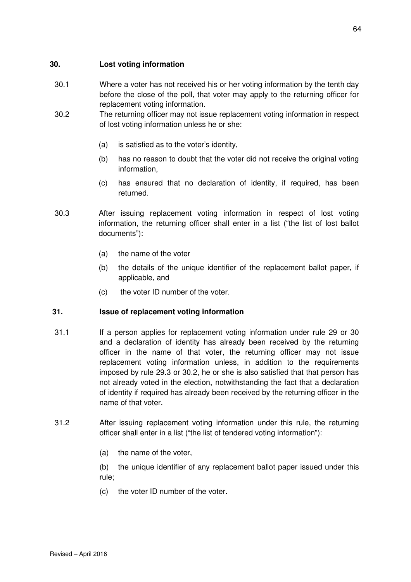### **30. Lost voting information**

- 30.1 Where a voter has not received his or her voting information by the tenth day before the close of the poll, that voter may apply to the returning officer for replacement voting information.
- 30.2 The returning officer may not issue replacement voting information in respect of lost voting information unless he or she:
	- (a) is satisfied as to the voter's identity,
	- (b) has no reason to doubt that the voter did not receive the original voting information,
	- (c) has ensured that no declaration of identity, if required, has been returned.
- 30.3 After issuing replacement voting information in respect of lost voting information, the returning officer shall enter in a list ("the list of lost ballot documents"):
	- (a) the name of the voter
	- (b) the details of the unique identifier of the replacement ballot paper, if applicable, and
	- (c) the voter ID number of the voter.

## **31. Issue of replacement voting information**

- 31.1 If a person applies for replacement voting information under rule 29 or 30 and a declaration of identity has already been received by the returning officer in the name of that voter, the returning officer may not issue replacement voting information unless, in addition to the requirements imposed by rule 29.3 or 30.2, he or she is also satisfied that that person has not already voted in the election, notwithstanding the fact that a declaration of identity if required has already been received by the returning officer in the name of that voter.
- 31.2 After issuing replacement voting information under this rule, the returning officer shall enter in a list ("the list of tendered voting information"):
	- (a) the name of the voter,

 (b) the unique identifier of any replacement ballot paper issued under this rule;

(c) the voter ID number of the voter.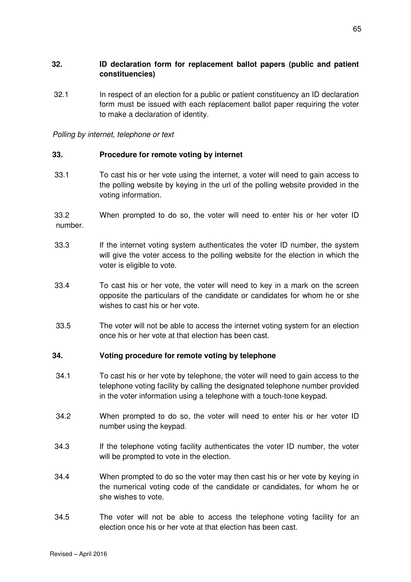### **32. ID declaration form for replacement ballot papers (public and patient constituencies)**

32.1 In respect of an election for a public or patient constituency an ID declaration form must be issued with each replacement ballot paper requiring the voter to make a declaration of identity.

Polling by internet, telephone or text

### **33. Procedure for remote voting by internet**

33.1 To cast his or her vote using the internet, a voter will need to gain access to the polling website by keying in the url of the polling website provided in the voting information.

 33.2 When prompted to do so, the voter will need to enter his or her voter ID number.

- 33.3 If the internet voting system authenticates the voter ID number, the system will give the voter access to the polling website for the election in which the voter is eligible to vote.
- 33.4 To cast his or her vote, the voter will need to key in a mark on the screen opposite the particulars of the candidate or candidates for whom he or she wishes to cast his or her vote.
- 33.5 The voter will not be able to access the internet voting system for an election once his or her vote at that election has been cast.

### **34. Voting procedure for remote voting by telephone**

- 34.1 To cast his or her vote by telephone, the voter will need to gain access to the telephone voting facility by calling the designated telephone number provided in the voter information using a telephone with a touch-tone keypad.
- 34.2 When prompted to do so, the voter will need to enter his or her voter ID number using the keypad.
- 34.3 If the telephone voting facility authenticates the voter ID number, the voter will be prompted to vote in the election.
- 34.4 When prompted to do so the voter may then cast his or her vote by keying in the numerical voting code of the candidate or candidates, for whom he or she wishes to vote.
- 34.5 The voter will not be able to access the telephone voting facility for an election once his or her vote at that election has been cast.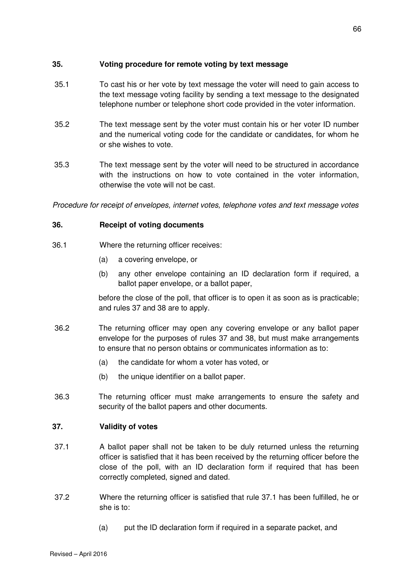### **35. Voting procedure for remote voting by text message**

- 35.1 To cast his or her vote by text message the voter will need to gain access to the text message voting facility by sending a text message to the designated telephone number or telephone short code provided in the voter information.
- 35.2 The text message sent by the voter must contain his or her voter ID number and the numerical voting code for the candidate or candidates, for whom he or she wishes to vote.
- 35.3 The text message sent by the voter will need to be structured in accordance with the instructions on how to vote contained in the voter information, otherwise the vote will not be cast.

Procedure for receipt of envelopes, internet votes, telephone votes and text message votes

### **36. Receipt of voting documents**

- 36.1 Where the returning officer receives:
	- (a) a covering envelope, or
	- (b) any other envelope containing an ID declaration form if required, a ballot paper envelope, or a ballot paper,

before the close of the poll, that officer is to open it as soon as is practicable; and rules 37 and 38 are to apply.

- 36.2 The returning officer may open any covering envelope or any ballot paper envelope for the purposes of rules 37 and 38, but must make arrangements to ensure that no person obtains or communicates information as to:
	- (a) the candidate for whom a voter has voted, or
	- (b) the unique identifier on a ballot paper.
- 36.3 The returning officer must make arrangements to ensure the safety and security of the ballot papers and other documents.

## **37. Validity of votes**

- 37.1 A ballot paper shall not be taken to be duly returned unless the returning officer is satisfied that it has been received by the returning officer before the close of the poll, with an ID declaration form if required that has been correctly completed, signed and dated.
- 37.2 Where the returning officer is satisfied that rule 37.1 has been fulfilled, he or she is to:
	- (a) put the ID declaration form if required in a separate packet, and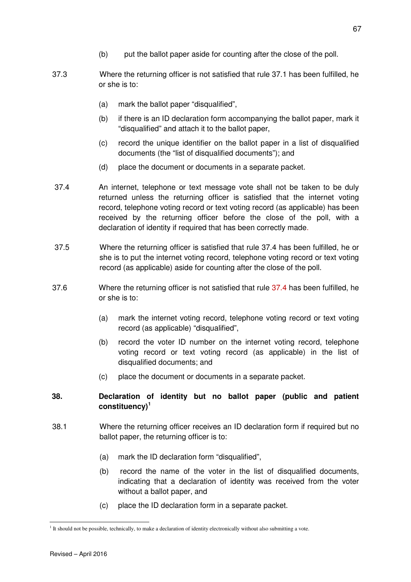- (b) put the ballot paper aside for counting after the close of the poll.
- 37.3 Where the returning officer is not satisfied that rule 37.1 has been fulfilled, he or she is to:
	- (a) mark the ballot paper "disqualified",
	- (b) if there is an ID declaration form accompanying the ballot paper, mark it "disqualified" and attach it to the ballot paper,
	- (c) record the unique identifier on the ballot paper in a list of disqualified documents (the "list of disqualified documents"); and
	- (d) place the document or documents in a separate packet.
- 37.4 An internet, telephone or text message vote shall not be taken to be duly returned unless the returning officer is satisfied that the internet voting record, telephone voting record or text voting record (as applicable) has been received by the returning officer before the close of the poll, with a declaration of identity if required that has been correctly made.
- 37.5 Where the returning officer is satisfied that rule 37.4 has been fulfilled, he or she is to put the internet voting record, telephone voting record or text voting record (as applicable) aside for counting after the close of the poll.
- 37.6 Where the returning officer is not satisfied that rule 37.4 has been fulfilled, he or she is to:
	- (a) mark the internet voting record, telephone voting record or text voting record (as applicable) "disqualified",
	- (b) record the voter ID number on the internet voting record, telephone voting record or text voting record (as applicable) in the list of disqualified documents; and
	- (c) place the document or documents in a separate packet.

## **38. Declaration of identity but no ballot paper (public and patient constituency)<sup>1</sup>**

- 38.1 Where the returning officer receives an ID declaration form if required but no ballot paper, the returning officer is to:
	- (a) mark the ID declaration form "disqualified",
	- (b) record the name of the voter in the list of disqualified documents, indicating that a declaration of identity was received from the voter without a ballot paper, and
	- (c) place the ID declaration form in a separate packet.

 $\overline{a}$ 

<sup>&</sup>lt;sup>1</sup> It should not be possible, technically, to make a declaration of identity electronically without also submitting a vote.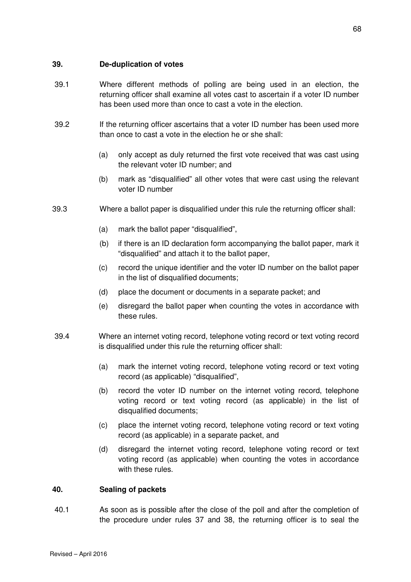### **39. De-duplication of votes**

- 39.1 Where different methods of polling are being used in an election, the returning officer shall examine all votes cast to ascertain if a voter ID number has been used more than once to cast a vote in the election.
- 39.2 If the returning officer ascertains that a voter ID number has been used more than once to cast a vote in the election he or she shall:
	- (a) only accept as duly returned the first vote received that was cast using the relevant voter ID number; and
	- (b) mark as "disqualified" all other votes that were cast using the relevant voter ID number
- 39.3 Where a ballot paper is disqualified under this rule the returning officer shall:
	- (a) mark the ballot paper "disqualified",
	- (b) if there is an ID declaration form accompanying the ballot paper, mark it "disqualified" and attach it to the ballot paper,
	- (c) record the unique identifier and the voter ID number on the ballot paper in the list of disqualified documents;
	- (d) place the document or documents in a separate packet; and
	- (e) disregard the ballot paper when counting the votes in accordance with these rules.
- 39.4 Where an internet voting record, telephone voting record or text voting record is disqualified under this rule the returning officer shall:
	- (a) mark the internet voting record, telephone voting record or text voting record (as applicable) "disqualified",
	- (b) record the voter ID number on the internet voting record, telephone voting record or text voting record (as applicable) in the list of disqualified documents;
	- (c) place the internet voting record, telephone voting record or text voting record (as applicable) in a separate packet, and
	- (d) disregard the internet voting record, telephone voting record or text voting record (as applicable) when counting the votes in accordance with these rules.

### **40. Sealing of packets**

40.1 As soon as is possible after the close of the poll and after the completion of the procedure under rules 37 and 38, the returning officer is to seal the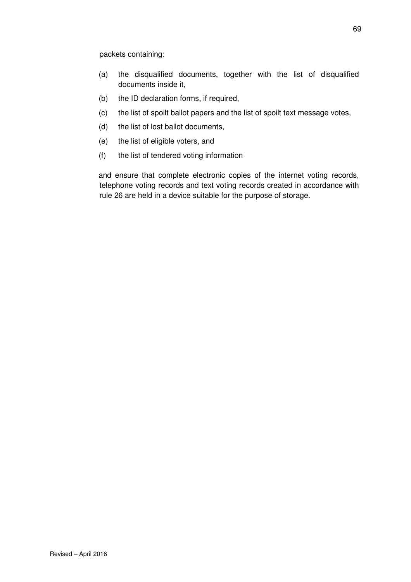packets containing:

- (a) the disqualified documents, together with the list of disqualified documents inside it,
- (b) the ID declaration forms, if required,
- (c) the list of spoilt ballot papers and the list of spoilt text message votes,
- (d) the list of lost ballot documents,
- (e) the list of eligible voters, and
- (f) the list of tendered voting information

and ensure that complete electronic copies of the internet voting records, telephone voting records and text voting records created in accordance with rule 26 are held in a device suitable for the purpose of storage.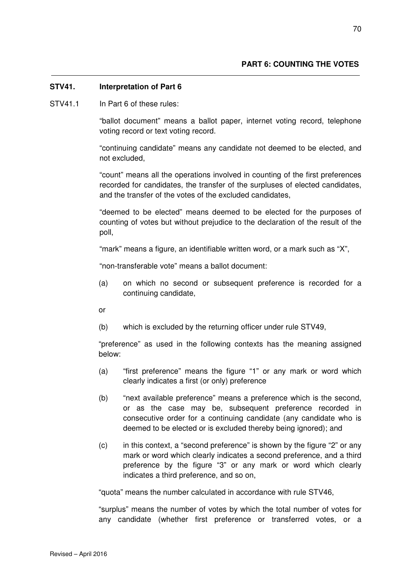### **STV41. Interpretation of Part 6**

STV41.1 In Part 6 of these rules:

"ballot document" means a ballot paper, internet voting record, telephone voting record or text voting record.

"continuing candidate" means any candidate not deemed to be elected, and not excluded,

"count" means all the operations involved in counting of the first preferences recorded for candidates, the transfer of the surpluses of elected candidates, and the transfer of the votes of the excluded candidates,

"deemed to be elected" means deemed to be elected for the purposes of counting of votes but without prejudice to the declaration of the result of the poll,

"mark" means a figure, an identifiable written word, or a mark such as "X",

"non-transferable vote" means a ballot document:

(a) on which no second or subsequent preference is recorded for a continuing candidate,

or

(b) which is excluded by the returning officer under rule STV49,

"preference" as used in the following contexts has the meaning assigned below:

- (a) "first preference" means the figure "1" or any mark or word which clearly indicates a first (or only) preference
- (b) "next available preference" means a preference which is the second, or as the case may be, subsequent preference recorded in consecutive order for a continuing candidate (any candidate who is deemed to be elected or is excluded thereby being ignored); and
- (c) in this context, a "second preference" is shown by the figure "2" or any mark or word which clearly indicates a second preference, and a third preference by the figure "3" or any mark or word which clearly indicates a third preference, and so on,

"quota" means the number calculated in accordance with rule STV46,

"surplus" means the number of votes by which the total number of votes for any candidate (whether first preference or transferred votes, or a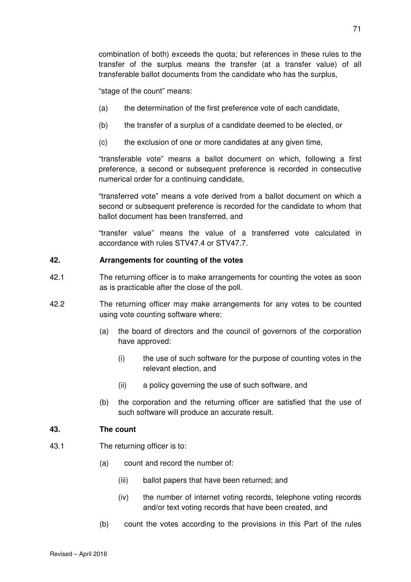combination of both) exceeds the quota; but references in these rules to the transfer of the surplus means the transfer (at a transfer value) of all transferable ballot documents from the candidate who has the surplus,

"stage of the count" means:

- (a) the determination of the first preference vote of each candidate,
- (b) the transfer of a surplus of a candidate deemed to be elected, or
- (c) the exclusion of one or more candidates at any given time,

"transferable vote" means a ballot document on which, following a first preference, a second or subsequent preference is recorded in consecutive numerical order for a continuing candidate,

"transferred vote" means a vote derived from a ballot document on which a second or subsequent preference is recorded for the candidate to whom that ballot document has been transferred, and

"transfer value" means the value of a transferred vote calculated in accordance with rules STV47.4 or STV47.7.

#### **42. Arrangements for counting of the votes**

- 42.1 The returning officer is to make arrangements for counting the votes as soon as is practicable after the close of the poll.
- 42.2 The returning officer may make arrangements for any votes to be counted using vote counting software where:
	- (a) the board of directors and the council of governors of the corporation have approved:
		- (i) the use of such software for the purpose of counting votes in the relevant election, and
		- (ii) a policy governing the use of such software, and
	- (b) the corporation and the returning officer are satisfied that the use of such software will produce an accurate result.

#### **43. The count**

- 43.1 The returning officer is to:
	- (a) count and record the number of:
		- (iii) ballot papers that have been returned; and
		- (iv) the number of internet voting records, telephone voting records and/or text voting records that have been created, and
	- (b) count the votes according to the provisions in this Part of the rules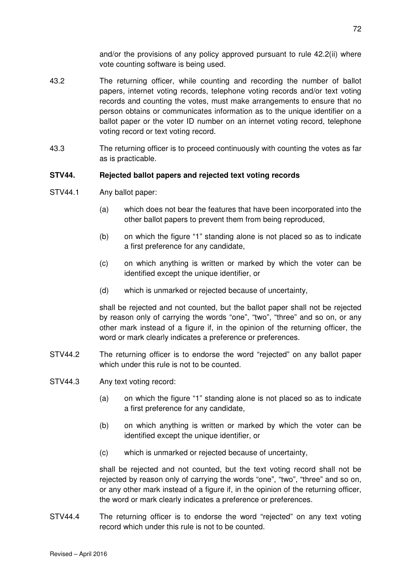and/or the provisions of any policy approved pursuant to rule 42.2(ii) where vote counting software is being used.

- 43.2 The returning officer, while counting and recording the number of ballot papers, internet voting records, telephone voting records and/or text voting records and counting the votes, must make arrangements to ensure that no person obtains or communicates information as to the unique identifier on a ballot paper or the voter ID number on an internet voting record, telephone voting record or text voting record.
- 43.3 The returning officer is to proceed continuously with counting the votes as far as is practicable.

### **STV44. Rejected ballot papers and rejected text voting records**

- STV44.1 Any ballot paper:
	- (a) which does not bear the features that have been incorporated into the other ballot papers to prevent them from being reproduced,
	- (b) on which the figure "1" standing alone is not placed so as to indicate a first preference for any candidate,
	- (c) on which anything is written or marked by which the voter can be identified except the unique identifier, or
	- (d) which is unmarked or rejected because of uncertainty,

shall be rejected and not counted, but the ballot paper shall not be rejected by reason only of carrying the words "one", "two", "three" and so on, or any other mark instead of a figure if, in the opinion of the returning officer, the word or mark clearly indicates a preference or preferences.

- STV44.2 The returning officer is to endorse the word "rejected" on any ballot paper which under this rule is not to be counted.
- STV44.3 Any text voting record:
	- (a) on which the figure "1" standing alone is not placed so as to indicate a first preference for any candidate,
	- (b) on which anything is written or marked by which the voter can be identified except the unique identifier, or
	- (c) which is unmarked or rejected because of uncertainty,

shall be rejected and not counted, but the text voting record shall not be rejected by reason only of carrying the words "one", "two", "three" and so on, or any other mark instead of a figure if, in the opinion of the returning officer, the word or mark clearly indicates a preference or preferences.

STV44.4 The returning officer is to endorse the word "rejected" on any text voting record which under this rule is not to be counted.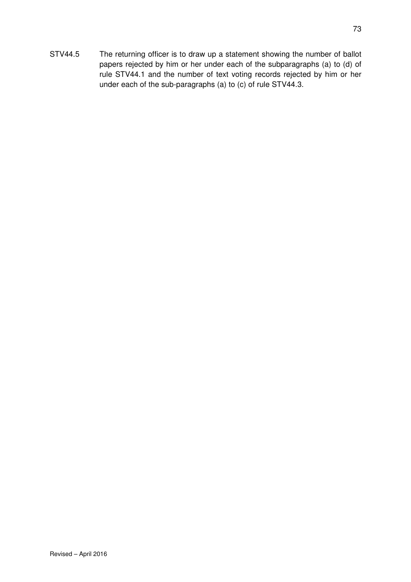STV44.5 The returning officer is to draw up a statement showing the number of ballot papers rejected by him or her under each of the subparagraphs (a) to (d) of rule STV44.1 and the number of text voting records rejected by him or her under each of the sub-paragraphs (a) to (c) of rule STV44.3.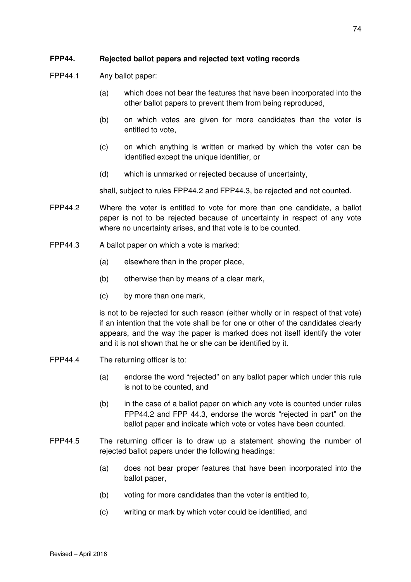## **FPP44. Rejected ballot papers and rejected text voting records**

- FPP44.1 Any ballot paper:
	- (a) which does not bear the features that have been incorporated into the other ballot papers to prevent them from being reproduced,
	- (b) on which votes are given for more candidates than the voter is entitled to vote,
	- (c) on which anything is written or marked by which the voter can be identified except the unique identifier, or
	- (d) which is unmarked or rejected because of uncertainty,

shall, subject to rules FPP44.2 and FPP44.3, be rejected and not counted.

- FPP44.2 Where the voter is entitled to vote for more than one candidate, a ballot paper is not to be rejected because of uncertainty in respect of any vote where no uncertainty arises, and that vote is to be counted.
- FPP44.3 A ballot paper on which a vote is marked:
	- (a) elsewhere than in the proper place,
	- (b) otherwise than by means of a clear mark,
	- (c) by more than one mark,

is not to be rejected for such reason (either wholly or in respect of that vote) if an intention that the vote shall be for one or other of the candidates clearly appears, and the way the paper is marked does not itself identify the voter and it is not shown that he or she can be identified by it.

- FPP44.4 The returning officer is to:
	- (a) endorse the word "rejected" on any ballot paper which under this rule is not to be counted, and
	- (b) in the case of a ballot paper on which any vote is counted under rules FPP44.2 and FPP 44.3, endorse the words "rejected in part" on the ballot paper and indicate which vote or votes have been counted.
- FPP44.5 The returning officer is to draw up a statement showing the number of rejected ballot papers under the following headings:
	- (a) does not bear proper features that have been incorporated into the ballot paper,
	- (b) voting for more candidates than the voter is entitled to,
	- (c) writing or mark by which voter could be identified, and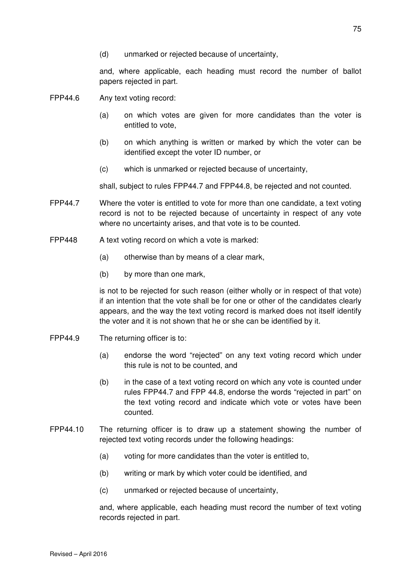and, where applicable, each heading must record the number of ballot papers rejected in part.

- FPP44.6 Any text voting record:
	- (a) on which votes are given for more candidates than the voter is entitled to vote,
	- (b) on which anything is written or marked by which the voter can be identified except the voter ID number, or
	- (c) which is unmarked or rejected because of uncertainty,

shall, subject to rules FPP44.7 and FPP44.8, be rejected and not counted.

- FPP44.7 Where the voter is entitled to vote for more than one candidate, a text voting record is not to be rejected because of uncertainty in respect of any vote where no uncertainty arises, and that vote is to be counted.
- FPP448 A text voting record on which a vote is marked:
	- (a) otherwise than by means of a clear mark,
	- (b) by more than one mark,

is not to be rejected for such reason (either wholly or in respect of that vote) if an intention that the vote shall be for one or other of the candidates clearly appears, and the way the text voting record is marked does not itself identify the voter and it is not shown that he or she can be identified by it.

- FPP44.9 The returning officer is to:
	- (a) endorse the word "rejected" on any text voting record which under this rule is not to be counted, and
	- (b) in the case of a text voting record on which any vote is counted under rules FPP44.7 and FPP 44.8, endorse the words "rejected in part" on the text voting record and indicate which vote or votes have been counted.
- FPP44.10 The returning officer is to draw up a statement showing the number of rejected text voting records under the following headings:
	- (a) voting for more candidates than the voter is entitled to,
	- (b) writing or mark by which voter could be identified, and
	- (c) unmarked or rejected because of uncertainty,

and, where applicable, each heading must record the number of text voting records rejected in part.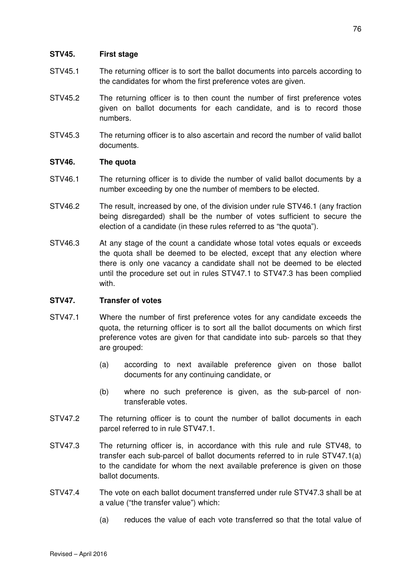### **STV45. First stage**

- STV45.1 The returning officer is to sort the ballot documents into parcels according to the candidates for whom the first preference votes are given.
- STV45.2 The returning officer is to then count the number of first preference votes given on ballot documents for each candidate, and is to record those numbers.
- STV45.3 The returning officer is to also ascertain and record the number of valid ballot documents.

### **STV46. The quota**

- STV46.1 The returning officer is to divide the number of valid ballot documents by a number exceeding by one the number of members to be elected.
- STV46.2 The result, increased by one, of the division under rule STV46.1 (any fraction being disregarded) shall be the number of votes sufficient to secure the election of a candidate (in these rules referred to as "the quota").
- STV46.3 At any stage of the count a candidate whose total votes equals or exceeds the quota shall be deemed to be elected, except that any election where there is only one vacancy a candidate shall not be deemed to be elected until the procedure set out in rules STV47.1 to STV47.3 has been complied with.

### **STV47. Transfer of votes**

- STV47.1 Where the number of first preference votes for any candidate exceeds the quota, the returning officer is to sort all the ballot documents on which first preference votes are given for that candidate into sub- parcels so that they are grouped:
	- (a) according to next available preference given on those ballot documents for any continuing candidate, or
	- (b) where no such preference is given, as the sub-parcel of nontransferable votes.
- STV47.2 The returning officer is to count the number of ballot documents in each parcel referred to in rule STV47.1.
- STV47.3 The returning officer is, in accordance with this rule and rule STV48, to transfer each sub-parcel of ballot documents referred to in rule STV47.1(a) to the candidate for whom the next available preference is given on those ballot documents.
- STV47.4 The vote on each ballot document transferred under rule STV47.3 shall be at a value ("the transfer value") which:
	- (a) reduces the value of each vote transferred so that the total value of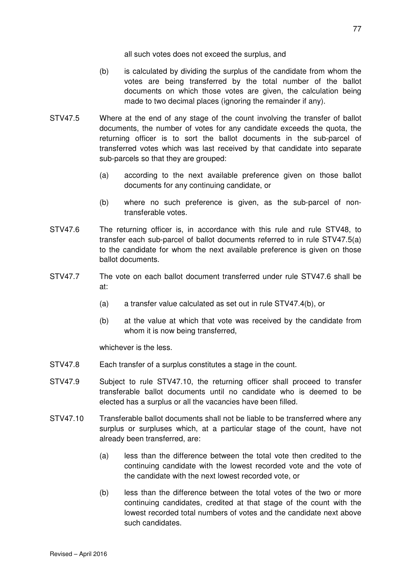all such votes does not exceed the surplus, and

- (b) is calculated by dividing the surplus of the candidate from whom the votes are being transferred by the total number of the ballot documents on which those votes are given, the calculation being made to two decimal places (ignoring the remainder if any).
- STV47.5 Where at the end of any stage of the count involving the transfer of ballot documents, the number of votes for any candidate exceeds the quota, the returning officer is to sort the ballot documents in the sub-parcel of transferred votes which was last received by that candidate into separate sub-parcels so that they are grouped:
	- (a) according to the next available preference given on those ballot documents for any continuing candidate, or
	- (b) where no such preference is given, as the sub-parcel of nontransferable votes.
- STV47.6 The returning officer is, in accordance with this rule and rule STV48, to transfer each sub-parcel of ballot documents referred to in rule STV47.5(a) to the candidate for whom the next available preference is given on those ballot documents.
- STV47.7 The vote on each ballot document transferred under rule STV47.6 shall be at:
	- (a) a transfer value calculated as set out in rule STV47.4(b), or
	- (b) at the value at which that vote was received by the candidate from whom it is now being transferred,

whichever is the less.

- STV47.8 Each transfer of a surplus constitutes a stage in the count.
- STV47.9 Subject to rule STV47.10, the returning officer shall proceed to transfer transferable ballot documents until no candidate who is deemed to be elected has a surplus or all the vacancies have been filled.
- STV47.10 Transferable ballot documents shall not be liable to be transferred where any surplus or surpluses which, at a particular stage of the count, have not already been transferred, are:
	- (a) less than the difference between the total vote then credited to the continuing candidate with the lowest recorded vote and the vote of the candidate with the next lowest recorded vote, or
	- (b) less than the difference between the total votes of the two or more continuing candidates, credited at that stage of the count with the lowest recorded total numbers of votes and the candidate next above such candidates.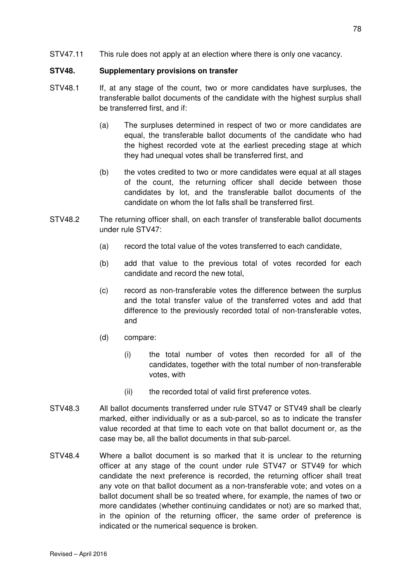STV47.11 This rule does not apply at an election where there is only one vacancy.

#### **STV48. Supplementary provisions on transfer**

- STV48.1 If, at any stage of the count, two or more candidates have surpluses, the transferable ballot documents of the candidate with the highest surplus shall be transferred first, and if:
	- (a) The surpluses determined in respect of two or more candidates are equal, the transferable ballot documents of the candidate who had the highest recorded vote at the earliest preceding stage at which they had unequal votes shall be transferred first, and
	- (b) the votes credited to two or more candidates were equal at all stages of the count, the returning officer shall decide between those candidates by lot, and the transferable ballot documents of the candidate on whom the lot falls shall be transferred first.
- STV48.2 The returning officer shall, on each transfer of transferable ballot documents under rule STV47:
	- (a) record the total value of the votes transferred to each candidate,
	- (b) add that value to the previous total of votes recorded for each candidate and record the new total,
	- (c) record as non-transferable votes the difference between the surplus and the total transfer value of the transferred votes and add that difference to the previously recorded total of non-transferable votes, and
	- (d) compare:
		- (i) the total number of votes then recorded for all of the candidates, together with the total number of non-transferable votes, with
		- (ii) the recorded total of valid first preference votes.
- STV48.3 All ballot documents transferred under rule STV47 or STV49 shall be clearly marked, either individually or as a sub-parcel, so as to indicate the transfer value recorded at that time to each vote on that ballot document or, as the case may be, all the ballot documents in that sub-parcel.
- STV48.4 Where a ballot document is so marked that it is unclear to the returning officer at any stage of the count under rule STV47 or STV49 for which candidate the next preference is recorded, the returning officer shall treat any vote on that ballot document as a non-transferable vote; and votes on a ballot document shall be so treated where, for example, the names of two or more candidates (whether continuing candidates or not) are so marked that, in the opinion of the returning officer, the same order of preference is indicated or the numerical sequence is broken.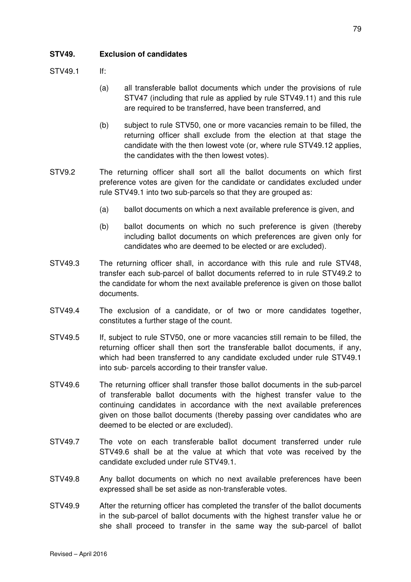## **STV49. Exclusion of candidates**

STV49.1 If:

- (a) all transferable ballot documents which under the provisions of rule STV47 (including that rule as applied by rule STV49.11) and this rule are required to be transferred, have been transferred, and
- (b) subject to rule STV50, one or more vacancies remain to be filled, the returning officer shall exclude from the election at that stage the candidate with the then lowest vote (or, where rule STV49.12 applies, the candidates with the then lowest votes).
- STV9.2 The returning officer shall sort all the ballot documents on which first preference votes are given for the candidate or candidates excluded under rule STV49.1 into two sub-parcels so that they are grouped as:
	- (a) ballot documents on which a next available preference is given, and
	- (b) ballot documents on which no such preference is given (thereby including ballot documents on which preferences are given only for candidates who are deemed to be elected or are excluded).
- STV49.3 The returning officer shall, in accordance with this rule and rule STV48, transfer each sub-parcel of ballot documents referred to in rule STV49.2 to the candidate for whom the next available preference is given on those ballot documents.
- STV49.4 The exclusion of a candidate, or of two or more candidates together, constitutes a further stage of the count.
- STV49.5 If, subject to rule STV50, one or more vacancies still remain to be filled, the returning officer shall then sort the transferable ballot documents, if any, which had been transferred to any candidate excluded under rule STV49.1 into sub- parcels according to their transfer value.
- STV49.6 The returning officer shall transfer those ballot documents in the sub-parcel of transferable ballot documents with the highest transfer value to the continuing candidates in accordance with the next available preferences given on those ballot documents (thereby passing over candidates who are deemed to be elected or are excluded).
- STV49.7 The vote on each transferable ballot document transferred under rule STV49.6 shall be at the value at which that vote was received by the candidate excluded under rule STV49.1.
- STV49.8 Any ballot documents on which no next available preferences have been expressed shall be set aside as non-transferable votes.
- STV49.9 After the returning officer has completed the transfer of the ballot documents in the sub-parcel of ballot documents with the highest transfer value he or she shall proceed to transfer in the same way the sub-parcel of ballot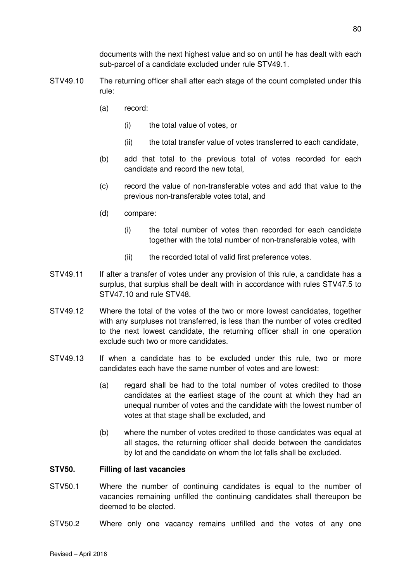documents with the next highest value and so on until he has dealt with each sub-parcel of a candidate excluded under rule STV49.1.

- STV49.10 The returning officer shall after each stage of the count completed under this rule:
	- (a) record:
		- (i) the total value of votes, or
		- (ii) the total transfer value of votes transferred to each candidate,
	- (b) add that total to the previous total of votes recorded for each candidate and record the new total,
	- (c) record the value of non-transferable votes and add that value to the previous non-transferable votes total, and
	- (d) compare:
		- (i) the total number of votes then recorded for each candidate together with the total number of non-transferable votes, with
		- (ii) the recorded total of valid first preference votes.
- STV49.11 If after a transfer of votes under any provision of this rule, a candidate has a surplus, that surplus shall be dealt with in accordance with rules STV47.5 to STV47.10 and rule STV48.
- STV49.12 Where the total of the votes of the two or more lowest candidates, together with any surpluses not transferred, is less than the number of votes credited to the next lowest candidate, the returning officer shall in one operation exclude such two or more candidates.
- STV49.13 If when a candidate has to be excluded under this rule, two or more candidates each have the same number of votes and are lowest:
	- (a) regard shall be had to the total number of votes credited to those candidates at the earliest stage of the count at which they had an unequal number of votes and the candidate with the lowest number of votes at that stage shall be excluded, and
	- (b) where the number of votes credited to those candidates was equal at all stages, the returning officer shall decide between the candidates by lot and the candidate on whom the lot falls shall be excluded.

#### **STV50. Filling of last vacancies**

- STV50.1 Where the number of continuing candidates is equal to the number of vacancies remaining unfilled the continuing candidates shall thereupon be deemed to be elected.
- STV50.2 Where only one vacancy remains unfilled and the votes of any one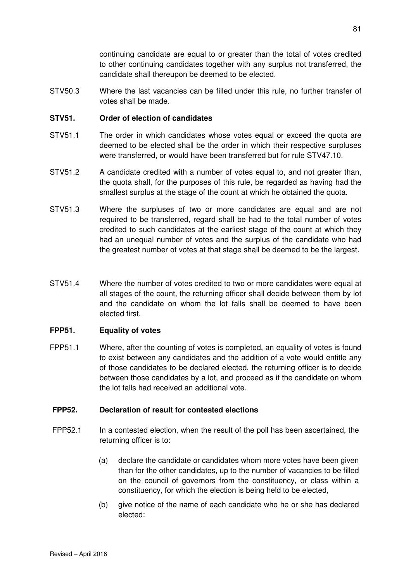continuing candidate are equal to or greater than the total of votes credited to other continuing candidates together with any surplus not transferred, the candidate shall thereupon be deemed to be elected.

STV50.3 Where the last vacancies can be filled under this rule, no further transfer of votes shall be made.

### **STV51. Order of election of candidates**

- STV51.1 The order in which candidates whose votes equal or exceed the quota are deemed to be elected shall be the order in which their respective surpluses were transferred, or would have been transferred but for rule STV47.10.
- STV51.2 A candidate credited with a number of votes equal to, and not greater than, the quota shall, for the purposes of this rule, be regarded as having had the smallest surplus at the stage of the count at which he obtained the quota.
- STV51.3 Where the surpluses of two or more candidates are equal and are not required to be transferred, regard shall be had to the total number of votes credited to such candidates at the earliest stage of the count at which they had an unequal number of votes and the surplus of the candidate who had the greatest number of votes at that stage shall be deemed to be the largest.
- STV51.4 Where the number of votes credited to two or more candidates were equal at all stages of the count, the returning officer shall decide between them by lot and the candidate on whom the lot falls shall be deemed to have been elected first.

### **FPP51. Equality of votes**

FPP51.1 Where, after the counting of votes is completed, an equality of votes is found to exist between any candidates and the addition of a vote would entitle any of those candidates to be declared elected, the returning officer is to decide between those candidates by a lot, and proceed as if the candidate on whom the lot falls had received an additional vote.

### **FPP52. Declaration of result for contested elections**

- FPP52.1 In a contested election, when the result of the poll has been ascertained, the returning officer is to:
	- (a) declare the candidate or candidates whom more votes have been given than for the other candidates, up to the number of vacancies to be filled on the council of governors from the constituency, or class within a constituency, for which the election is being held to be elected,
	- (b) give notice of the name of each candidate who he or she has declared elected: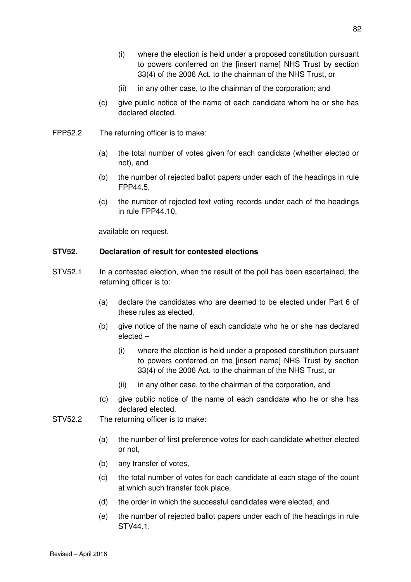- (i) where the election is held under a proposed constitution pursuant to powers conferred on the [insert name] NHS Trust by section 33(4) of the 2006 Act, to the chairman of the NHS Trust, or
- (ii) in any other case, to the chairman of the corporation; and
- (c) give public notice of the name of each candidate whom he or she has declared elected.
- FPP52.2 The returning officer is to make:
	- (a) the total number of votes given for each candidate (whether elected or not), and
	- (b) the number of rejected ballot papers under each of the headings in rule FPP44.5,
	- (c) the number of rejected text voting records under each of the headings in rule FPP44.10,

available on request.

### **STV52. Declaration of result for contested elections**

- STV52.1 In a contested election, when the result of the poll has been ascertained, the returning officer is to:
	- (a) declare the candidates who are deemed to be elected under Part 6 of these rules as elected,
	- (b) give notice of the name of each candidate who he or she has declared elected –
		- (i) where the election is held under a proposed constitution pursuant to powers conferred on the [insert name] NHS Trust by section 33(4) of the 2006 Act, to the chairman of the NHS Trust, or
		- (ii) in any other case, to the chairman of the corporation, and
	- (c) give public notice of the name of each candidate who he or she has declared elected.
- STV52.2 The returning officer is to make:
	- (a) the number of first preference votes for each candidate whether elected or not,
	- (b) any transfer of votes,
	- (c) the total number of votes for each candidate at each stage of the count at which such transfer took place,
	- (d) the order in which the successful candidates were elected, and
	- (e) the number of rejected ballot papers under each of the headings in rule STV44.1,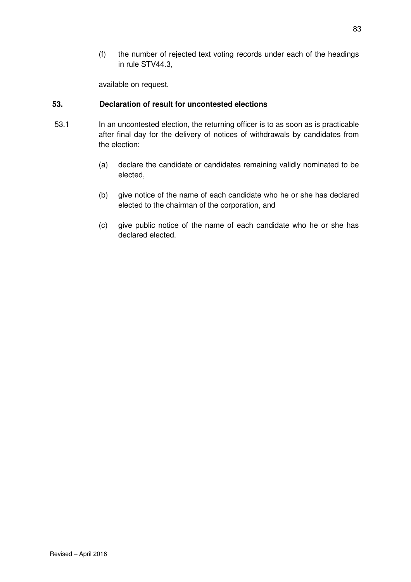(f) the number of rejected text voting records under each of the headings in rule STV44.3,

available on request.

## **53. Declaration of result for uncontested elections**

- 53.1 In an uncontested election, the returning officer is to as soon as is practicable after final day for the delivery of notices of withdrawals by candidates from the election:
	- (a) declare the candidate or candidates remaining validly nominated to be elected,
	- (b) give notice of the name of each candidate who he or she has declared elected to the chairman of the corporation, and
	- (c) give public notice of the name of each candidate who he or she has declared elected.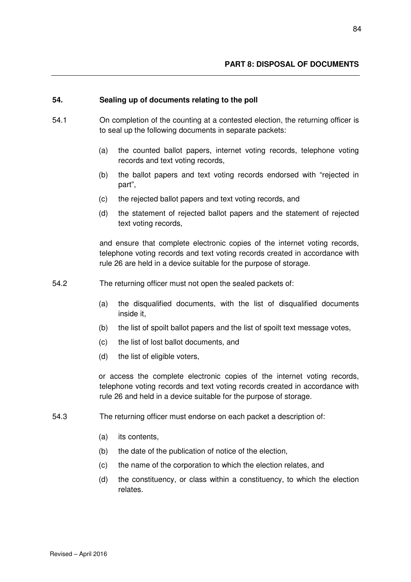#### **54. Sealing up of documents relating to the poll**

- 54.1 On completion of the counting at a contested election, the returning officer is to seal up the following documents in separate packets:
	- (a) the counted ballot papers, internet voting records, telephone voting records and text voting records,
	- (b) the ballot papers and text voting records endorsed with "rejected in part",
	- (c) the rejected ballot papers and text voting records, and
	- (d) the statement of rejected ballot papers and the statement of rejected text voting records,

and ensure that complete electronic copies of the internet voting records, telephone voting records and text voting records created in accordance with rule 26 are held in a device suitable for the purpose of storage.

- 54.2 The returning officer must not open the sealed packets of:
	- (a) the disqualified documents, with the list of disqualified documents inside it,
	- (b) the list of spoilt ballot papers and the list of spoilt text message votes,
	- (c) the list of lost ballot documents, and
	- (d) the list of eligible voters,

or access the complete electronic copies of the internet voting records, telephone voting records and text voting records created in accordance with rule 26 and held in a device suitable for the purpose of storage.

- 54.3 The returning officer must endorse on each packet a description of:
	- (a) its contents,
	- (b) the date of the publication of notice of the election,
	- (c) the name of the corporation to which the election relates, and
	- (d) the constituency, or class within a constituency, to which the election relates.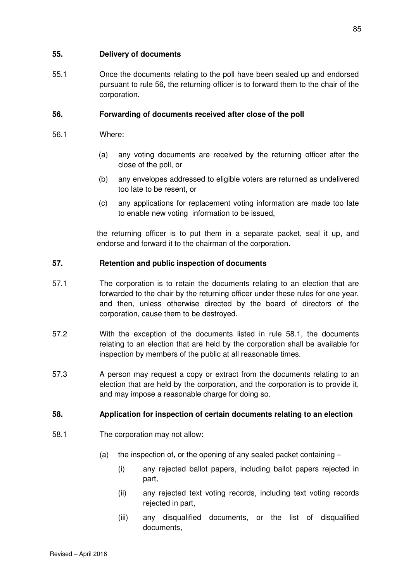### **55. Delivery of documents**

55.1 Once the documents relating to the poll have been sealed up and endorsed pursuant to rule 56, the returning officer is to forward them to the chair of the corporation.

## **56. Forwarding of documents received after close of the poll**

- 56.1 Where:
	- (a) any voting documents are received by the returning officer after the close of the poll, or
	- (b) any envelopes addressed to eligible voters are returned as undelivered too late to be resent, or
	- (c) any applications for replacement voting information are made too late to enable new voting information to be issued,

the returning officer is to put them in a separate packet, seal it up, and endorse and forward it to the chairman of the corporation.

## **57. Retention and public inspection of documents**

- 57.1 The corporation is to retain the documents relating to an election that are forwarded to the chair by the returning officer under these rules for one year, and then, unless otherwise directed by the board of directors of the corporation, cause them to be destroyed.
- 57.2 With the exception of the documents listed in rule 58.1, the documents relating to an election that are held by the corporation shall be available for inspection by members of the public at all reasonable times.
- 57.3 A person may request a copy or extract from the documents relating to an election that are held by the corporation, and the corporation is to provide it, and may impose a reasonable charge for doing so.

## **58. Application for inspection of certain documents relating to an election**

- 58.1 The corporation may not allow:
	- (a) the inspection of, or the opening of any sealed packet containing
		- (i) any rejected ballot papers, including ballot papers rejected in part,
		- (ii) any rejected text voting records, including text voting records rejected in part,
		- (iii) any disqualified documents, or the list of disqualified documents,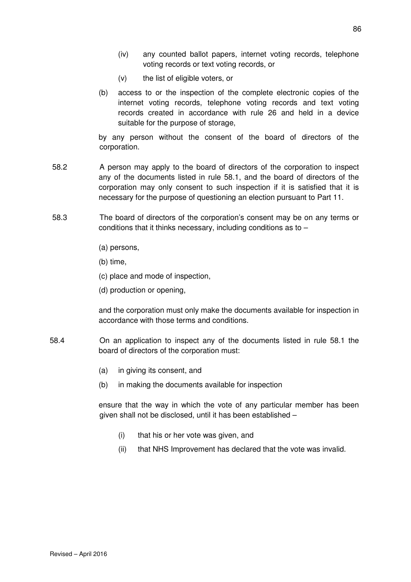- (iv) any counted ballot papers, internet voting records, telephone voting records or text voting records, or
- (v) the list of eligible voters, or
- (b) access to or the inspection of the complete electronic copies of the internet voting records, telephone voting records and text voting records created in accordance with rule 26 and held in a device suitable for the purpose of storage,

by any person without the consent of the board of directors of the corporation.

- 58.2 A person may apply to the board of directors of the corporation to inspect any of the documents listed in rule 58.1, and the board of directors of the corporation may only consent to such inspection if it is satisfied that it is necessary for the purpose of questioning an election pursuant to Part 11.
- 58.3 The board of directors of the corporation's consent may be on any terms or conditions that it thinks necessary, including conditions as to –
	- (a) persons,
	- (b) time,
	- (c) place and mode of inspection,
	- (d) production or opening,

and the corporation must only make the documents available for inspection in accordance with those terms and conditions.

- 58.4 On an application to inspect any of the documents listed in rule 58.1 the board of directors of the corporation must:
	- (a) in giving its consent, and
	- (b) in making the documents available for inspection

ensure that the way in which the vote of any particular member has been given shall not be disclosed, until it has been established –

- (i) that his or her vote was given, and
- (ii) that NHS Improvement has declared that the vote was invalid.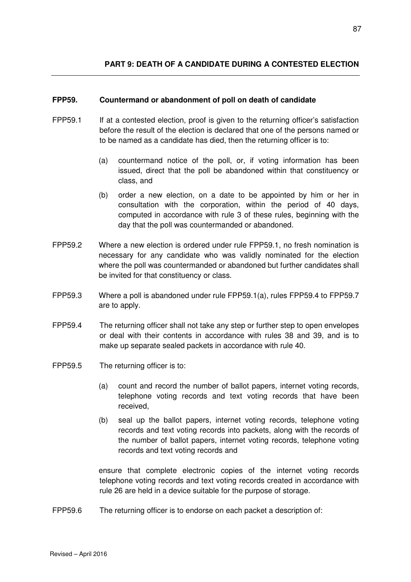#### **FPP59. Countermand or abandonment of poll on death of candidate**

- FPP59.1 If at a contested election, proof is given to the returning officer's satisfaction before the result of the election is declared that one of the persons named or to be named as a candidate has died, then the returning officer is to:
	- (a) countermand notice of the poll, or, if voting information has been issued, direct that the poll be abandoned within that constituency or class, and
	- (b) order a new election, on a date to be appointed by him or her in consultation with the corporation, within the period of 40 days, computed in accordance with rule 3 of these rules, beginning with the day that the poll was countermanded or abandoned.
- FPP59.2 Where a new election is ordered under rule FPP59.1, no fresh nomination is necessary for any candidate who was validly nominated for the election where the poll was countermanded or abandoned but further candidates shall be invited for that constituency or class.
- FPP59.3 Where a poll is abandoned under rule FPP59.1(a), rules FPP59.4 to FPP59.7 are to apply.
- FPP59.4 The returning officer shall not take any step or further step to open envelopes or deal with their contents in accordance with rules 38 and 39, and is to make up separate sealed packets in accordance with rule 40.
- FPP59.5 The returning officer is to:
	- (a) count and record the number of ballot papers, internet voting records, telephone voting records and text voting records that have been received,
	- (b) seal up the ballot papers, internet voting records, telephone voting records and text voting records into packets, along with the records of the number of ballot papers, internet voting records, telephone voting records and text voting records and

ensure that complete electronic copies of the internet voting records telephone voting records and text voting records created in accordance with rule 26 are held in a device suitable for the purpose of storage.

FPP59.6 The returning officer is to endorse on each packet a description of: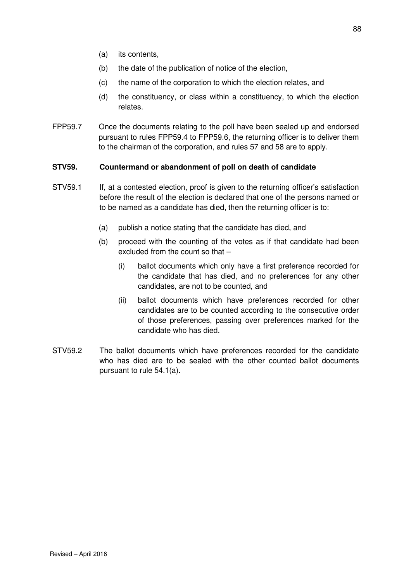- (a) its contents,
- (b) the date of the publication of notice of the election,
- (c) the name of the corporation to which the election relates, and
- (d) the constituency, or class within a constituency, to which the election relates.
- FPP59.7 Once the documents relating to the poll have been sealed up and endorsed pursuant to rules FPP59.4 to FPP59.6, the returning officer is to deliver them to the chairman of the corporation, and rules 57 and 58 are to apply.

### **STV59. Countermand or abandonment of poll on death of candidate**

- STV59.1 If, at a contested election, proof is given to the returning officer's satisfaction before the result of the election is declared that one of the persons named or to be named as a candidate has died, then the returning officer is to:
	- (a) publish a notice stating that the candidate has died, and
	- (b) proceed with the counting of the votes as if that candidate had been excluded from the count so that –
		- (i) ballot documents which only have a first preference recorded for the candidate that has died, and no preferences for any other candidates, are not to be counted, and
		- (ii) ballot documents which have preferences recorded for other candidates are to be counted according to the consecutive order of those preferences, passing over preferences marked for the candidate who has died.
- STV59.2 The ballot documents which have preferences recorded for the candidate who has died are to be sealed with the other counted ballot documents pursuant to rule 54.1(a).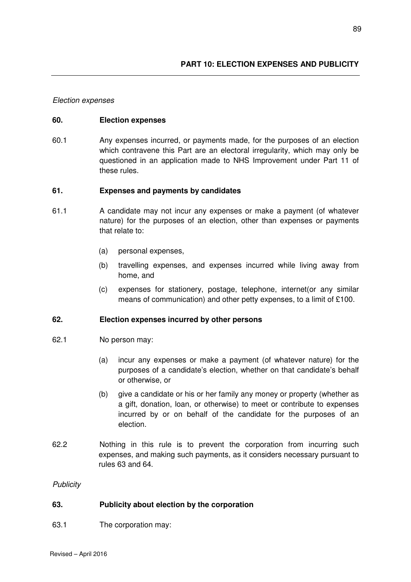#### Election expenses

#### **60. Election expenses**

60.1 Any expenses incurred, or payments made, for the purposes of an election which contravene this Part are an electoral irregularity, which may only be questioned in an application made to NHS Improvement under Part 11 of these rules.

#### **61. Expenses and payments by candidates**

- 61.1 A candidate may not incur any expenses or make a payment (of whatever nature) for the purposes of an election, other than expenses or payments that relate to:
	- (a) personal expenses,
	- (b) travelling expenses, and expenses incurred while living away from home, and
	- (c) expenses for stationery, postage, telephone, internet(or any similar means of communication) and other petty expenses, to a limit of £100.

#### **62. Election expenses incurred by other persons**

- 62.1 No person may:
	- (a) incur any expenses or make a payment (of whatever nature) for the purposes of a candidate's election, whether on that candidate's behalf or otherwise, or
	- (b) give a candidate or his or her family any money or property (whether as a gift, donation, loan, or otherwise) to meet or contribute to expenses incurred by or on behalf of the candidate for the purposes of an election.
- 62.2 Nothing in this rule is to prevent the corporation from incurring such expenses, and making such payments, as it considers necessary pursuant to rules 63 and 64.

**Publicity** 

### **63. Publicity about election by the corporation**

63.1 The corporation may: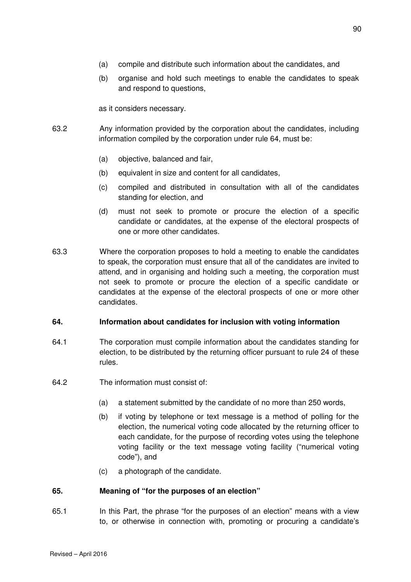- (a) compile and distribute such information about the candidates, and
- (b) organise and hold such meetings to enable the candidates to speak and respond to questions,

as it considers necessary.

- 63.2 Any information provided by the corporation about the candidates, including information compiled by the corporation under rule 64, must be:
	- (a) objective, balanced and fair,
	- (b) equivalent in size and content for all candidates,
	- (c) compiled and distributed in consultation with all of the candidates standing for election, and
	- (d) must not seek to promote or procure the election of a specific candidate or candidates, at the expense of the electoral prospects of one or more other candidates.
- 63.3 Where the corporation proposes to hold a meeting to enable the candidates to speak, the corporation must ensure that all of the candidates are invited to attend, and in organising and holding such a meeting, the corporation must not seek to promote or procure the election of a specific candidate or candidates at the expense of the electoral prospects of one or more other candidates.

#### **64. Information about candidates for inclusion with voting information**

- 64.1 The corporation must compile information about the candidates standing for election, to be distributed by the returning officer pursuant to rule 24 of these rules.
- 64.2 The information must consist of:
	- (a) a statement submitted by the candidate of no more than 250 words,
	- (b) if voting by telephone or text message is a method of polling for the election, the numerical voting code allocated by the returning officer to each candidate, for the purpose of recording votes using the telephone voting facility or the text message voting facility ("numerical voting code"), and
	- (c) a photograph of the candidate.

#### **65. Meaning of "for the purposes of an election"**

65.1 In this Part, the phrase "for the purposes of an election" means with a view to, or otherwise in connection with, promoting or procuring a candidate's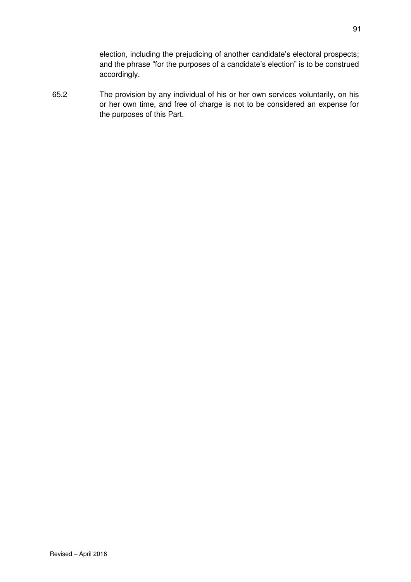election, including the prejudicing of another candidate's electoral prospects; and the phrase "for the purposes of a candidate's election" is to be construed accordingly.

65.2 The provision by any individual of his or her own services voluntarily, on his or her own time, and free of charge is not to be considered an expense for the purposes of this Part.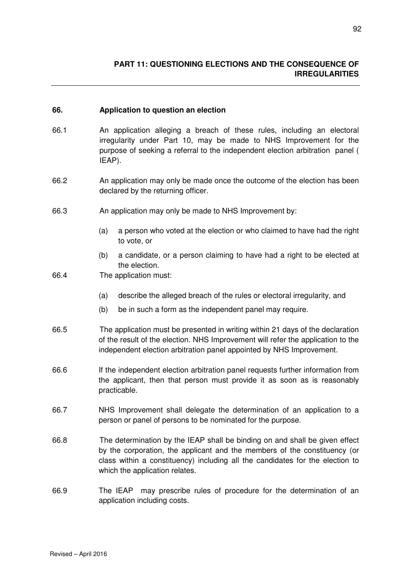#### **66. Application to question an election**

- 66.1 An application alleging a breach of these rules, including an electoral irregularity under Part 10, may be made to NHS Improvement for the purpose of seeking a referral to the independent election arbitration panel ( IEAP).
- 66.2 An application may only be made once the outcome of the election has been declared by the returning officer.
- 66.3 An application may only be made to NHS Improvement by:
	- (a) a person who voted at the election or who claimed to have had the right to vote, or
	- (b) a candidate, or a person claiming to have had a right to be elected at the election.
- 66.4 The application must:
	- (a) describe the alleged breach of the rules or electoral irregularity, and
	- (b) be in such a form as the independent panel may require.
- 66.5 The application must be presented in writing within 21 days of the declaration of the result of the election. NHS Improvement will refer the application to the independent election arbitration panel appointed by NHS Improvement.
- 66.6 If the independent election arbitration panel requests further information from the applicant, then that person must provide it as soon as is reasonably practicable.
- 66.7 NHS Improvement shall delegate the determination of an application to a person or panel of persons to be nominated for the purpose.
- 66.8 The determination by the IEAP shall be binding on and shall be given effect by the corporation, the applicant and the members of the constituency (or class within a constituency) including all the candidates for the election to which the application relates.
- 66.9 The IEAP may prescribe rules of procedure for the determination of an application including costs.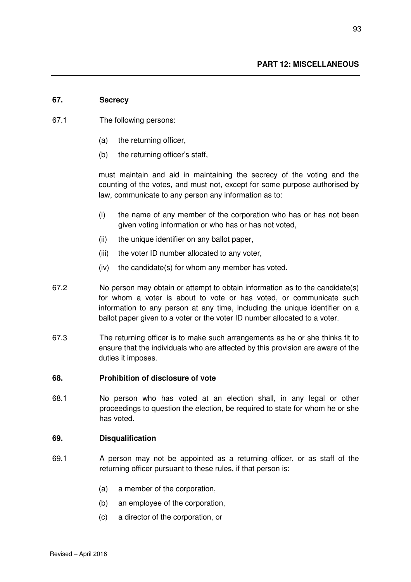#### **67. Secrecy**

- 67.1 The following persons:
	- (a) the returning officer,
	- (b) the returning officer's staff,

must maintain and aid in maintaining the secrecy of the voting and the counting of the votes, and must not, except for some purpose authorised by law, communicate to any person any information as to:

- (i) the name of any member of the corporation who has or has not been given voting information or who has or has not voted,
- (ii) the unique identifier on any ballot paper,
- (iii) the voter ID number allocated to any voter,
- (iv) the candidate(s) for whom any member has voted.
- 67.2 No person may obtain or attempt to obtain information as to the candidate(s) for whom a voter is about to vote or has voted, or communicate such information to any person at any time, including the unique identifier on a ballot paper given to a voter or the voter ID number allocated to a voter.
- 67.3 The returning officer is to make such arrangements as he or she thinks fit to ensure that the individuals who are affected by this provision are aware of the duties it imposes.

#### **68. Prohibition of disclosure of vote**

68.1 No person who has voted at an election shall, in any legal or other proceedings to question the election, be required to state for whom he or she has voted.

#### **69. Disqualification**

- 69.1 A person may not be appointed as a returning officer, or as staff of the returning officer pursuant to these rules, if that person is:
	- (a) a member of the corporation,
	- (b) an employee of the corporation,
	- (c) a director of the corporation, or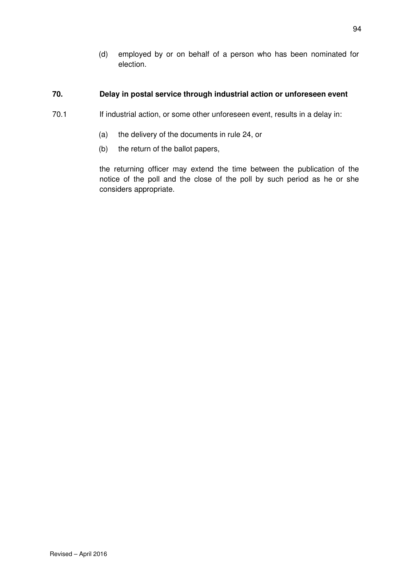(d) employed by or on behalf of a person who has been nominated for election.

### **70. Delay in postal service through industrial action or unforeseen event**

- 70.1 If industrial action, or some other unforeseen event, results in a delay in:
	- (a) the delivery of the documents in rule 24, or
	- (b) the return of the ballot papers,

the returning officer may extend the time between the publication of the notice of the poll and the close of the poll by such period as he or she considers appropriate.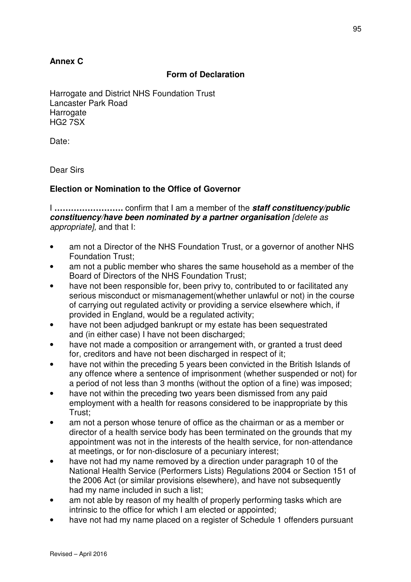## **Annex C**

## **Form of Declaration**

Harrogate and District NHS Foundation Trust Lancaster Park Road **Harrogate** HG2 7SX

Date:

Dear Sirs

## **Election or Nomination to the Office of Governor**

I **…………………….** confirm that I am a member of the **staff constituency/public constituency**/**have been nominated by a partner organisation** [delete as appropriate], and that I:

- am not a Director of the NHS Foundation Trust, or a governor of another NHS Foundation Trust;
- am not a public member who shares the same household as a member of the Board of Directors of the NHS Foundation Trust;
- have not been responsible for, been privy to, contributed to or facilitated any serious misconduct or mismanagement(whether unlawful or not) in the course of carrying out regulated activity or providing a service elsewhere which, if provided in England, would be a regulated activity;
- have not been adjudged bankrupt or my estate has been sequestrated and (in either case) I have not been discharged;
- have not made a composition or arrangement with, or granted a trust deed for, creditors and have not been discharged in respect of it;
- have not within the preceding 5 years been convicted in the British Islands of any offence where a sentence of imprisonment (whether suspended or not) for a period of not less than 3 months (without the option of a fine) was imposed;
- have not within the preceding two years been dismissed from any paid employment with a health for reasons considered to be inappropriate by this Trust;
- am not a person whose tenure of office as the chairman or as a member or director of a health service body has been terminated on the grounds that my appointment was not in the interests of the health service, for non-attendance at meetings, or for non-disclosure of a pecuniary interest;
- have not had my name removed by a direction under paragraph 10 of the National Health Service (Performers Lists) Regulations 2004 or Section 151 of the 2006 Act (or similar provisions elsewhere), and have not subsequently had my name included in such a list;
- am not able by reason of my health of properly performing tasks which are intrinsic to the office for which I am elected or appointed;
- have not had my name placed on a register of Schedule 1 offenders pursuant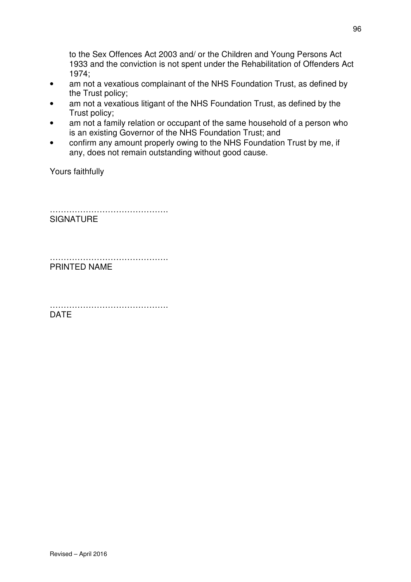to the Sex Offences Act 2003 and/ or the Children and Young Persons Act 1933 and the conviction is not spent under the Rehabilitation of Offenders Act 1974;

- am not a vexatious complainant of the NHS Foundation Trust, as defined by the Trust policy;
- am not a vexatious litigant of the NHS Foundation Trust, as defined by the Trust policy;
- am not a family relation or occupant of the same household of a person who is an existing Governor of the NHS Foundation Trust; and
- confirm any amount properly owing to the NHS Foundation Trust by me, if any, does not remain outstanding without good cause.

Yours faithfully

…………………………………………… **SIGNATURE** 

………………………………………………… PRINTED NAME

…………………………………………… DATE

96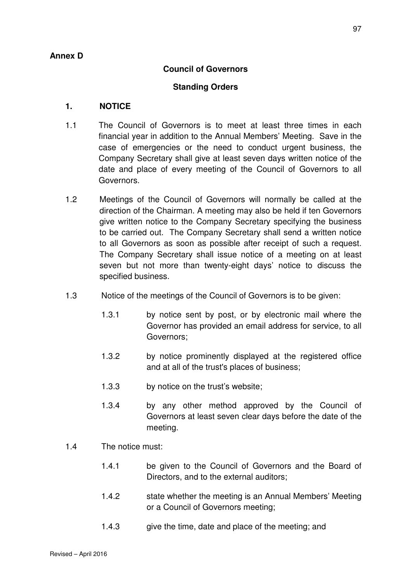## **Annex D**

## **Council of Governors**

## **Standing Orders**

## **1. NOTICE**

- 1.1 The Council of Governors is to meet at least three times in each financial year in addition to the Annual Members' Meeting. Save in the case of emergencies or the need to conduct urgent business, the Company Secretary shall give at least seven days written notice of the date and place of every meeting of the Council of Governors to all Governors.
- 1.2 Meetings of the Council of Governors will normally be called at the direction of the Chairman. A meeting may also be held if ten Governors give written notice to the Company Secretary specifying the business to be carried out. The Company Secretary shall send a written notice to all Governors as soon as possible after receipt of such a request. The Company Secretary shall issue notice of a meeting on at least seven but not more than twenty-eight days' notice to discuss the specified business.
- 1.3 Notice of the meetings of the Council of Governors is to be given:
	- 1.3.1 by notice sent by post, or by electronic mail where the Governor has provided an email address for service, to all Governors;
	- 1.3.2 by notice prominently displayed at the registered office and at all of the trust's places of business;
	- 1.3.3 by notice on the trust's website;
	- 1.3.4 by any other method approved by the Council of Governors at least seven clear days before the date of the meeting.
- 1.4 The notice must:
	- 1.4.1 be given to the Council of Governors and the Board of Directors, and to the external auditors;
	- 1.4.2 state whether the meeting is an Annual Members' Meeting or a Council of Governors meeting;
	- 1.4.3 give the time, date and place of the meeting; and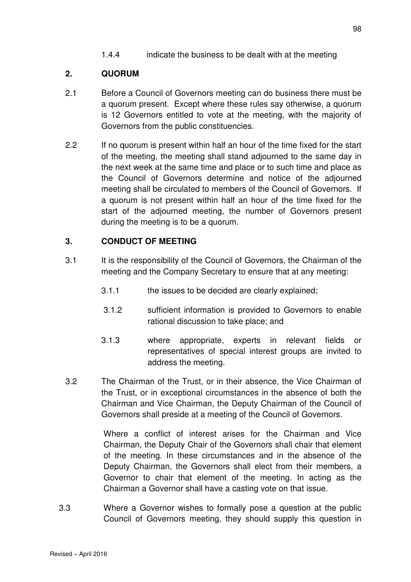1.4.4 indicate the business to be dealt with at the meeting

## **2. QUORUM**

- 2.1 Before a Council of Governors meeting can do business there must be a quorum present. Except where these rules say otherwise, a quorum is 12 Governors entitled to vote at the meeting, with the majority of Governors from the public constituencies.
- 2.2 If no quorum is present within half an hour of the time fixed for the start of the meeting, the meeting shall stand adjourned to the same day in the next week at the same time and place or to such time and place as the Council of Governors determine and notice of the adjourned meeting shall be circulated to members of the Council of Governors. If a quorum is not present within half an hour of the time fixed for the start of the adjourned meeting, the number of Governors present during the meeting is to be a quorum.

## **3. CONDUCT OF MEETING**

- 3.1 It is the responsibility of the Council of Governors, the Chairman of the meeting and the Company Secretary to ensure that at any meeting:
	- 3.1.1 the issues to be decided are clearly explained;
	- 3.1.2 sufficient information is provided to Governors to enable rational discussion to take place; and
	- 3.1.3 where appropriate, experts in relevant fields or representatives of special interest groups are invited to address the meeting.
- 3.2 The Chairman of the Trust, or in their absence, the Vice Chairman of the Trust, or in exceptional circumstances in the absence of both the Chairman and Vice Chairman, the Deputy Chairman of the Council of Governors shall preside at a meeting of the Council of Governors.

Where a conflict of interest arises for the Chairman and Vice Chairman, the Deputy Chair of the Governors shall chair that element of the meeting. In these circumstances and in the absence of the Deputy Chairman, the Governors shall elect from their members, a Governor to chair that element of the meeting. In acting as the Chairman a Governor shall have a casting vote on that issue.

 3.3 Where a Governor wishes to formally pose a question at the public Council of Governors meeting, they should supply this question in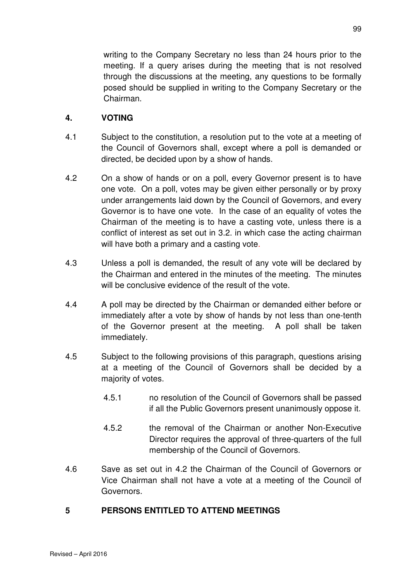writing to the Company Secretary no less than 24 hours prior to the meeting. If a query arises during the meeting that is not resolved through the discussions at the meeting, any questions to be formally posed should be supplied in writing to the Company Secretary or the Chairman.

## **4. VOTING**

- 4.1 Subject to the constitution, a resolution put to the vote at a meeting of the Council of Governors shall, except where a poll is demanded or directed, be decided upon by a show of hands.
- 4.2 On a show of hands or on a poll, every Governor present is to have one vote. On a poll, votes may be given either personally or by proxy under arrangements laid down by the Council of Governors, and every Governor is to have one vote. In the case of an equality of votes the Chairman of the meeting is to have a casting vote, unless there is a conflict of interest as set out in 3.2. in which case the acting chairman will have both a primary and a casting vote.
- 4.3 Unless a poll is demanded, the result of any vote will be declared by the Chairman and entered in the minutes of the meeting. The minutes will be conclusive evidence of the result of the vote.
- 4.4 A poll may be directed by the Chairman or demanded either before or immediately after a vote by show of hands by not less than one-tenth of the Governor present at the meeting. A poll shall be taken immediately.
- 4.5 Subject to the following provisions of this paragraph, questions arising at a meeting of the Council of Governors shall be decided by a majority of votes.
	- 4.5.1 no resolution of the Council of Governors shall be passed if all the Public Governors present unanimously oppose it.
	- 4.5.2 the removal of the Chairman or another Non-Executive Director requires the approval of three-quarters of the full membership of the Council of Governors.
- 4.6 Save as set out in 4.2 the Chairman of the Council of Governors or Vice Chairman shall not have a vote at a meeting of the Council of Governors.

## **5 PERSONS ENTITLED TO ATTEND MEETINGS**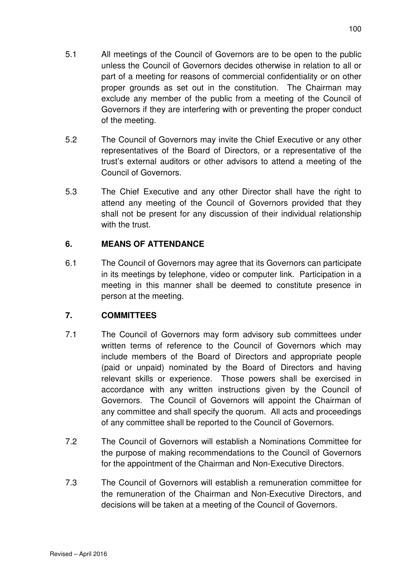- 5.1 All meetings of the Council of Governors are to be open to the public unless the Council of Governors decides otherwise in relation to all or part of a meeting for reasons of commercial confidentiality or on other proper grounds as set out in the constitution. The Chairman may exclude any member of the public from a meeting of the Council of Governors if they are interfering with or preventing the proper conduct of the meeting.
- 5.2 The Council of Governors may invite the Chief Executive or any other representatives of the Board of Directors, or a representative of the trust's external auditors or other advisors to attend a meeting of the Council of Governors.
- 5.3 The Chief Executive and any other Director shall have the right to attend any meeting of the Council of Governors provided that they shall not be present for any discussion of their individual relationship with the trust.

# **6. MEANS OF ATTENDANCE**

6.1 The Council of Governors may agree that its Governors can participate in its meetings by telephone, video or computer link. Participation in a meeting in this manner shall be deemed to constitute presence in person at the meeting.

# **7. COMMITTEES**

- 7.1 The Council of Governors may form advisory sub committees under written terms of reference to the Council of Governors which may include members of the Board of Directors and appropriate people (paid or unpaid) nominated by the Board of Directors and having relevant skills or experience. Those powers shall be exercised in accordance with any written instructions given by the Council of Governors. The Council of Governors will appoint the Chairman of any committee and shall specify the quorum. All acts and proceedings of any committee shall be reported to the Council of Governors.
- 7.2 The Council of Governors will establish a Nominations Committee for the purpose of making recommendations to the Council of Governors for the appointment of the Chairman and Non-Executive Directors.
- 7.3 The Council of Governors will establish a remuneration committee for the remuneration of the Chairman and Non-Executive Directors, and decisions will be taken at a meeting of the Council of Governors.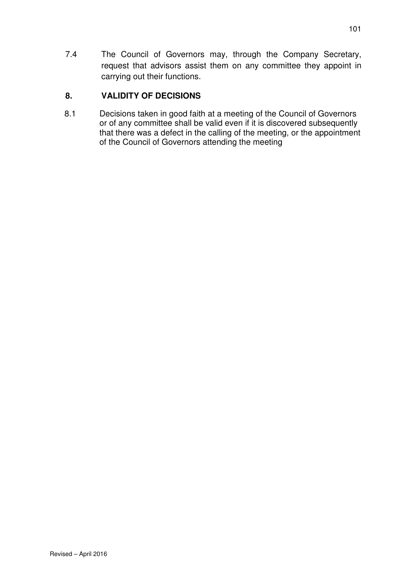7.4 The Council of Governors may, through the Company Secretary, request that advisors assist them on any committee they appoint in carrying out their functions.

# **8. VALIDITY OF DECISIONS**

 8.1 Decisions taken in good faith at a meeting of the Council of Governors or of any committee shall be valid even if it is discovered subsequently that there was a defect in the calling of the meeting, or the appointment of the Council of Governors attending the meeting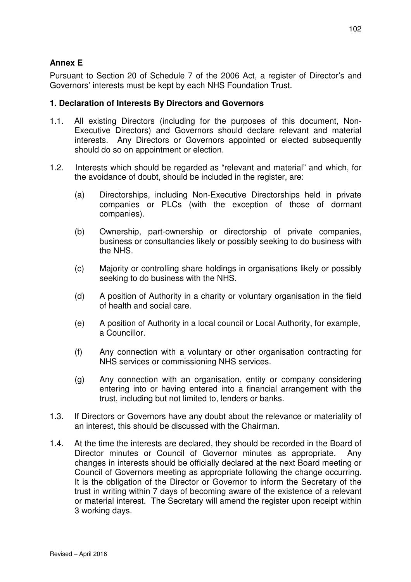## **Annex E**

Pursuant to Section 20 of Schedule 7 of the 2006 Act, a register of Director's and Governors' interests must be kept by each NHS Foundation Trust.

## **1. Declaration of Interests By Directors and Governors**

- 1.1. All existing Directors (including for the purposes of this document, Non-Executive Directors) and Governors should declare relevant and material interests. Any Directors or Governors appointed or elected subsequently should do so on appointment or election.
- 1.2. Interests which should be regarded as "relevant and material" and which, for the avoidance of doubt, should be included in the register, are:
	- (a) Directorships, including Non-Executive Directorships held in private companies or PLCs (with the exception of those of dormant companies).
	- (b) Ownership, part-ownership or directorship of private companies, business or consultancies likely or possibly seeking to do business with the NHS.
	- (c) Majority or controlling share holdings in organisations likely or possibly seeking to do business with the NHS.
	- (d) A position of Authority in a charity or voluntary organisation in the field of health and social care.
	- (e) A position of Authority in a local council or Local Authority, for example, a Councillor.
	- (f) Any connection with a voluntary or other organisation contracting for NHS services or commissioning NHS services.
	- (g) Any connection with an organisation, entity or company considering entering into or having entered into a financial arrangement with the trust, including but not limited to, lenders or banks.
- 1.3. If Directors or Governors have any doubt about the relevance or materiality of an interest, this should be discussed with the Chairman.
- 1.4. At the time the interests are declared, they should be recorded in the Board of Director minutes or Council of Governor minutes as appropriate. Any changes in interests should be officially declared at the next Board meeting or Council of Governors meeting as appropriate following the change occurring. It is the obligation of the Director or Governor to inform the Secretary of the trust in writing within 7 days of becoming aware of the existence of a relevant or material interest. The Secretary will amend the register upon receipt within 3 working days.